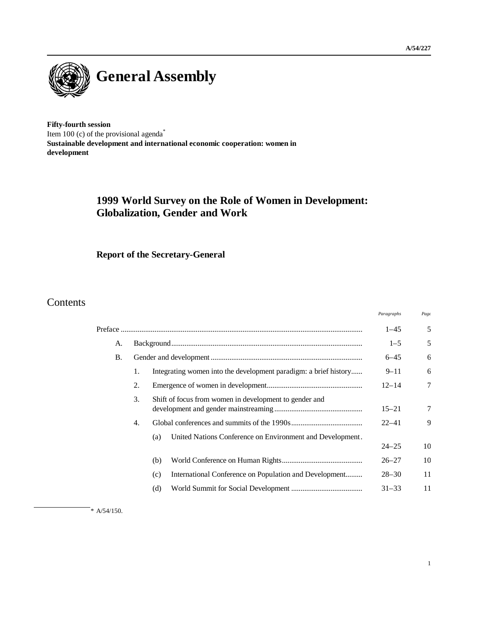

**Fifty-fourth session** Item 100 (c) of the provisional agenda<sup>\*</sup> **Sustainable development and international economic cooperation: women in development**

# **1999 World Survey on the Role of Women in Development: Globalization, Gender and Work**

**Report of the Secretary-General**

# Contents

|    |    |                                                                  | Paragraphs | Page   |
|----|----|------------------------------------------------------------------|------------|--------|
|    |    |                                                                  | $1 - 45$   | 5      |
| А. |    |                                                                  | $1 - 5$    | 5      |
| B. |    |                                                                  | $6 - 45$   | 6      |
|    | 1. | Integrating women into the development paradigm: a brief history | $9 - 11$   | 6      |
|    | 2. |                                                                  | $12 - 14$  | $\tau$ |
|    | 3. | Shift of focus from women in development to gender and           | $15 - 21$  | 7      |
|    | 4. |                                                                  | $22 - 41$  | 9      |
|    |    | United Nations Conference on Environment and Development.<br>(a) | $24 - 25$  | 10     |
|    |    | (b)                                                              | $26 - 27$  | 10     |
|    |    | International Conference on Population and Development<br>(c)    | $28 - 30$  | 11     |
|    |    | (d)                                                              | $31 - 33$  | 11     |
|    |    |                                                                  |            |        |

 $*$  A/54/150.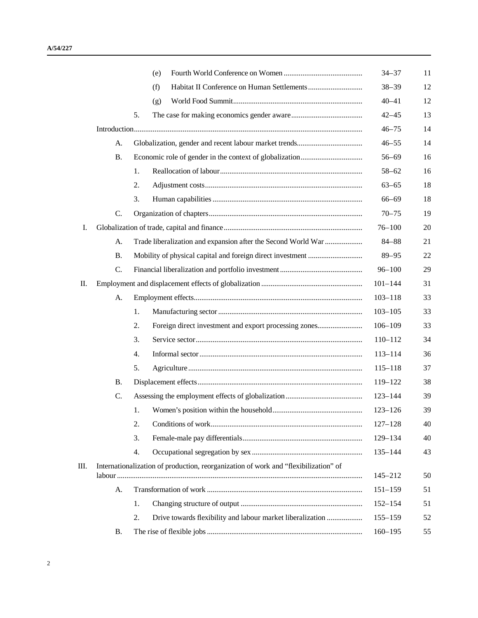|      |        |    | (e)                                                                                 | $34 - 37$   | 11 |
|------|--------|----|-------------------------------------------------------------------------------------|-------------|----|
|      |        |    | (f)                                                                                 | $38 - 39$   | 12 |
|      |        |    | (g)                                                                                 | $40 - 41$   | 12 |
|      |        | 5. |                                                                                     | $42 - 45$   | 13 |
|      |        |    |                                                                                     | $46 - 75$   | 14 |
|      | А.     |    |                                                                                     | $46 - 55$   | 14 |
|      | В.     |    |                                                                                     | $56 - 69$   | 16 |
|      |        | 1. |                                                                                     | $58 - 62$   | 16 |
|      |        | 2. |                                                                                     | $63 - 65$   | 18 |
|      |        | 3. |                                                                                     | $66 - 69$   | 18 |
|      | C.     |    |                                                                                     | $70 - 75$   | 19 |
| Ι.   |        |    |                                                                                     | $76 - 100$  | 20 |
|      | А.     |    | Trade liberalization and expansion after the Second World War                       | $84 - 88$   | 21 |
|      | В.     |    |                                                                                     | $89 - 95$   | 22 |
|      | C.     |    |                                                                                     | $96 - 100$  | 29 |
| П.   |        |    |                                                                                     | $101 - 144$ | 31 |
|      | А.     |    |                                                                                     | $103 - 118$ | 33 |
|      |        | 1. |                                                                                     | $103 - 105$ | 33 |
|      |        | 2. | Foreign direct investment and export processing zones                               | $106 - 109$ | 33 |
|      |        | 3. |                                                                                     | $110 - 112$ | 34 |
|      |        | 4. |                                                                                     | $113 - 114$ | 36 |
|      |        | 5. |                                                                                     | $115 - 118$ | 37 |
|      | В.     |    |                                                                                     | 119-122     | 38 |
|      | C.     |    |                                                                                     | $123 - 144$ | 39 |
|      |        | 1. |                                                                                     | $123 - 126$ | 39 |
|      |        | 2. |                                                                                     | $127 - 128$ | 40 |
|      |        | 3. |                                                                                     | 129-134     | 40 |
|      |        | 4. |                                                                                     | $135 - 144$ | 43 |
| III. | labour |    | Internationalization of production, reorganization of work and "flexibilization" of | $145 - 212$ | 50 |
|      | А.     |    |                                                                                     | $151 - 159$ | 51 |
|      |        | 1. |                                                                                     | $152 - 154$ | 51 |
|      |        | 2. | Drive towards flexibility and labour market liberalization                          | $155 - 159$ | 52 |
|      | Β.     |    |                                                                                     | $160 - 195$ | 55 |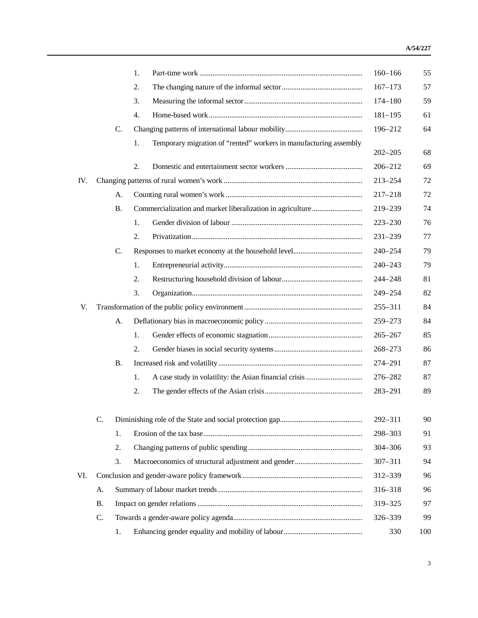|     |    |           | 1. |                                                                   | $160 - 166$ | 55  |
|-----|----|-----------|----|-------------------------------------------------------------------|-------------|-----|
|     |    |           | 2. |                                                                   | $167 - 173$ | 57  |
|     |    |           | 3. |                                                                   | $174 - 180$ | 59  |
|     |    |           | 4. |                                                                   | $181 - 195$ | 61  |
|     |    | C.        |    |                                                                   | 196-212     | 64  |
|     |    |           | 1. | Temporary migration of "rented" workers in manufacturing assembly |             |     |
|     |    |           |    |                                                                   | $202 - 205$ | 68  |
|     |    |           | 2. |                                                                   | $206 - 212$ | 69  |
| IV. |    |           |    |                                                                   | $213 - 254$ | 72  |
|     |    | A.        |    |                                                                   | $217 - 218$ | 72  |
|     |    | <b>B.</b> |    |                                                                   | 219-239     | 74  |
|     |    |           | 1. |                                                                   | $223 - 230$ | 76  |
|     |    |           | 2. |                                                                   | $231 - 239$ | 77  |
|     |    | C.        |    |                                                                   | $240 - 254$ | 79  |
|     |    |           | 1. |                                                                   | $240 - 243$ | 79  |
|     |    |           | 2. |                                                                   | 244-248     | 81  |
|     |    |           | 3. |                                                                   | 249-254     | 82  |
| V.  |    |           |    |                                                                   | $255 - 311$ | 84  |
|     |    | A.        |    |                                                                   | 259-273     | 84  |
|     |    |           | 1. |                                                                   | $265 - 267$ | 85  |
|     |    |           | 2. |                                                                   | $268 - 273$ | 86  |
|     |    | <b>B.</b> |    |                                                                   | 274-291     | 87  |
|     |    |           | 1. |                                                                   | 276-282     | 87  |
|     |    |           | 2. |                                                                   | 283-291     | 89  |
|     | C. |           |    |                                                                   | 292-311     | 90  |
|     |    | 1.        |    |                                                                   | 298-303     | 91  |
|     |    | 2.        |    |                                                                   | $304 - 306$ | 93  |
|     |    | 3.        |    |                                                                   | $307 - 311$ | 94  |
| VI. |    |           |    |                                                                   | 312-339     | 96  |
|     |    |           |    |                                                                   |             |     |
|     | A. |           |    |                                                                   | 316-318     | 96  |
|     | Β. |           |    |                                                                   | 319 - 325   | 97  |
|     | C. |           |    |                                                                   | 326-339     | 99  |
|     |    | 1.        |    |                                                                   | 330         | 100 |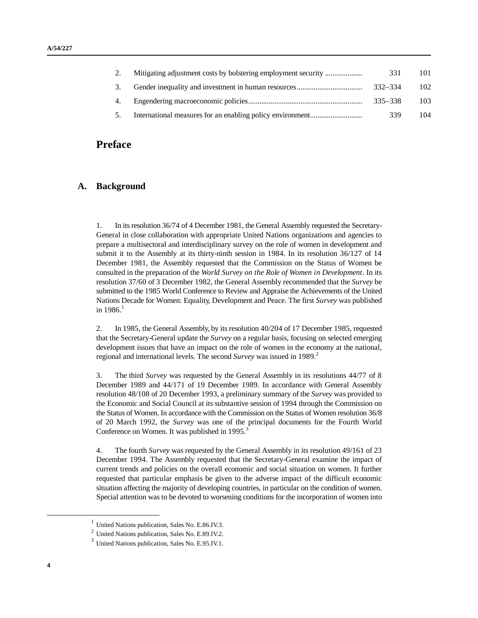| 2. | 331     | 101 |
|----|---------|-----|
| 3. | 332–334 | 102 |
|    | 335–338 | 103 |
| 5. | 339     | 104 |
|    |         |     |

# **Preface**

## **A. Background**

1. In its resolution 36/74 of 4 December 1981, the General Assembly requested the Secretary-General in close collaboration with appropriate United Nations organizations and agencies to prepare a multisectoral and interdisciplinary survey on the role of women in development and submit it to the Assembly at its thirty-ninth session in 1984. In its resolution 36/127 of 14 December 1981, the Assembly requested that the Commission on the Status of Women be consulted in the preparation of the *World Survey on the Role of Women in Development*. In its resolution 37/60 of 3 December 1982, the General Assembly recommended that the *Survey* be submitted to the 1985 World Conference to Review and Appraise the Achievements of the United Nations Decade for Women: Equality, Development and Peace. The first *Survey* was published in  $1986.$ <sup>1</sup>

2. In 1985, the General Assembly, by its resolution 40/204 of 17 December 1985, requested that the Secretary-General update the *Survey* on a regular basis, focusing on selected emerging development issues that have an impact on the role of women in the economy at the national, regional and international levels. The second *Survey* was issued in 1989.<sup>2</sup>

3. The third *Survey* was requested by the General Assembly in its resolutions 44/77 of 8 December 1989 and 44/171 of 19 December 1989. In accordance with General Assembly resolution 48/108 of 20 December 1993, a preliminary summary of the *Survey* was provided to the Economic and Social Council at its substantive session of 1994 through the Commission on the Status of Women. In accordance with the Commission on the Status of Women resolution 36/8 of 20 March 1992, the *Survey* was one of the principal documents for the Fourth World Conference on Women. It was published in 1995. $3$ 

4. The fourth *Survey* was requested by the General Assembly in its resolution 49/161 of 23 December 1994. The Assembly requested that the Secretary-General examine the impact of current trends and policies on the overall economic and social situation on women. It further requested that particular emphasis be given to the adverse impact of the difficult economic situation affecting the majority of developing countries, in particular on the condition of women. Special attention was to be devoted to worsening conditions for the incorporation of women into

<u>.</u>

<sup>&</sup>lt;sup>1</sup> United Nations publication, Sales No. E.86.IV.3.

<sup>2</sup> United Nations publication, Sales No. E.89.IV.2.

<sup>&</sup>lt;sup>3</sup> United Nations publication, Sales No. E.95.IV.1.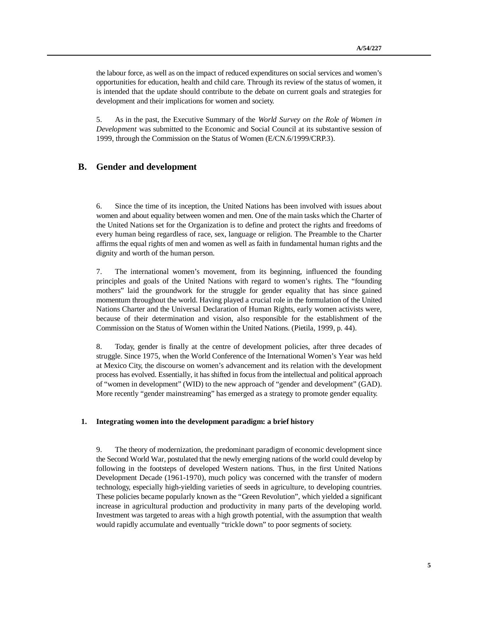the labour force, as well as on the impact of reduced expenditures on social services and women's opportunities for education, health and child care. Through its review of the status of women, it is intended that the update should contribute to the debate on current goals and strategies for development and their implications for women and society.

5. As in the past, the Executive Summary of the *World Survey on the Role of Women in Development* was submitted to the Economic and Social Council at its substantive session of 1999, through the Commission on the Status of Women (E/CN.6/1999/CRP.3).

## **B. Gender and development**

6. Since the time of its inception, the United Nations has been involved with issues about women and about equality between women and men. One of the main tasks which the Charter of the United Nations set for the Organization is to define and protect the rights and freedoms of every human being regardless of race, sex, language or religion. The Preamble to the Charter affirms the equal rights of men and women as well as faith in fundamental human rights and the dignity and worth of the human person.

7. The international women's movement, from its beginning, influenced the founding principles and goals of the United Nations with regard to women's rights. The "founding mothers" laid the groundwork for the struggle for gender equality that has since gained momentum throughout the world. Having played a crucial role in the formulation of the United Nations Charter and the Universal Declaration of Human Rights, early women activists were, because of their determination and vision, also responsible for the establishment of the Commission on the Status of Women within the United Nations. (Pietila, 1999, p. 44).

8. Today, gender is finally at the centre of development policies, after three decades of struggle. Since 1975, when the World Conference of the International Women's Year was held at Mexico City, the discourse on women's advancement and its relation with the development process has evolved. Essentially, it has shifted in focus from the intellectual and political approach of "women in development" (WID) to the new approach of "gender and development" (GAD). More recently "gender mainstreaming" has emerged as a strategy to promote gender equality.

#### **1. Integrating women into the development paradigm: a brief history**

9. The theory of modernization, the predominant paradigm of economic development since the Second World War, postulated that the newly emerging nations of the world could develop by following in the footsteps of developed Western nations. Thus, in the first United Nations Development Decade (1961-1970), much policy was concerned with the transfer of modern technology, especially high-yielding varieties of seeds in agriculture, to developing countries. These policies became popularly known as the "Green Revolution", which yielded a significant increase in agricultural production and productivity in many parts of the developing world. Investment was targeted to areas with a high growth potential, with the assumption that wealth would rapidly accumulate and eventually "trickle down" to poor segments of society.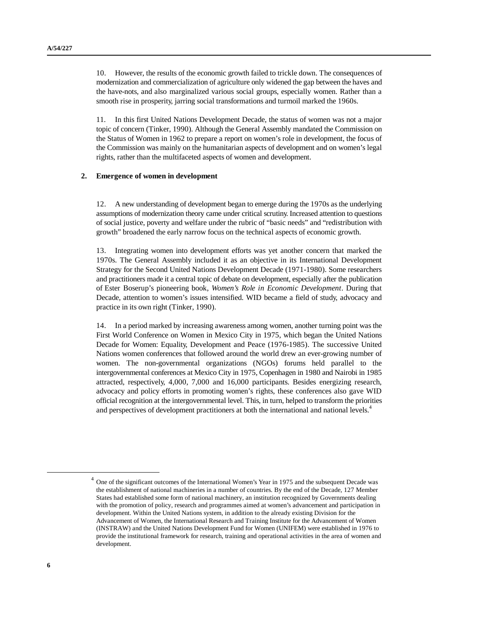10. However, the results of the economic growth failed to trickle down. The consequences of modernization and commercialization of agriculture only widened the gap between the haves and the have-nots, and also marginalized various social groups, especially women. Rather than a smooth rise in prosperity, jarring social transformations and turmoil marked the 1960s.

11. In this first United Nations Development Decade, the status of women was not a major topic of concern (Tinker, 1990). Although the General Assembly mandated the Commission on the Status of Women in 1962 to prepare a report on women's role in development, the focus of the Commission was mainly on the humanitarian aspects of development and on women's legal rights, rather than the multifaceted aspects of women and development.

#### **2. Emergence of women in development**

12. A new understanding of development began to emerge during the 1970s as the underlying assumptions of modernization theory came under critical scrutiny. Increased attention to questions of social justice, poverty and welfare under the rubric of "basic needs" and "redistribution with growth" broadened the early narrow focus on the technical aspects of economic growth.

13. Integrating women into development efforts was yet another concern that marked the 1970s. The General Assembly included it as an objective in its International Development Strategy for the Second United Nations Development Decade (1971-1980). Some researchers and practitioners made it a central topic of debate on development, especially after the publication of Ester Boserup's pioneering book, *Women's Role in Economic Development*. During that Decade, attention to women's issues intensified. WID became a field of study, advocacy and practice in its own right (Tinker, 1990).

14. In a period marked by increasing awareness among women, another turning point was the First World Conference on Women in Mexico City in 1975, which began the United Nations Decade for Women: Equality, Development and Peace (1976-1985). The successive United Nations women conferences that followed around the world drew an ever-growing number of women. The non-governmental organizations (NGOs) forums held parallel to the intergovernmental conferences at Mexico City in 1975, Copenhagen in 1980 and Nairobi in 1985 attracted, respectively, 4,000, 7,000 and 16,000 participants. Besides energizing research, advocacy and policy efforts in promoting women's rights, these conferences also gave WID official recognition at the intergovernmental level. This, in turn, helped to transform the priorities and perspectives of development practitioners at both the international and national levels.<sup>4</sup>

<u>.</u>

<sup>&</sup>lt;sup>4</sup> One of the significant outcomes of the International Women's Year in 1975 and the subsequent Decade was the establishment of national machineries in a number of countries. By the end of the Decade, 127 Member States had established some form of national machinery, an institution recognized by Governments dealing with the promotion of policy, research and programmes aimed at women's advancement and participation in development. Within the United Nations system, in addition to the already existing Division for the Advancement of Women, the International Research and Training Institute for the Advancement of Women (INSTRAW) and the United Nations Development Fund for Women (UNIFEM) were established in 1976 to provide the institutional framework for research, training and operational activities in the area of women and development.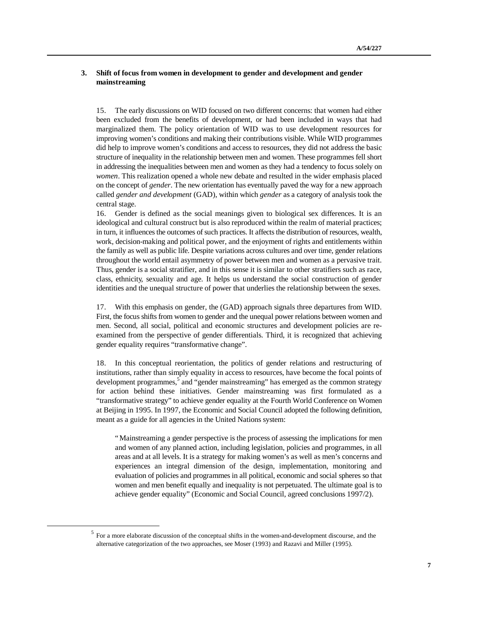## **3. Shift of focus from women in development to gender and development and gender mainstreaming**

15. The early discussions on WID focused on two different concerns: that women had either been excluded from the benefits of development, or had been included in ways that had marginalized them. The policy orientation of WID was to use development resources for improving women's conditions and making their contributions visible. While WID programmes did help to improve women's conditions and access to resources, they did not address the basic structure of inequality in the relationship between men and women. These programmes fell short in addressing the inequalities between men and women as they had a tendency to focus solely on *women*. This realization opened a whole new debate and resulted in the wider emphasis placed on the concept of *gender*. The new orientation has eventually paved the way for a new approach called *gender and development* (GAD), within which *gender* as a category of analysis took the central stage.

16. Gender is defined as the social meanings given to biological sex differences. It is an ideological and cultural construct but is also reproduced within the realm of material practices; in turn, it influences the outcomes of such practices. It affects the distribution of resources, wealth, work, decision-making and political power, and the enjoyment of rights and entitlements within the family as well as public life. Despite variations across cultures and over time, gender relations throughout the world entail asymmetry of power between men and women as a pervasive trait. Thus, gender is a social stratifier, and in this sense it is similar to other stratifiers such as race, class, ethnicity, sexuality and age. It helps us understand the social construction of gender identities and the unequal structure of power that underlies the relationship between the sexes.

17. With this emphasis on gender, the (GAD) approach signals three departures from WID. First, the focus shifts from women to gender and the unequal power relations between women and men. Second, all social, political and economic structures and development policies are reexamined from the perspective of gender differentials. Third, it is recognized that achieving gender equality requires "transformative change".

18. In this conceptual reorientation, the politics of gender relations and restructuring of institutions, rather than simply equality in access to resources, have become the focal points of development programmes,<sup>5</sup> and "gender mainstreaming" has emerged as the common strategy for action behind these initiatives. Gender mainstreaming was first formulated as a "transformative strategy" to achieve gender equality at the Fourth World Conference on Women at Beijing in 1995. In 1997, the Economic and Social Council adopted the following definition, meant as a guide for all agencies in the United Nations system:

"Mainstreaming a gender perspective is the process of assessing the implications for men and women of any planned action, including legislation, policies and programmes, in all areas and at all levels. It is a strategy for making women's as well as men's concerns and experiences an integral dimension of the design, implementation, monitoring and evaluation of policies and programmes in all political, economic and social spheres so that women and men benefit equally and inequality is not perpetuated. The ultimate goal is to achieve gender equality" (Economic and Social Council, agreed conclusions 1997/2).

1

 $<sup>5</sup>$  For a more elaborate discussion of the conceptual shifts in the women-and-development discourse, and the</sup> alternative categorization of the two approaches, see Moser (1993) and Razavi and Miller (1995).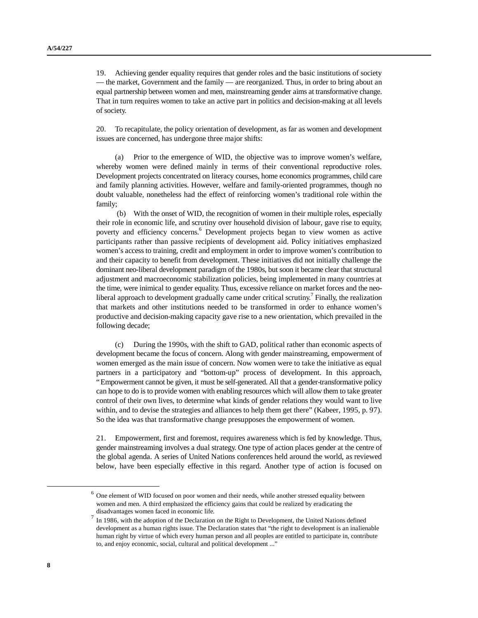19. Achieving gender equality requires that gender roles and the basic institutions of society — the market, Government and the family — are reorganized. Thus, in order to bring about an equal partnership between women and men, mainstreaming gender aims at transformative change. That in turn requires women to take an active part in politics and decision-making at all levels of society.

20. To recapitulate, the policy orientation of development, as far as women and development issues are concerned, has undergone three major shifts:

(a) Prior to the emergence of WID, the objective was to improve women's welfare, whereby women were defined mainly in terms of their conventional reproductive roles. Development projects concentrated on literacy courses, home economics programmes, child care and family planning activities. However, welfare and family-oriented programmes, though no doubt valuable, nonetheless had the effect of reinforcing women's traditional role within the family;

 (b) With the onset of WID, the recognition of women in their multiple roles, especially their role in economic life, and scrutiny over household division of labour, gave rise to equity, poverty and efficiency concerns.<sup>6</sup> Development projects began to view women as active participants rather than passive recipients of development aid. Policy initiatives emphasized women's access to training, credit and employment in order to improve women's contribution to and their capacity to benefit from development. These initiatives did not initially challenge the dominant neo-liberal development paradigm of the 1980s, but soon it became clear that structural adjustment and macroeconomic stabilization policies, being implemented in many countries at the time, were inimical to gender equality. Thus, excessive reliance on market forces and the neoliberal approach to development gradually came under critical scrutiny.<sup>7</sup> Finally, the realization that markets and other institutions needed to be transformed in order to enhance women's productive and decision-making capacity gave rise to a new orientation, which prevailed in the following decade;

(c) During the 1990s, with the shift to GAD, political rather than economic aspects of development became the focus of concern. Along with gender mainstreaming, empowerment of women emerged as the main issue of concern. Now women were to take the initiative as equal partners in a participatory and "bottom-up" process of development. In this approach, "Empowerment cannot be given, it must be self-generated. All that a gender-transformative policy can hope to do is to provide women with enabling resources which will allow them to take greater control of their own lives, to determine what kinds of gender relations they would want to live within, and to devise the strategies and alliances to help them get there" (Kabeer, 1995, p. 97). So the idea was that transformative change presupposes the empowerment of women.

21. Empowerment, first and foremost, requires awareness which is fed by knowledge. Thus, gender mainstreaming involves a dual strategy. One type of action places gender at the centre of the global agenda. A series of United Nations conferences held around the world, as reviewed below, have been especially effective in this regard. Another type of action is focused on

<u>.</u>

 $6$  One element of WID focused on poor women and their needs, while another stressed equality between women and men. A third emphasized the efficiency gains that could be realized by eradicating the disadvantages women faced in economic life.

<sup>7</sup> In 1986, with the adoption of the Declaration on the Right to Development, the United Nations defined development as a human rights issue. The Declaration states that "the right to development is an inalienable human right by virtue of which every human person and all peoples are entitled to participate in, contribute to, and enjoy economic, social, cultural and political development ..."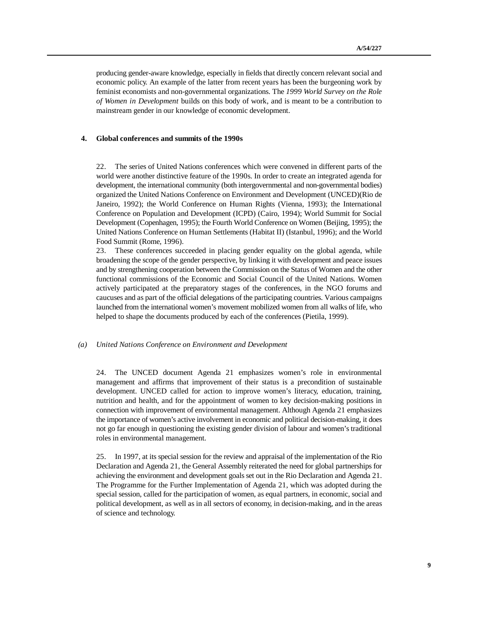producing gender-aware knowledge, especially in fields that directly concern relevant social and economic policy. An example of the latter from recent years has been the burgeoning work by feminist economists and non-governmental organizations. The *1999 World Survey on the Role of Women in Development* builds on this body of work, and is meant to be a contribution to mainstream gender in our knowledge of economic development.

#### **4. Global conferences and summits of the 1990s**

22. The series of United Nations conferences which were convened in different parts of the world were another distinctive feature of the 1990s. In order to create an integrated agenda for development, the international community (both intergovernmental and non-governmental bodies) organized the United Nations Conference on Environment and Development (UNCED)(Rio de Janeiro, 1992); the World Conference on Human Rights (Vienna, 1993); the International Conference on Population and Development (ICPD) (Cairo, 1994); World Summit for Social Development (Copenhagen, 1995); the Fourth World Conference on Women (Beijing, 1995); the United Nations Conference on Human Settlements (Habitat II) (Istanbul, 1996); and the World Food Summit (Rome, 1996).

23. These conferences succeeded in placing gender equality on the global agenda, while broadening the scope of the gender perspective, by linking it with development and peace issues and by strengthening cooperation between the Commission on the Status of Women and the other functional commissions of the Economic and Social Council of the United Nations. Women actively participated at the preparatory stages of the conferences, in the NGO forums and caucuses and as part of the official delegations of the participating countries. Various campaigns launched from the international women's movement mobilized women from all walks of life, who helped to shape the documents produced by each of the conferences (Pietila, 1999).

## *(a) United Nations Conference on Environment and Development*

24. The UNCED document Agenda 21 emphasizes women's role in environmental management and affirms that improvement of their status is a precondition of sustainable development. UNCED called for action to improve women's literacy, education, training, nutrition and health, and for the appointment of women to key decision-making positions in connection with improvement of environmental management. Although Agenda 21 emphasizes the importance of women's active involvement in economic and political decision-making, it does not go far enough in questioning the existing gender division of labour and women's traditional roles in environmental management.

25. In 1997, at its special session for the review and appraisal of the implementation of the Rio Declaration and Agenda 21, the General Assembly reiterated the need for global partnerships for achieving the environment and development goals set out in the Rio Declaration and Agenda 21. The Programme for the Further Implementation of Agenda 21, which was adopted during the special session, called for the participation of women, as equal partners, in economic, social and political development, as well as in all sectors of economy, in decision-making, and in the areas of science and technology.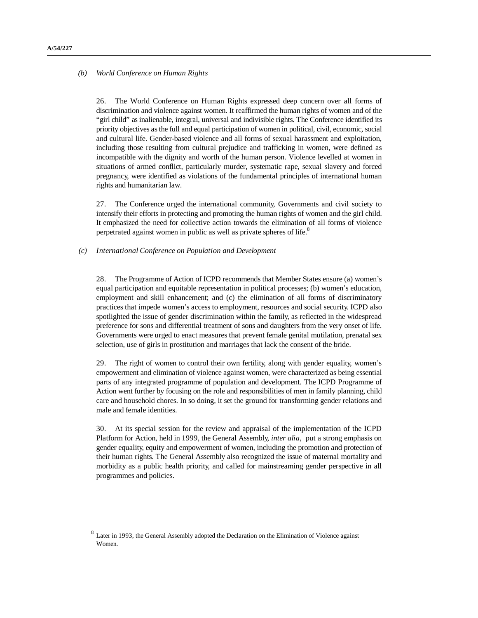1

## *(b) World Conference on Human Rights*

26. The World Conference on Human Rights expressed deep concern over all forms of discrimination and violence against women. It reaffirmed the human rights of women and of the "girl child" as inalienable, integral, universal and indivisible rights. The Conference identified its priority objectives as the full and equal participation of women in political, civil, economic, social and cultural life. Gender-based violence and all forms of sexual harassment and exploitation, including those resulting from cultural prejudice and trafficking in women, were defined as incompatible with the dignity and worth of the human person. Violence levelled at women in situations of armed conflict, particularly murder, systematic rape, sexual slavery and forced pregnancy, were identified as violations of the fundamental principles of international human rights and humanitarian law.

27. The Conference urged the international community, Governments and civil society to intensify their efforts in protecting and promoting the human rights of women and the girl child. It emphasized the need for collective action towards the elimination of all forms of violence perpetrated against women in public as well as private spheres of life.<sup>8</sup>

#### *(c) International Conference on Population and Development*

28. The Programme of Action of ICPD recommends that Member States ensure (a) women's equal participation and equitable representation in political processes; (b) women's education, employment and skill enhancement; and (c) the elimination of all forms of discriminatory practices that impede women's access to employment, resources and social security. ICPD also spotlighted the issue of gender discrimination within the family, as reflected in the widespread preference for sons and differential treatment of sons and daughters from the very onset of life. Governments were urged to enact measures that prevent female genital mutilation, prenatal sex selection, use of girls in prostitution and marriages that lack the consent of the bride.

29. The right of women to control their own fertility, along with gender equality, women's empowerment and elimination of violence against women, were characterized as being essential parts of any integrated programme of population and development. The ICPD Programme of Action went further by focusing on the role and responsibilities of men in family planning, child care and household chores. In so doing, it set the ground for transforming gender relations and male and female identities.

30. At its special session for the review and appraisal of the implementation of the ICPD Platform for Action, held in 1999, the General Assembly, *inter alia*, put a strong emphasis on gender equality, equity and empowerment of women, including the promotion and protection of their human rights. The General Assembly also recognized the issue of maternal mortality and morbidity as a public health priority, and called for mainstreaming gender perspective in all programmes and policies.

 $8$  Later in 1993, the General Assembly adopted the Declaration on the Elimination of Violence against Women.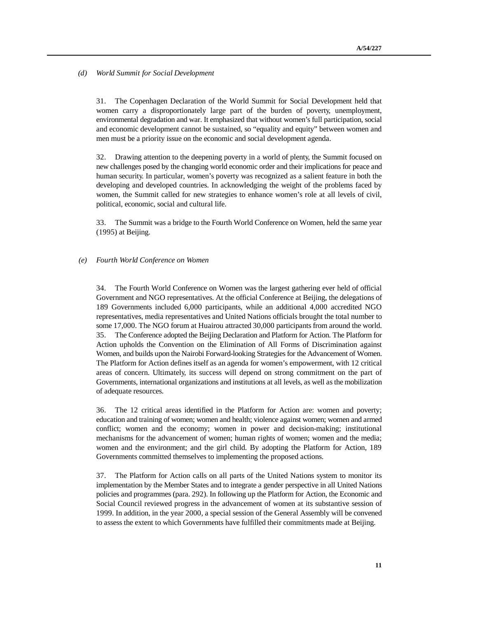## *(d) World Summit for Social Development*

31. The Copenhagen Declaration of the World Summit for Social Development held that women carry a disproportionately large part of the burden of poverty, unemployment, environmental degradation and war. It emphasized that without women's full participation, social and economic development cannot be sustained, so "equality and equity" between women and men must be a priority issue on the economic and social development agenda.

32. Drawing attention to the deepening poverty in a world of plenty, the Summit focused on new challenges posed by the changing world economic order and their implications for peace and human security. In particular, women's poverty was recognized as a salient feature in both the developing and developed countries. In acknowledging the weight of the problems faced by women, the Summit called for new strategies to enhance women's role at all levels of civil, political, economic, social and cultural life.

33. The Summit was a bridge to the Fourth World Conference on Women, held the same year (1995) at Beijing.

#### *(e) Fourth World Conference on Women*

34. The Fourth World Conference on Women was the largest gathering ever held of official Government and NGO representatives. At the official Conference at Beijing, the delegations of 189 Governments included 6,000 participants, while an additional 4,000 accredited NGO representatives, media representatives and United Nations officials brought the total number to some 17,000. The NGO forum at Huairou attracted 30,000 participants from around the world. 35. The Conference adopted the Beijing Declaration and Platform for Action. The Platform for Action upholds the Convention on the Elimination of All Forms of Discrimination against Women, and builds upon the Nairobi Forward-looking Strategies for the Advancement of Women. The Platform for Action defines itself as an agenda for women's empowerment, with 12 critical areas of concern. Ultimately, its success will depend on strong commitment on the part of Governments, international organizations and institutions at all levels, as well as the mobilization of adequate resources.

36. The 12 critical areas identified in the Platform for Action are: women and poverty; education and training of women; women and health; violence against women; women and armed conflict; women and the economy; women in power and decision-making; institutional mechanisms for the advancement of women; human rights of women; women and the media; women and the environment; and the girl child. By adopting the Platform for Action, 189 Governments committed themselves to implementing the proposed actions.

37. The Platform for Action calls on all parts of the United Nations system to monitor its implementation by the Member States and to integrate a gender perspective in all United Nations policies and programmes (para. 292). In following up the Platform for Action, the Economic and Social Council reviewed progress in the advancement of women at its substantive session of 1999. In addition, in the year 2000, a special session of the General Assembly will be convened to assess the extent to which Governments have fulfilled their commitments made at Beijing.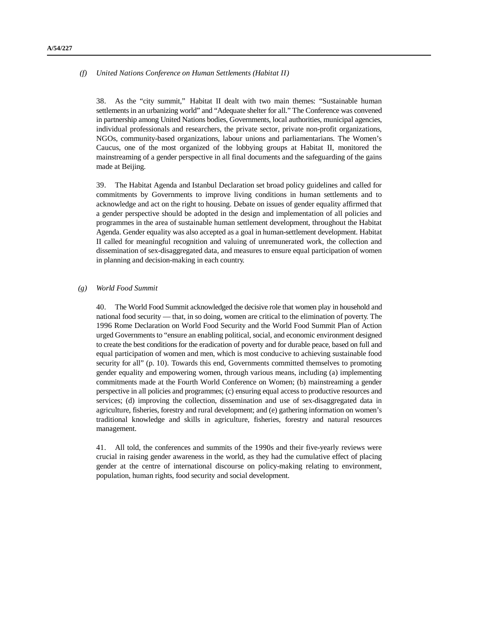# *(f) United Nations Conference on Human Settlements (Habitat II)*

38. As the "city summit," Habitat II dealt with two main themes: "Sustainable human settlements in an urbanizing world" and "Adequate shelter for all." The Conference was convened in partnership among United Nations bodies, Governments, local authorities, municipal agencies, individual professionals and researchers, the private sector, private non-profit organizations, NGOs, community-based organizations, labour unions and parliamentarians. The Women's Caucus, one of the most organized of the lobbying groups at Habitat II, monitored the mainstreaming of a gender perspective in all final documents and the safeguarding of the gains made at Beijing.

39. The Habitat Agenda and Istanbul Declaration set broad policy guidelines and called for commitments by Governments to improve living conditions in human settlements and to acknowledge and act on the right to housing. Debate on issues of gender equality affirmed that a gender perspective should be adopted in the design and implementation of all policies and programmes in the area of sustainable human settlement development, throughout the Habitat Agenda. Gender equality was also accepted as a goal in human-settlement development. Habitat II called for meaningful recognition and valuing of unremunerated work, the collection and dissemination of sex-disaggregated data, and measures to ensure equal participation of women in planning and decision-making in each country.

## *(g) World Food Summit*

40. The World Food Summit acknowledged the decisive role that women play in household and national food security — that, in so doing, women are critical to the elimination of poverty. The 1996 Rome Declaration on World Food Security and the World Food Summit Plan of Action urged Governments to "ensure an enabling political, social, and economic environment designed to create the best conditions for the eradication of poverty and for durable peace, based on full and equal participation of women and men, which is most conducive to achieving sustainable food security for all" (p. 10). Towards this end, Governments committed themselves to promoting gender equality and empowering women, through various means, including (a) implementing commitments made at the Fourth World Conference on Women; (b) mainstreaming a gender perspective in all policies and programmes; (c) ensuring equal access to productive resources and services; (d) improving the collection, dissemination and use of sex-disaggregated data in agriculture, fisheries, forestry and rural development; and (e) gathering information on women's traditional knowledge and skills in agriculture, fisheries, forestry and natural resources management.

41. All told, the conferences and summits of the 1990s and their five-yearly reviews were crucial in raising gender awareness in the world, as they had the cumulative effect of placing gender at the centre of international discourse on policy-making relating to environment, population, human rights, food security and social development.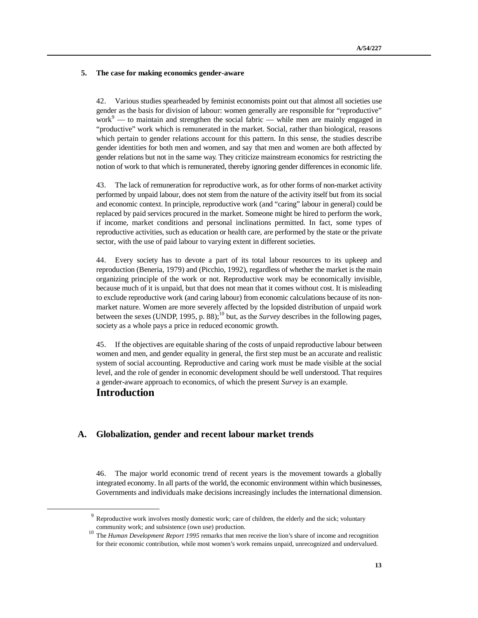## **5. The case for making economics gender-aware**

42. Various studies spearheaded by feminist economists point out that almost all societies use gender as the basis for division of labour: women generally are responsible for "reproductive"  $work<sup>9</sup>$  — to maintain and strengthen the social fabric — while men are mainly engaged in "productive" work which is remunerated in the market. Social, rather than biological, reasons which pertain to gender relations account for this pattern. In this sense, the studies describe gender identities for both men and women, and say that men and women are both affected by gender relations but not in the same way. They criticize mainstream economics for restricting the notion of work to that which is remunerated, thereby ignoring gender differences in economic life.

43. The lack of remuneration for reproductive work, as for other forms of non-market activity performed by unpaid labour, does not stem from the nature of the activity itself but from its social and economic context. In principle, reproductive work (and "caring" labour in general) could be replaced by paid services procured in the market. Someone might be hired to perform the work, if income, market conditions and personal inclinations permitted. In fact, some types of reproductive activities, such as education or health care, are performed by the state or the private sector, with the use of paid labour to varying extent in different societies.

44. Every society has to devote a part of its total labour resources to its upkeep and reproduction (Beneria, 1979) and (Picchio, 1992), regardless of whether the market is the main organizing principle of the work or not. Reproductive work may be economically invisible, because much of it is unpaid, but that does not mean that it comes without cost. It is misleading to exclude reproductive work (and caring labour) from economic calculations because of its nonmarket nature. Women are more severely affected by the lopsided distribution of unpaid work between the sexes (UNDP, 1995, p. 88); <sup>10</sup> but, as the *Survey* describes in the following pages, society as a whole pays a price in reduced economic growth.

45. If the objectives are equitable sharing of the costs of unpaid reproductive labour between women and men, and gender equality in general, the first step must be an accurate and realistic system of social accounting. Reproductive and caring work must be made visible at the social level, and the role of gender in economic development should be well understood. That requires a gender-aware approach to economics, of which the present *Survey* is an example. **Introduction**

<u>.</u>

## **A. Globalization, gender and recent labour market trends**

46. The major world economic trend of recent years is the movement towards a globally integrated economy. In all parts of the world, the economic environment within which businesses, Governments and individuals make decisions increasingly includes the international dimension.

<sup>9</sup> Reproductive work involves mostly domestic work; care of children, the elderly and the sick; voluntary community work; and subsistence (own use) production.

<sup>&</sup>lt;sup>10</sup> The *Human Development Report 1995* remarks that men receive the lion's share of income and recognition for their economic contribution, while most women's work remains unpaid, unrecognized and undervalued.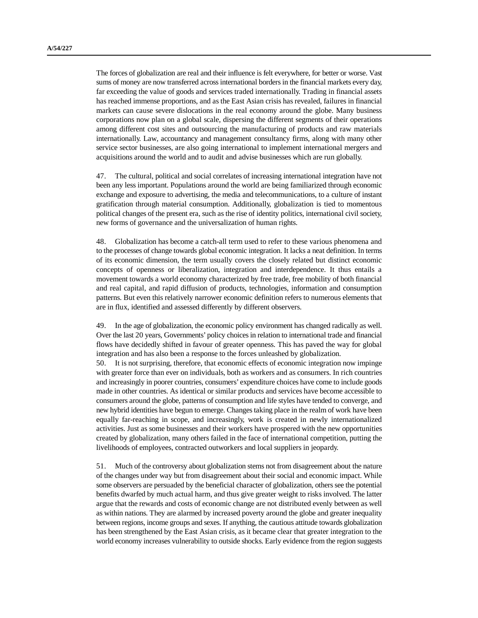The forces of globalization are real and their influence is felt everywhere, for better or worse. Vast sums of money are now transferred across international borders in the financial markets every day, far exceeding the value of goods and services traded internationally. Trading in financial assets has reached immense proportions, and as the East Asian crisis has revealed, failures in financial markets can cause severe dislocations in the real economy around the globe. Many business corporations now plan on a global scale, dispersing the different segments of their operations among different cost sites and outsourcing the manufacturing of products and raw materials internationally. Law, accountancy and management consultancy firms, along with many other service sector businesses, are also going international to implement international mergers and acquisitions around the world and to audit and advise businesses which are run globally.

47. The cultural, political and social correlates of increasing international integration have not been any less important. Populations around the world are being familiarized through economic exchange and exposure to advertising, the media and telecommunications, to a culture of instant gratification through material consumption. Additionally, globalization is tied to momentous political changes of the present era, such as the rise of identity politics, international civil society, new forms of governance and the universalization of human rights.

48. Globalization has become a catch-all term used to refer to these various phenomena and to the processes of change towards global economic integration. It lacks a neat definition. In terms of its economic dimension, the term usually covers the closely related but distinct economic concepts of openness or liberalization, integration and interdependence. It thus entails a movement towards a world economy characterized by free trade, free mobility of both financial and real capital, and rapid diffusion of products, technologies, information and consumption patterns. But even this relatively narrower economic definition refers to numerous elements that are in flux, identified and assessed differently by different observers.

49. In the age of globalization, the economic policy environment has changed radically as well. Over the last 20 years, Governments' policy choices in relation to international trade and financial flows have decidedly shifted in favour of greater openness. This has paved the way for global integration and has also been a response to the forces unleashed by globalization.

50. It is not surprising, therefore, that economic effects of economic integration now impinge with greater force than ever on individuals, both as workers and as consumers. In rich countries and increasingly in poorer countries, consumers' expenditure choices have come to include goods made in other countries. As identical or similar products and services have become accessible to consumers around the globe, patterns of consumption and life styles have tended to converge, and new hybrid identities have begun to emerge. Changes taking place in the realm of work have been equally far-reaching in scope, and increasingly, work is created in newly internationalized activities. Just as some businesses and their workers have prospered with the new opportunities created by globalization, many others failed in the face of international competition, putting the livelihoods of employees, contracted outworkers and local suppliers in jeopardy.

51. Much of the controversy about globalization stems not from disagreement about the nature of the changes under way but from disagreement about their social and economic impact. While some observers are persuaded by the beneficial character of globalization, others see the potential benefits dwarfed by much actual harm, and thus give greater weight to risks involved. The latter argue that the rewards and costs of economic change are not distributed evenly between as well as within nations. They are alarmed by increased poverty around the globe and greater inequality between regions, income groups and sexes. If anything, the cautious attitude towards globalization has been strengthened by the East Asian crisis, as it became clear that greater integration to the world economy increases vulnerability to outside shocks. Early evidence from the region suggests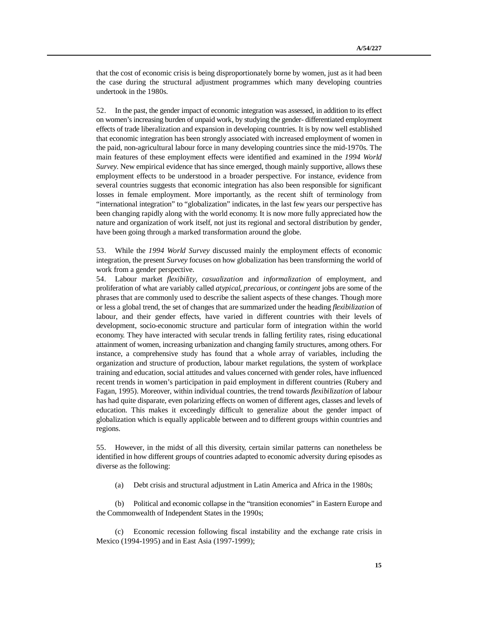that the cost of economic crisis is being disproportionately borne by women, just as it had been the case during the structural adjustment programmes which many developing countries undertook in the 1980s.

52. In the past, the gender impact of economic integration was assessed, in addition to its effect on women's increasing burden of unpaid work, by studying the gender- differentiated employment effects of trade liberalization and expansion in developing countries. It is by now well established that economic integration has been strongly associated with increased employment of women in the paid, non-agricultural labour force in many developing countries since the mid-1970s. The main features of these employment effects were identified and examined in the *1994 World Survey.* New empirical evidence that has since emerged, though mainly supportive, allows these employment effects to be understood in a broader perspective. For instance, evidence from several countries suggests that economic integration has also been responsible for significant losses in female employment. More importantly, as the recent shift of terminology from "international integration" to "globalization" indicates, in the last few years our perspective has been changing rapidly along with the world economy. It is now more fully appreciated how the nature and organization of work itself, not just its regional and sectoral distribution by gender, have been going through a marked transformation around the globe.

53. While the *1994 World Survey* discussed mainly the employment effects of economic integration, the present *Survey* focuses on how globalization has been transforming the world of work from a gender perspective.

54. Labour market *flexibility, casualization* and *informalization* of employment, and proliferation of what are variably called *atypical, precarious,* or *contingent* jobs are some of the phrases that are commonly used to describe the salient aspects of these changes. Though more or less a global trend, the set of changes that are summarized under the heading *flexibilization* of labour, and their gender effects, have varied in different countries with their levels of development, socio-economic structure and particular form of integration within the world economy. They have interacted with secular trends in falling fertility rates, rising educational attainment of women, increasing urbanization and changing family structures, among others. For instance, a comprehensive study has found that a whole array of variables, including the organization and structure of production, labour market regulations, the system of workplace training and education, social attitudes and values concerned with gender roles, have influenced recent trends in women's participation in paid employment in different countries (Rubery and Fagan, 1995). Moreover, within individual countries, the trend towards *flexibilization* of labour has had quite disparate, even polarizing effects on women of different ages, classes and levels of education. This makes it exceedingly difficult to generalize about the gender impact of globalization which is equally applicable between and to different groups within countries and regions.

55. However, in the midst of all this diversity, certain similar patterns can nonetheless be identified in how different groups of countries adapted to economic adversity during episodes as diverse as the following:

(a) Debt crisis and structural adjustment in Latin America and Africa in the 1980s;

(b) Political and economic collapse in the "transition economies" in Eastern Europe and the Commonwealth of Independent States in the 1990s;

(c) Economic recession following fiscal instability and the exchange rate crisis in Mexico (1994-1995) and in East Asia (1997-1999);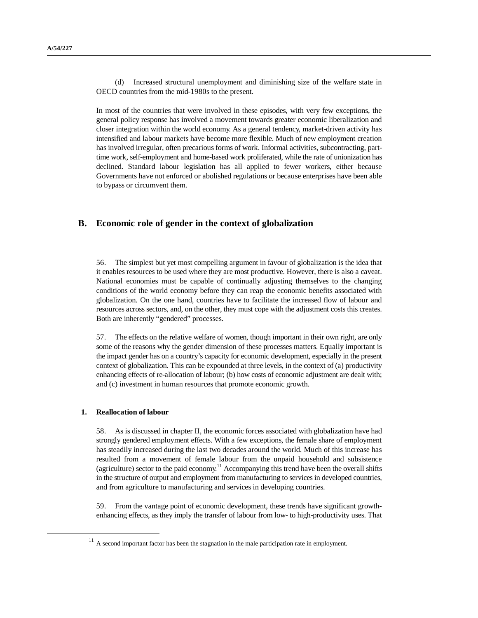(d) Increased structural unemployment and diminishing size of the welfare state in OECD countries from the mid-1980s to the present.

In most of the countries that were involved in these episodes, with very few exceptions, the general policy response has involved a movement towards greater economic liberalization and closer integration within the world economy. As a general tendency, market-driven activity has intensified and labour markets have become more flexible. Much of new employment creation has involved irregular, often precarious forms of work. Informal activities, subcontracting, parttime work, self-employment and home-based work proliferated, while the rate of unionization has declined. Standard labour legislation has all applied to fewer workers, either because Governments have not enforced or abolished regulations or because enterprises have been able to bypass or circumvent them.

## **B. Economic role of gender in the context of globalization**

56. The simplest but yet most compelling argument in favour of globalization is the idea that it enables resources to be used where they are most productive. However, there is also a caveat. National economies must be capable of continually adjusting themselves to the changing conditions of the world economy before they can reap the economic benefits associated with globalization. On the one hand, countries have to facilitate the increased flow of labour and resources across sectors, and, on the other, they must cope with the adjustment costs this creates. Both are inherently "gendered" processes.

57. The effects on the relative welfare of women, though important in their own right, are only some of the reasons why the gender dimension of these processes matters. Equally important is the impact gender has on a country's capacity for economic development, especially in the present context of globalization. This can be expounded at three levels, in the context of (a) productivity enhancing effects of re-allocation of labour; (b) how costs of economic adjustment are dealt with; and (c) investment in human resources that promote economic growth.

## **1. Reallocation of labour**

1

58. As is discussed in chapter II, the economic forces associated with globalization have had strongly gendered employment effects. With a few exceptions, the female share of employment has steadily increased during the last two decades around the world. Much of this increase has resulted from a movement of female labour from the unpaid household and subsistence (agriculture) sector to the paid economy.<sup>11</sup> Accompanying this trend have been the overall shifts in the structure of output and employment from manufacturing to services in developed countries, and from agriculture to manufacturing and services in developing countries.

59. From the vantage point of economic development, these trends have significant growthenhancing effects, as they imply the transfer of labour from low- to high-productivity uses. That

 $11$  A second important factor has been the stagnation in the male participation rate in employment.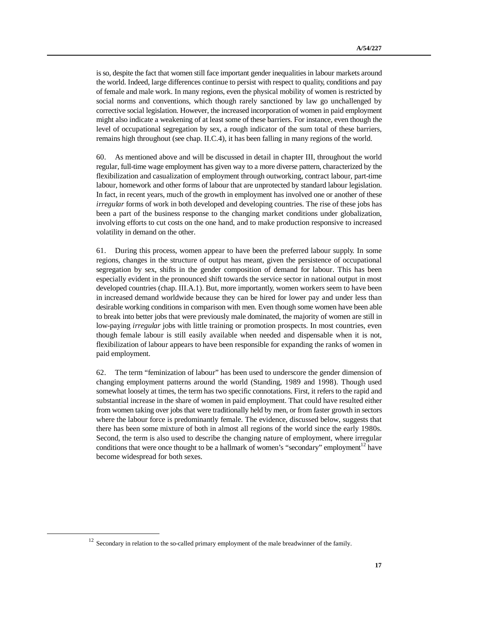is so, despite the fact that women still face important gender inequalities in labour markets around the world. Indeed, large differences continue to persist with respect to quality, conditions and pay of female and male work. In many regions, even the physical mobility of women is restricted by social norms and conventions, which though rarely sanctioned by law go unchallenged by corrective social legislation. However, the increased incorporation of women in paid employment might also indicate a weakening of at least some of these barriers. For instance, even though the level of occupational segregation by sex, a rough indicator of the sum total of these barriers, remains high throughout (see chap. II.C.4), it has been falling in many regions of the world.

60. As mentioned above and will be discussed in detail in chapter III, throughout the world regular, full-time wage employment has given way to a more diverse pattern, characterized by the flexibilization and casualization of employment through outworking, contract labour, part-time labour, homework and other forms of labour that are unprotected by standard labour legislation. In fact, in recent years, much of the growth in employment has involved one or another of these *irregular* forms of work in both developed and developing countries. The rise of these jobs has been a part of the business response to the changing market conditions under globalization, involving efforts to cut costs on the one hand, and to make production responsive to increased volatility in demand on the other.

61. During this process, women appear to have been the preferred labour supply. In some regions, changes in the structure of output has meant, given the persistence of occupational segregation by sex, shifts in the gender composition of demand for labour. This has been especially evident in the pronounced shift towards the service sector in national output in most developed countries (chap. III.A.1). But, more importantly, women workers seem to have been in increased demand worldwide because they can be hired for lower pay and under less than desirable working conditions in comparison with men. Even though some women have been able to break into better jobs that were previously male dominated, the majority of women are still in low-paying *irregular* jobs with little training or promotion prospects. In most countries, even though female labour is still easily available when needed and dispensable when it is not, flexibilization of labour appears to have been responsible for expanding the ranks of women in paid employment.

62. The term "feminization of labour" has been used to underscore the gender dimension of changing employment patterns around the world (Standing, 1989 and 1998). Though used somewhat loosely at times, the term has two specific connotations. First, it refers to the rapid and substantial increase in the share of women in paid employment. That could have resulted either from women taking over jobs that were traditionally held by men, or from faster growth in sectors where the labour force is predominantly female. The evidence, discussed below, suggests that there has been some mixture of both in almost all regions of the world since the early 1980s. Second, the term is also used to describe the changing nature of employment, where irregular conditions that were once thought to be a hallmark of women's "secondary" employment<sup>12</sup> have become widespread for both sexes.

1

 $12$  Secondary in relation to the so-called primary employment of the male breadwinner of the family.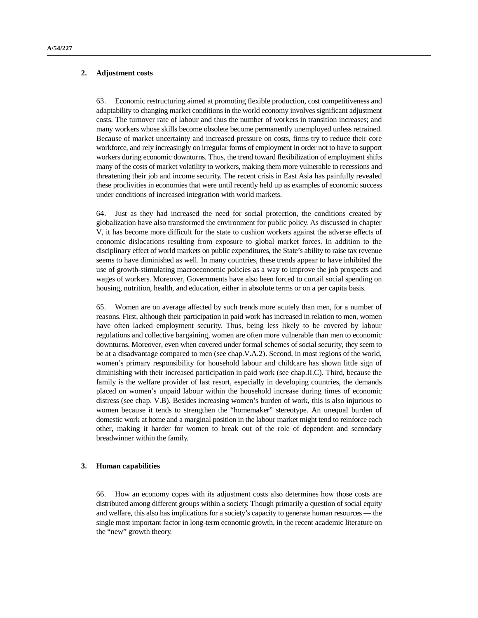#### **2. Adjustment costs**

63. Economic restructuring aimed at promoting flexible production, cost competitiveness and adaptability to changing market conditions in the world economy involves significant adjustment costs. The turnover rate of labour and thus the number of workers in transition increases; and many workers whose skills become obsolete become permanently unemployed unless retrained. Because of market uncertainty and increased pressure on costs, firms try to reduce their core workforce, and rely increasingly on irregular forms of employment in order not to have to support workers during economic downturns. Thus, the trend toward flexibilization of employment shifts many of the costs of market volatility to workers, making them more vulnerable to recessions and threatening their job and income security. The recent crisis in East Asia has painfully revealed these proclivities in economies that were until recently held up as examples of economic success under conditions of increased integration with world markets.

64. Just as they had increased the need for social protection, the conditions created by globalization have also transformed the environment for public policy. As discussed in chapter V, it has become more difficult for the state to cushion workers against the adverse effects of economic dislocations resulting from exposure to global market forces. In addition to the disciplinary effect of world markets on public expenditures, the State's ability to raise tax revenue seems to have diminished as well. In many countries, these trends appear to have inhibited the use of growth-stimulating macroeconomic policies as a way to improve the job prospects and wages of workers. Moreover, Governments have also been forced to curtail social spending on housing, nutrition, health, and education, either in absolute terms or on a per capita basis.

65. Women are on average affected by such trends more acutely than men, for a number of reasons. First, although their participation in paid work has increased in relation to men, women have often lacked employment security. Thus, being less likely to be covered by labour regulations and collective bargaining, women are often more vulnerable than men to economic downturns. Moreover, even when covered under formal schemes of social security, they seem to be at a disadvantage compared to men (see chap.V.A.2). Second, in most regions of the world, women's primary responsibility for household labour and childcare has shown little sign of diminishing with their increased participation in paid work (see chap.II.C). Third, because the family is the welfare provider of last resort, especially in developing countries, the demands placed on women's unpaid labour within the household increase during times of economic distress (see chap. V.B). Besides increasing women's burden of work, this is also injurious to women because it tends to strengthen the "homemaker" stereotype. An unequal burden of domestic work at home and a marginal position in the labour market might tend to reinforce each other, making it harder for women to break out of the role of dependent and secondary breadwinner within the family.

#### **3. Human capabilities**

66. How an economy copes with its adjustment costs also determines how those costs are distributed among different groups within a society. Though primarily a question of social equity and welfare, this also has implications for a society's capacity to generate human resources — the single most important factor in long-term economic growth, in the recent academic literature on the "new" growth theory.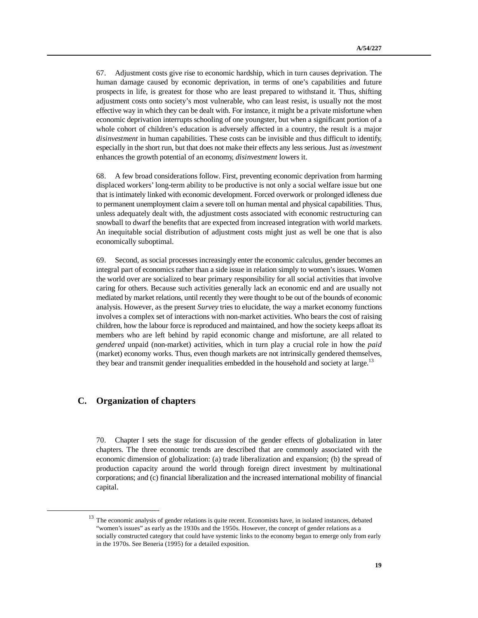67. Adjustment costs give rise to economic hardship, which in turn causes deprivation. The human damage caused by economic deprivation, in terms of one's capabilities and future prospects in life, is greatest for those who are least prepared to withstand it. Thus, shifting adjustment costs onto society's most vulnerable, who can least resist, is usually not the most effective way in which they can be dealt with. For instance, it might be a private misfortune when economic deprivation interrupts schooling of one youngster, but when a significant portion of a whole cohort of children's education is adversely affected in a country, the result is a major *disinvestment* in human capabilities. These costs can be invisible and thus difficult to identify, especially in the short run, but that does not make their effects any less serious. Just as *investment* enhances the growth potential of an economy, *disinvestment* lowers it.

68. A few broad considerations follow. First, preventing economic deprivation from harming displaced workers' long-term ability to be productive is not only a social welfare issue but one that is intimately linked with economic development. Forced overwork or prolonged idleness due to permanent unemployment claim a severe toll on human mental and physical capabilities. Thus, unless adequately dealt with, the adjustment costs associated with economic restructuring can snowball to dwarf the benefits that are expected from increased integration with world markets. An inequitable social distribution of adjustment costs might just as well be one that is also economically suboptimal.

69. Second, as social processes increasingly enter the economic calculus, gender becomes an integral part of economics rather than a side issue in relation simply to women's issues. Women the world over are socialized to bear primary responsibility for all social activities that involve caring for others. Because such activities generally lack an economic end and are usually not mediated by market relations, until recently they were thought to be out of the bounds of economic analysis. However, as the present *Survey* tries to elucidate, the way a market economy functions involves a complex set of interactions with non-market activities. Who bears the cost of raising children, how the labour force is reproduced and maintained, and how the society keeps afloat its members who are left behind by rapid economic change and misfortune, are all related to *gendered* unpaid (non-market) activities, which in turn play a crucial role in how the *paid* (market) economy works. Thus, even though markets are not intrinsically gendered themselves, they bear and transmit gender inequalities embedded in the household and society at large.<sup>13</sup>

## **C. Organization of chapters**

<u>.</u>

70. Chapter I sets the stage for discussion of the gender effects of globalization in later chapters. The three economic trends are described that are commonly associated with the economic dimension of globalization: (a) trade liberalization and expansion; (b) the spread of production capacity around the world through foreign direct investment by multinational corporations; and (c) financial liberalization and the increased international mobility of financial capital.

<sup>&</sup>lt;sup>13</sup> The economic analysis of gender relations is quite recent. Economists have, in isolated instances, debated "women's issues" as early as the 1930s and the 1950s. However, the concept of gender relations as a socially constructed category that could have systemic links to the economy began to emerge only from early in the 1970s. See Beneria (1995) for a detailed exposition.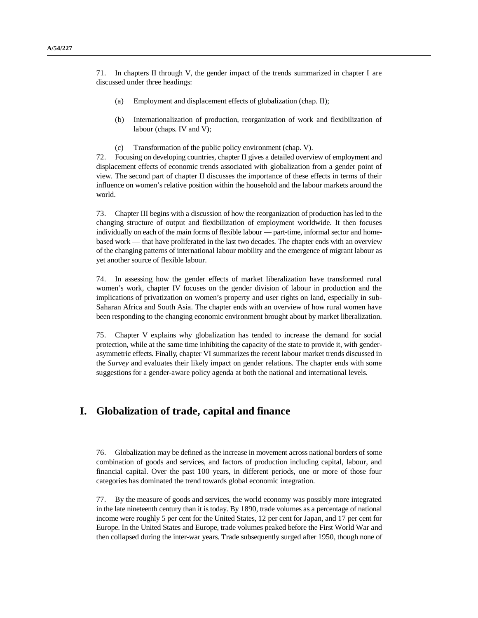71. In chapters II through V, the gender impact of the trends summarized in chapter I are discussed under three headings:

- (a) Employment and displacement effects of globalization (chap. II);
- (b) Internationalization of production, reorganization of work and flexibilization of labour (chaps. IV and V);
- (c) Transformation of the public policy environment (chap. V).

72. Focusing on developing countries, chapter II gives a detailed overview of employment and displacement effects of economic trends associated with globalization from a gender point of view. The second part of chapter II discusses the importance of these effects in terms of their influence on women's relative position within the household and the labour markets around the world.

73. Chapter III begins with a discussion of how the reorganization of production has led to the changing structure of output and flexibilization of employment worldwide. It then focuses individually on each of the main forms of flexible labour — part-time, informal sector and homebased work — that have proliferated in the last two decades. The chapter ends with an overview of the changing patterns of international labour mobility and the emergence of migrant labour as yet another source of flexible labour.

74. In assessing how the gender effects of market liberalization have transformed rural women's work, chapter IV focuses on the gender division of labour in production and the implications of privatization on women's property and user rights on land, especially in sub-Saharan Africa and South Asia. The chapter ends with an overview of how rural women have been responding to the changing economic environment brought about by market liberalization.

75. Chapter V explains why globalization has tended to increase the demand for social protection, while at the same time inhibiting the capacity of the state to provide it, with genderasymmetric effects. Finally, chapter VI summarizes the recent labour market trends discussed in the *Survey* and evaluates their likely impact on gender relations. The chapter ends with some suggestions for a gender-aware policy agenda at both the national and international levels.

# **I. Globalization of trade, capital and finance**

76. Globalization may be defined as the increase in movement across national borders of some combination of goods and services, and factors of production including capital, labour, and financial capital. Over the past 100 years, in different periods, one or more of those four categories has dominated the trend towards global economic integration.

77. By the measure of goods and services, the world economy was possibly more integrated in the late nineteenth century than it is today. By 1890, trade volumes as a percentage of national income were roughly 5 per cent for the United States, 12 per cent for Japan, and 17 per cent for Europe. In the United States and Europe, trade volumes peaked before the First World War and then collapsed during the inter-war years. Trade subsequently surged after 1950, though none of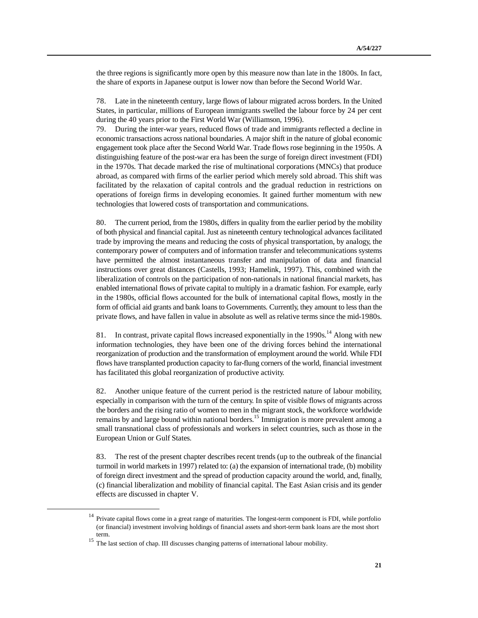the three regions is significantly more open by this measure now than late in the 1800s. In fact, the share of exports in Japanese output is lower now than before the Second World War.

78. Late in the nineteenth century, large flows of labour migrated across borders. In the United States, in particular, millions of European immigrants swelled the labour force by 24 per cent during the 40 years prior to the First World War (Williamson, 1996).

79. During the inter-war years, reduced flows of trade and immigrants reflected a decline in economic transactions across national boundaries. A major shift in the nature of global economic engagement took place after the Second World War. Trade flows rose beginning in the 1950s. A distinguishing feature of the post-war era has been the surge of foreign direct investment (FDI) in the 1970s. That decade marked the rise of multinational corporations (MNCs) that produce abroad, as compared with firms of the earlier period which merely sold abroad. This shift was facilitated by the relaxation of capital controls and the gradual reduction in restrictions on operations of foreign firms in developing economies. It gained further momentum with new technologies that lowered costs of transportation and communications.

80. The current period, from the 1980s, differs in quality from the earlier period by the mobility of both physical and financial capital. Just as nineteenth century technological advances facilitated trade by improving the means and reducing the costs of physical transportation, by analogy, the contemporary power of computers and of information transfer and telecommunications systems have permitted the almost instantaneous transfer and manipulation of data and financial instructions over great distances (Castells, 1993; Hamelink, 1997). This, combined with the liberalization of controls on the participation of non-nationals in national financial markets, has enabled international flows of private capital to multiply in a dramatic fashion. For example, early in the 1980s, official flows accounted for the bulk of international capital flows, mostly in the form of official aid grants and bank loans to Governments. Currently, they amount to less than the private flows, and have fallen in value in absolute as well as relative terms since the mid-1980s.

81. In contrast, private capital flows increased exponentially in the 1990s.<sup>14</sup> Along with new information technologies, they have been one of the driving forces behind the international reorganization of production and the transformation of employment around the world. While FDI flows have transplanted production capacity to far-flung corners of the world, financial investment has facilitated this global reorganization of productive activity.

82. Another unique feature of the current period is the restricted nature of labour mobility, especially in comparison with the turn of the century. In spite of visible flows of migrants across the borders and the rising ratio of women to men in the migrant stock, the workforce worldwide remains by and large bound within national borders.<sup>15</sup> Immigration is more prevalent among a small transnational class of professionals and workers in select countries, such as those in the European Union or Gulf States.

83. The rest of the present chapter describes recent trends (up to the outbreak of the financial turmoil in world markets in 1997) related to: (a) the expansion of international trade, (b) mobility of foreign direct investment and the spread of production capacity around the world, and, finally, (c) financial liberalization and mobility of financial capital. The East Asian crisis and its gender effects are discussed in chapter V.

<u>.</u>

<sup>&</sup>lt;sup>14</sup> Private capital flows come in a great range of maturities. The longest-term component is FDI, while portfolio (or financial) investment involving holdings of financial assets and short-term bank loans are the most short term.

<sup>&</sup>lt;sup>15</sup> The last section of chap. III discusses changing patterns of international labour mobility.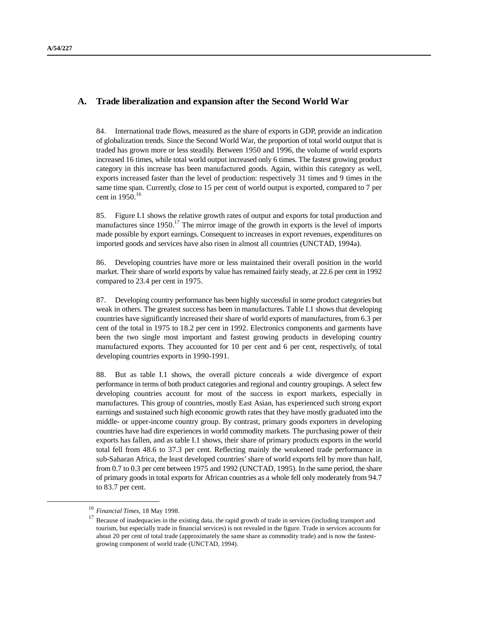## **A. Trade liberalization and expansion after the Second World War**

84. International trade flows, measured as the share of exports in GDP, provide an indication of globalization trends. Since the Second World War, the proportion of total world output that is traded has grown more or less steadily. Between 1950 and 1996, the volume of world exports increased 16 times, while total world output increased only 6 times. The fastest growing product category in this increase has been manufactured goods. Again, within this category as well, exports increased faster than the level of production: respectively 31 times and 9 times in the same time span. Currently, close to 15 per cent of world output is exported, compared to 7 per cent in 1950.<sup>16</sup>

85. Figure I.1 shows the relative growth rates of output and exports for total production and manufactures since  $1950$ .<sup>17</sup> The mirror image of the growth in exports is the level of imports made possible by export earnings. Consequent to increases in export revenues, expenditures on imported goods and services have also risen in almost all countries (UNCTAD, 1994a).

86. Developing countries have more or less maintained their overall position in the world market. Their share of world exports by value has remained fairly steady, at 22.6 per cent in 1992 compared to 23.4 per cent in 1975.

87. Developing country performance has been highly successful in some product categories but weak in others. The greatest success has been in manufactures. Table I.1 shows that developing countries have significantly increased their share of world exports of manufactures, from 6.3 per cent of the total in 1975 to 18.2 per cent in 1992. Electronics components and garments have been the two single most important and fastest growing products in developing country manufactured exports. They accounted for 10 per cent and 6 per cent, respectively, of total developing countries exports in 1990-1991.

88. But as table I.1 shows, the overall picture conceals a wide divergence of export performance in terms of both product categories and regional and country groupings. A select few developing countries account for most of the success in export markets, especially in manufactures. This group of countries, mostly East Asian, has experienced such strong export earnings and sustained such high economic growth rates that they have mostly graduated into the middle- or upper-income country group. By contrast, primary goods exporters in developing countries have had dire experiences in world commodity markets. The purchasing power of their exports has fallen, and as table I.1 shows, their share of primary products exports in the world total fell from 48.6 to 37.3 per cent. Reflecting mainly the weakened trade performance in sub-Saharan Africa, the least developed countries' share of world exports fell by more than half, from 0.7 to 0.3 per cent between 1975 and 1992 (UNCTAD, 1995). In the same period, the share of primary goods in total exports for African countries as a whole fell only moderately from 94.7 to 83.7 per cent.

1

<sup>&</sup>lt;sup>16</sup> *Financial Times*, 18 May 1998.

<sup>17</sup> Because of inadequacies in the existing data, the rapid growth of trade in services (including transport and tourism, but especially trade in financial services) is not revealed in the figure. Trade in services accounts for about 20 per cent of total trade (approximately the same share as commodity trade) and is now the fastestgrowing component of world trade (UNCTAD, 1994).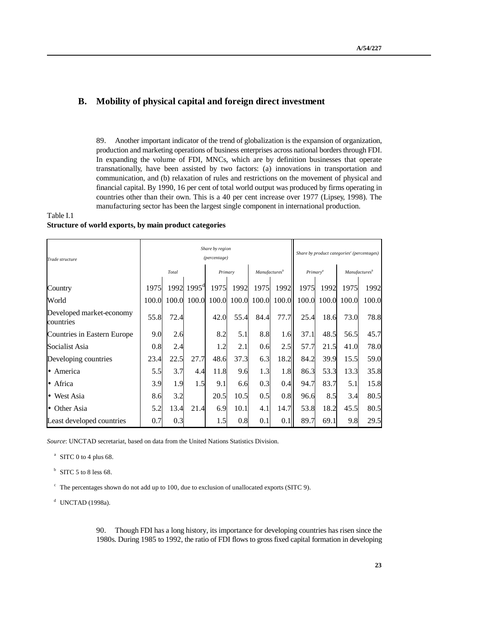## **B. Mobility of physical capital and foreign direct investment**

89. Another important indicator of the trend of globalization is the expansion of organization, production and marketing operations of business enterprises across national borders through FDI. In expanding the volume of FDI, MNCs, which are by definition businesses that operate transnationally, have been assisted by two factors: (a) innovations in transportation and communication, and (b) relaxation of rules and restrictions on the movement of physical and financial capital. By 1990, 16 per cent of total world output was produced by firms operating in countries other than their own. This is a 40 per cent increase over 1977 (Lipsey, 1998). The manufacturing sector has been the largest single component in international production.

#### Table I.1

#### **Structure of world exports, by main product categories**

| Trade structure                       |       | Share by region<br>Share by product categories <sup>c</sup> (percentages)<br>(percentage) |                        |         |       |                           |             |                      |             |       |                           |
|---------------------------------------|-------|-------------------------------------------------------------------------------------------|------------------------|---------|-------|---------------------------|-------------|----------------------|-------------|-------|---------------------------|
|                                       |       | Total                                                                                     |                        | Primary |       | Manufactures <sup>b</sup> |             | Primary <sup>a</sup> |             |       | Manufactures <sup>b</sup> |
| Country                               | 1975  |                                                                                           | 1992 1995 <sup>a</sup> | 1975    | 1992  | 1975                      | 1992        | 1975                 | 1992        | 1975  | 1992                      |
| World                                 | 100.0 | 100.0                                                                                     | 100.0                  | 100.0   | 100.0 |                           | 100.0 100.0 |                      | 100.0 100.0 | 100.0 | 100.0                     |
| Developed market-economy<br>countries | 55.8  | 72.4                                                                                      |                        | 42.0    | 55.4  | 84.4                      | 77.7        | 25.4                 | 18.6        | 73.0  | 78.8                      |
| Countries in Eastern Europe           | 9.0   | 2.6                                                                                       |                        | 8.2     | 5.1   | 8.8                       | 1.6         | 37.1                 | 48.5        | 56.5  | 45.7                      |
| Socialist Asia                        | 0.8   | 2.4                                                                                       |                        | 1.2     | 2.1   | 0.6                       | 2.5         | 57.7                 | 21.5        | 41.0  | 78.0                      |
| Developing countries                  | 23.4  | 22.5                                                                                      | 27.7                   | 48.6    | 37.3  | 6.3                       | 18.2        | 84.2                 | 39.9        | 15.5  | 59.0                      |
| • America                             | 5.5   | 3.7                                                                                       | 4.4                    | 11.8    | 9.6   | 1.3                       | 1.8         | 86.3                 | 53.3        | 13.3  | 35.8                      |
| • Africa                              | 3.9   | 1.9                                                                                       | 1.5                    | 9.1     | 6.6   | 0.3                       | 0.4         | 94.7                 | 83.7        | 5.1   | 15.8                      |
| • West Asia                           | 8.6   | 3.2                                                                                       |                        | 20.5    | 10.5  | 0.5                       | 0.8         | 96.6                 | 8.5         | 3.4   | 80.5                      |
| • Other Asia                          | 5.2   | 13.4                                                                                      | 21.4                   | 6.9     | 10.1  | 4.1                       | 14.7        | 53.8                 | 18.2        | 45.5  | 80.5                      |
| Least developed countries             | 0.7   | 0.3                                                                                       |                        | 1.5     | 0.8   | 0.1                       | 0.1         | 89.7                 | 69.1        | 9.8   | 29.5                      |

*Source*: UNCTAD secretariat, based on data from the United Nations Statistics Division.

 $^{\circ}$  SITC 0 to 4 plus 68.

 $b$  SITC 5 to 8 less 68.

c The percentages shown do not add up to 100, due to exclusion of unallocated exports (SITC 9).

 $d$  UNCTAD (1998a).

90. Though FDI has a long history, its importance for developing countries has risen since the 1980s. During 1985 to 1992, the ratio of FDI flows to gross fixed capital formation in developing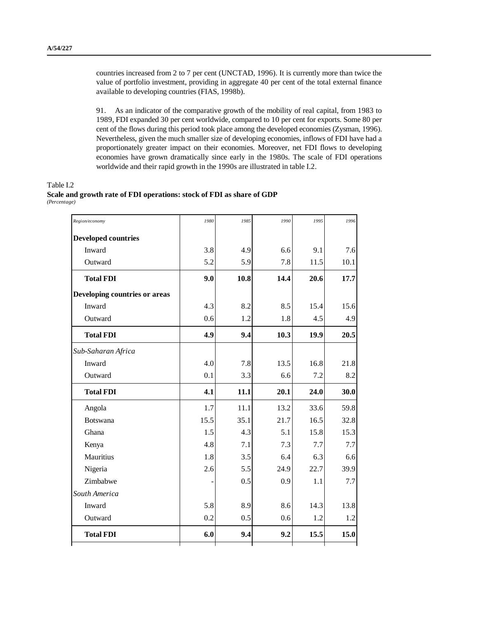countries increased from 2 to 7 per cent (UNCTAD, 1996). It is currently more than twice the value of portfolio investment, providing in aggregate 40 per cent of the total external finance available to developing countries (FIAS, 1998b).

91. As an indicator of the comparative growth of the mobility of real capital, from 1983 to 1989, FDI expanded 30 per cent worldwide, compared to 10 per cent for exports. Some 80 per cent of the flows during this period took place among the developed economies (Zysman, 1996). Nevertheless, given the much smaller size of developing economies, inflows of FDI have had a proportionately greater impact on their economies. Moreover, net FDI flows to developing economies have grown dramatically since early in the 1980s. The scale of FDI operations worldwide and their rapid growth in the 1990s are illustrated in table I.2.

## Table I.2

|              | Scale and growth rate of FDI operations: stock of FDI as share of GDP |  |  |
|--------------|-----------------------------------------------------------------------|--|--|
| (Percentage) |                                                                       |  |  |

| Region/economy                | 1980 | 1985 | 1990 | 1995 | 1996 |
|-------------------------------|------|------|------|------|------|
| <b>Developed countries</b>    |      |      |      |      |      |
| Inward                        | 3.8  | 4.9  | 6.6  | 9.1  | 7.6  |
| Outward                       | 5.2  | 5.9  | 7.8  | 11.5 | 10.1 |
| <b>Total FDI</b>              | 9.0  | 10.8 | 14.4 | 20.6 | 17.7 |
| Developing countries or areas |      |      |      |      |      |
| Inward                        | 4.3  | 8.2  | 8.5  | 15.4 | 15.6 |
| Outward                       | 0.6  | 1.2  | 1.8  | 4.5  | 4.9  |
| <b>Total FDI</b>              | 4.9  | 9.4  | 10.3 | 19.9 | 20.5 |
| Sub-Saharan Africa            |      |      |      |      |      |
| Inward                        | 4.0  | 7.8  | 13.5 | 16.8 | 21.8 |
| Outward                       | 0.1  | 3.3  | 6.6  | 7.2  | 8.2  |
| <b>Total FDI</b>              | 4.1  | 11.1 | 20.1 | 24.0 | 30.0 |
| Angola                        | 1.7  | 11.1 | 13.2 | 33.6 | 59.8 |
| <b>Botswana</b>               | 15.5 | 35.1 | 21.7 | 16.5 | 32.8 |
| Ghana                         | 1.5  | 4.3  | 5.1  | 15.8 | 15.3 |
| Kenya                         | 4.8  | 7.1  | 7.3  | 7.7  | 7.7  |
| Mauritius                     | 1.8  | 3.5  | 6.4  | 6.3  | 6.6  |
| Nigeria                       | 2.6  | 5.5  | 24.9 | 22.7 | 39.9 |
| Zimbabwe                      |      | 0.5  | 0.9  | 1.1  | 7.7  |
| South America                 |      |      |      |      |      |
| Inward                        | 5.8  | 8.9  | 8.6  | 14.3 | 13.8 |
| Outward                       | 0.2  | 0.5  | 0.6  | 1.2  | 1.2  |
| <b>Total FDI</b>              | 6.0  | 9.4  | 9.2  | 15.5 | 15.0 |
|                               |      |      |      |      |      |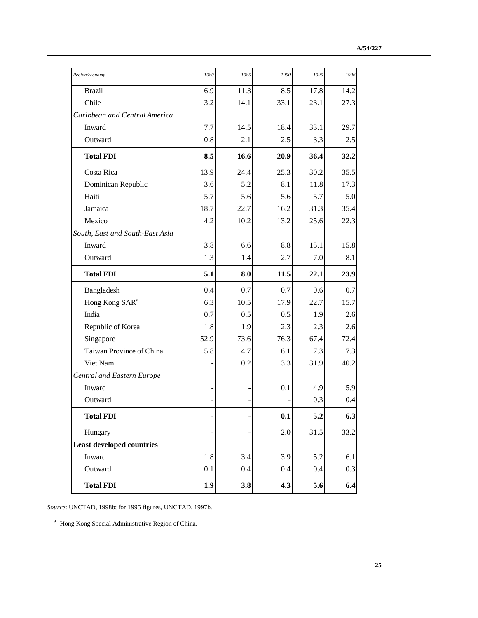| 1980    | 1985 | 1990    | 1995 | 1996 |
|---------|------|---------|------|------|
|         |      |         |      |      |
| 6.9     | 11.3 | 8.5     | 17.8 | 14.2 |
| 3.2     | 14.1 | 33.1    | 23.1 | 27.3 |
|         |      |         |      |      |
| 7.7     | 14.5 | 18.4    | 33.1 | 29.7 |
| $0.8\,$ | 2.1  | 2.5     | 3.3  | 2.5  |
| 8.5     | 16.6 | 20.9    | 36.4 | 32.2 |
| 13.9    | 24.4 | 25.3    | 30.2 | 35.5 |
| 3.6     | 5.2  | 8.1     | 11.8 | 17.3 |
| 5.7     | 5.6  | 5.6     | 5.7  | 5.0  |
| 18.7    | 22.7 | 16.2    | 31.3 | 35.4 |
| 4.2     | 10.2 | 13.2    | 25.6 | 22.3 |
|         |      |         |      |      |
| 3.8     | 6.6  | 8.8     | 15.1 | 15.8 |
| 1.3     | 1.4  | 2.7     | 7.0  | 8.1  |
| 5.1     | 8.0  | 11.5    | 22.1 | 23.9 |
| 0.4     | 0.7  | 0.7     | 0.6  | 0.7  |
| 6.3     | 10.5 | 17.9    | 22.7 | 15.7 |
| 0.7     | 0.5  | 0.5     | 1.9  | 2.6  |
| 1.8     | 1.9  | 2.3     | 2.3  | 2.6  |
| 52.9    | 73.6 | 76.3    | 67.4 | 72.4 |
| 5.8     | 4.7  | 6.1     | 7.3  | 7.3  |
|         | 0.2  | 3.3     | 31.9 | 40.2 |
|         |      |         |      |      |
|         |      | 0.1     | 4.9  | 5.9  |
|         |      |         | 0.3  | 0.4  |
| -       |      | 0.1     | 5.2  | 6.3  |
|         |      | $2.0\,$ | 31.5 | 33.2 |
|         |      |         |      |      |
| 1.8     | 3.4  | 3.9     | 5.2  | 6.1  |
| 0.1     | 0.4  | 0.4     | 0.4  | 0.3  |
| 1.9     | 3.8  |         | 5.6  | 6.4  |
|         |      |         |      | 4.3  |

*Source*: UNCTAD, 1998b; for 1995 figures, UNCTAD, 1997b.

<sup>a</sup> Hong Kong Special Administrative Region of China.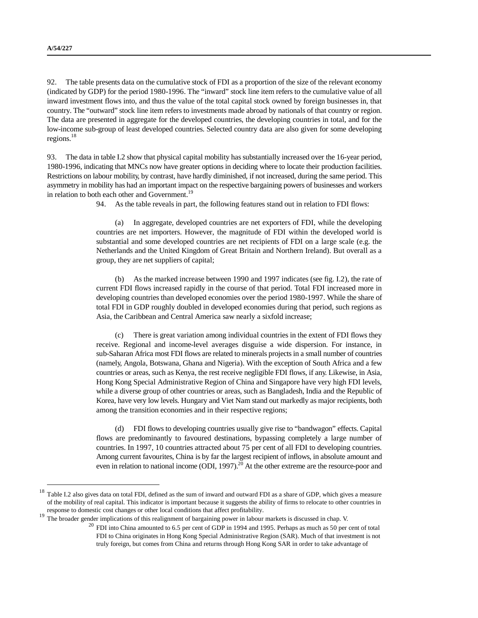<u>.</u>

92. The table presents data on the cumulative stock of FDI as a proportion of the size of the relevant economy (indicated by GDP) for the period 1980-1996. The "inward" stock line item refers to the cumulative value of all inward investment flows into, and thus the value of the total capital stock owned by foreign businesses in, that country. The "outward" stock line item refers to investments made abroad by nationals of that country or region. The data are presented in aggregate for the developed countries, the developing countries in total, and for the low-income sub-group of least developed countries. Selected country data are also given for some developing regions.<sup>18</sup>

93. The data in table I.2 show that physical capital mobility has substantially increased over the 16-year period, 1980-1996, indicating that MNCs now have greater options in deciding where to locate their production facilities. Restrictions on labour mobility, by contrast, have hardly diminished, if not increased, during the same period. This asymmetry in mobility has had an important impact on the respective bargaining powers of businesses and workers in relation to both each other and Government.<sup>19</sup>

94. As the table reveals in part, the following features stand out in relation to FDI flows:

(a) In aggregate, developed countries are net exporters of FDI, while the developing countries are net importers. However, the magnitude of FDI within the developed world is substantial and some developed countries are net recipients of FDI on a large scale (e.g. the Netherlands and the United Kingdom of Great Britain and Northern Ireland). But overall as a group, they are net suppliers of capital;

(b) As the marked increase between 1990 and 1997 indicates (see fig. I.2), the rate of current FDI flows increased rapidly in the course of that period. Total FDI increased more in developing countries than developed economies over the period 1980-1997. While the share of total FDI in GDP roughly doubled in developed economies during that period, such regions as Asia, the Caribbean and Central America saw nearly a sixfold increase;

(c) There is great variation among individual countries in the extent of FDI flows they receive. Regional and income-level averages disguise a wide dispersion. For instance, in sub-Saharan Africa most FDI flows are related to minerals projects in a small number of countries (namely, Angola, Botswana, Ghana and Nigeria). With the exception of South Africa and a few countries or areas, such as Kenya, the rest receive negligible FDI flows, if any. Likewise, in Asia, Hong Kong Special Administrative Region of China and Singapore have very high FDI levels, while a diverse group of other countries or areas, such as Bangladesh, India and the Republic of Korea, have very low levels. Hungary and Viet Nam stand out markedly as major recipients, both among the transition economies and in their respective regions;

(d) FDI flows to developing countries usually give rise to "bandwagon" effects. Capital flows are predominantly to favoured destinations, bypassing completely a large number of countries. In 1997, 10 countries attracted about 75 per cent of all FDI to developing countries. Among current favourites, China is by far the largest recipient of inflows, in absolute amount and even in relation to national income (ODI, 1997).<sup>20</sup> At the other extreme are the resource-poor and

<sup>18</sup> Table I.2 also gives data on total FDI, defined as the sum of inward and outward FDI as a share of GDP, which gives a measure of the mobility of real capital. This indicator is important because it suggests the ability of firms to relocate to other countries in response to domestic cost changes or other local conditions that affect profitability.

<sup>&</sup>lt;sup>19</sup> The broader gender implications of this realignment of bargaining power in labour markets is discussed in chap. V.

 $20$  FDI into China amounted to 6.5 per cent of GDP in 1994 and 1995. Perhaps as much as 50 per cent of total FDI to China originates in Hong Kong Special Administrative Region (SAR). Much of that investment is not truly foreign, but comes from China and returns through Hong Kong SAR in order to take advantage of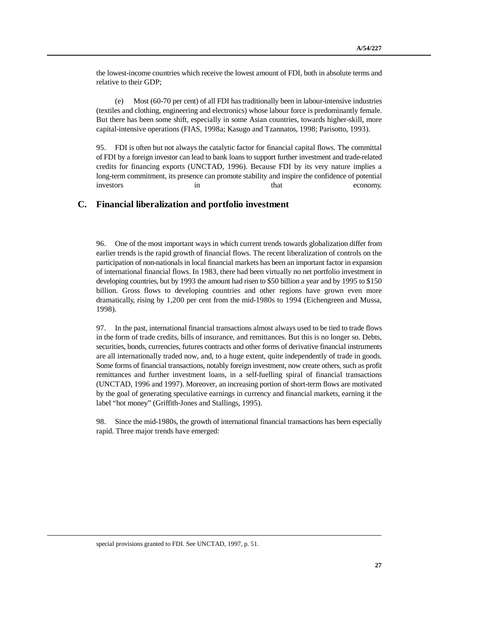the lowest-income countries which receive the lowest amount of FDI, both in absolute terms and relative to their GDP;

(e) Most (60-70 per cent) of all FDI has traditionally been in labour-intensive industries (textiles and clothing, engineering and electronics) whose labour force is predominantly female. But there has been some shift, especially in some Asian countries, towards higher-skill, more capital-intensive operations (FIAS, 1998a; Kasugo and Tzannatos, 1998; Parisotto, 1993).

95. FDI is often but not always the catalytic factor for financial capital flows. The committal of FDI by a foreign investor can lead to bank loans to support further investment and trade-related credits for financing exports (UNCTAD, 1996). Because FDI by its very nature implies a long-term commitment, its presence can promote stability and inspire the confidence of potential in that economy. The extension of the extension of the economy.

## **C. Financial liberalization and portfolio investment**

96. One of the most important ways in which current trends towards globalization differ from earlier trends is the rapid growth of financial flows. The recent liberalization of controls on the participation of non-nationals in local financial markets has been an important factor in expansion of international financial flows. In 1983, there had been virtually no net portfolio investment in developing countries, but by 1993 the amount had risen to \$50 billion a year and by 1995 to \$150 billion. Gross flows to developing countries and other regions have grown even more dramatically, rising by 1,200 per cent from the mid-1980s to 1994 (Eichengreen and Mussa, 1998).

97. In the past, international financial transactions almost always used to be tied to trade flows in the form of trade credits, bills of insurance, and remittances. But this is no longer so. Debts, securities, bonds, currencies, futures contracts and other forms of derivative financial instruments are all internationally traded now, and, to a huge extent, quite independently of trade in goods. Some forms of financial transactions, notably foreign investment, now create others, such as profit remittances and further investment loans, in a self-fuelling spiral of financial transactions (UNCTAD, 1996 and 1997). Moreover, an increasing portion of short-term flows are motivated by the goal of generating speculative earnings in currency and financial markets, earning it the label "hot money" (Griffith-Jones and Stallings, 1995).

98. Since the mid-1980s, the growth of international financial transactions has been especially rapid. Three major trends have emerged:

 $\overline{a}$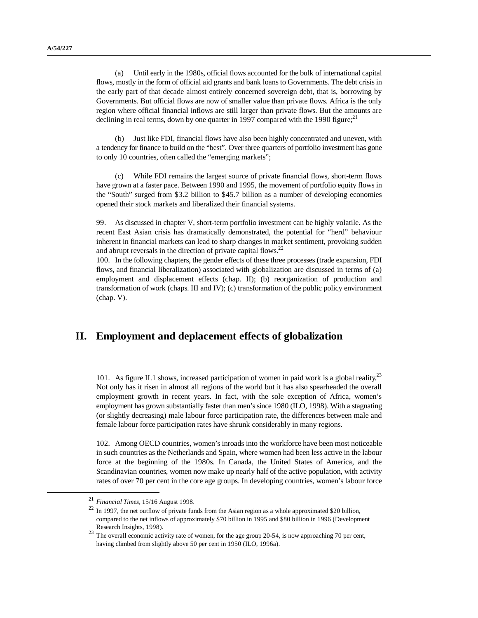(a) Until early in the 1980s, official flows accounted for the bulk of international capital flows, mostly in the form of official aid grants and bank loans to Governments. The debt crisis in the early part of that decade almost entirely concerned sovereign debt, that is, borrowing by Governments. But official flows are now of smaller value than private flows. Africa is the only region where official financial inflows are still larger than private flows. But the amounts are declining in real terms, down by one quarter in 1997 compared with the 1990 figure; $^{21}$ 

(b) Just like FDI, financial flows have also been highly concentrated and uneven, with a tendency for finance to build on the "best". Over three quarters of portfolio investment has gone to only 10 countries, often called the "emerging markets";

(c) While FDI remains the largest source of private financial flows, short-term flows have grown at a faster pace. Between 1990 and 1995, the movement of portfolio equity flows in the "South" surged from \$3.2 billion to \$45.7 billion as a number of developing economies opened their stock markets and liberalized their financial systems.

99. As discussed in chapter V, short-term portfolio investment can be highly volatile. As the recent East Asian crisis has dramatically demonstrated, the potential for "herd" behaviour inherent in financial markets can lead to sharp changes in market sentiment, provoking sudden and abrupt reversals in the direction of private capital flows.<sup>22</sup>

100. In the following chapters, the gender effects of these three processes (trade expansion, FDI flows, and financial liberalization) associated with globalization are discussed in terms of (a) employment and displacement effects (chap. II); (b) reorganization of production and transformation of work (chaps. III and IV); (c) transformation of the public policy environment (chap. V).

# **II. Employment and deplacement effects of globalization**

101. As figure II.1 shows, increased participation of women in paid work is a global reality.<sup>23</sup> Not only has it risen in almost all regions of the world but it has also spearheaded the overall employment growth in recent years. In fact, with the sole exception of Africa, women's employment has grown substantially faster than men's since 1980 (ILO, 1998). With a stagnating (or slightly decreasing) male labour force participation rate, the differences between male and female labour force participation rates have shrunk considerably in many regions.

102. Among OECD countries, women's inroads into the workforce have been most noticeable in such countries as the Netherlands and Spain, where women had been less active in the labour force at the beginning of the 1980s. In Canada, the United States of America, and the Scandinavian countries, women now make up nearly half of the active population, with activity rates of over 70 per cent in the core age groups. In developing countries, women's labour force

1

<sup>21</sup> *Financial Times*, 15/16 August 1998.

 $22$  In 1997, the net outflow of private funds from the Asian region as a whole approximated \$20 billion, compared to the net inflows of approximately \$70 billion in 1995 and \$80 billion in 1996 (Development Research Insights, 1998).

<sup>&</sup>lt;sup>23</sup> The overall economic activity rate of women, for the age group 20-54, is now approaching 70 per cent, having climbed from slightly above 50 per cent in 1950 (ILO, 1996a).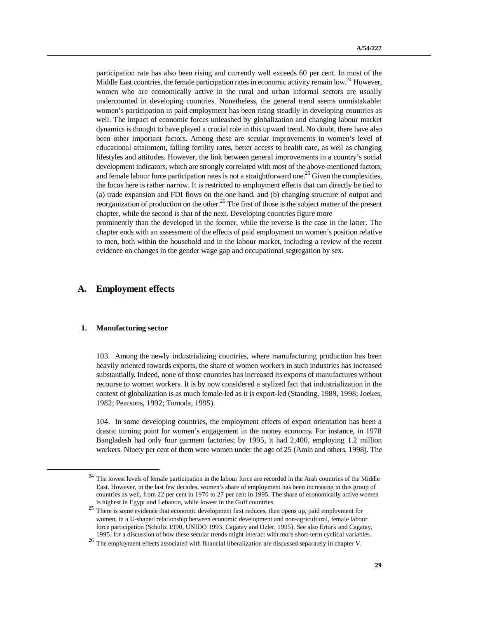participation rate has also been rising and currently well exceeds 60 per cent. In most of the Middle East countries, the female participation rates in economic activity remain low.<sup>24</sup> However, women who are economically active in the rural and urban informal sectors are usually undercounted in developing countries. Nonetheless, the general trend seems unmistakable: women's participation in paid employment has been rising steadily in developing countries as well. The impact of economic forces unleashed by globalization and changing labour market dynamics is thought to have played a crucial role in this upward trend. No doubt, there have also been other important factors. Among these are secular improvements in women's level of educational attainment, falling fertility rates, better access to health care, as well as changing lifestyles and attitudes. However, the link between general improvements in a country's social development indicators, which are strongly correlated with most of the above-mentioned factors, and female labour force participation rates is not a straightforward one.<sup>25</sup> Given the complexities, the focus here is rather narrow. It is restricted to employment effects that can directly be tied to (a) trade expansion and FDI flows on the one hand, and (b) changing structure of output and reorganization of production on the other.<sup>26</sup> The first of those is the subject matter of the present chapter, while the second is that of the next. Developing countries figure more

prominently than the developed in the former, while the reverse is the case in the latter. The chapter ends with an assessment of the effects of paid employment on women's position relative to men, both within the household and in the labour market, including a review of the recent evidence on changes in the gender wage gap and occupational segregation by sex.

## **A. Employment effects**

#### **1. Manufacturing sector**

1

103. Among the newly industrializing countries, where manufacturing production has been heavily oriented towards exports, the share of women workers in such industries has increased substantially. Indeed, none of those countries has increased its exports of manufactures without recourse to women workers. It is by now considered a stylized fact that industrialization in the context of globalization is as much female-led as it is export-led (Standing, 1989, 1998; Joekes, 1982; Pearsons, 1992; Tomoda, 1995).

104. In some developing countries, the employment effects of export orientation has been a drastic turning point for women's engagement in the money economy. For instance, in 1978 Bangladesh had only four garment factories; by 1995, it had 2,400, employing 1.2 million workers. Ninety per cent of them were women under the age of 25 (Amin and others, 1998). The

<sup>&</sup>lt;sup>24</sup> The lowest levels of female participation in the labour force are recorded in the Arab countries of the Middle East. However, in the last few decades, women's share of employment has been increasing in this group of countries as well, from 22 per cent in 1970 to 27 per cent in 1995. The share of economically active women is highest in Egypt and Lebanon, while lowest in the Gulf countries.

<sup>&</sup>lt;sup>25</sup> There is some evidence that economic development first reduces, then opens up, paid employment for women, in a U-shaped relationship between economic development and non-agricultural, female labour force participation (Schultz 1990, UNIDO 1993, Cagatay and Ozler, 1995). See also Erturk and Cagatay, 1995, for a discussion of how these secular trends might interact with more short-term cyclical variables.

<sup>&</sup>lt;sup>26</sup> The employment effects associated with financial liberalization are discussed separately in chapter V.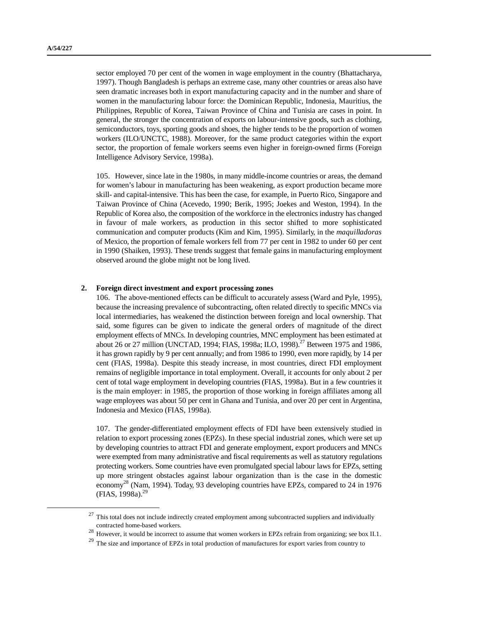1

sector employed 70 per cent of the women in wage employment in the country (Bhattacharya, 1997). Though Bangladesh is perhaps an extreme case, many other countries or areas also have seen dramatic increases both in export manufacturing capacity and in the number and share of women in the manufacturing labour force: the Dominican Republic, Indonesia, Mauritius, the Philippines, Republic of Korea, Taiwan Province of China and Tunisia are cases in point. In general, the stronger the concentration of exports on labour-intensive goods, such as clothing, semiconductors, toys, sporting goods and shoes, the higher tends to be the proportion of women workers (ILO/UNCTC, 1988). Moreover, for the same product categories within the export sector, the proportion of female workers seems even higher in foreign-owned firms (Foreign Intelligence Advisory Service, 1998a).

105. However, since late in the 1980s, in many middle-income countries or areas, the demand for women's labour in manufacturing has been weakening, as export production became more skill- and capital-intensive. This has been the case, for example, in Puerto Rico, Singapore and Taiwan Province of China (Acevedo, 1990; Berik, 1995; Joekes and Weston, 1994). In the Republic of Korea also, the composition of the workforce in the electronics industry has changed in favour of male workers, as production in this sector shifted to more sophisticated communication and computer products (Kim and Kim, 1995). Similarly, in the *maquilladoras* of Mexico, the proportion of female workers fell from 77 per cent in 1982 to under 60 per cent in 1990 (Shaiken, 1993). These trends suggest that female gains in manufacturing employment observed around the globe might not be long lived.

#### **2. Foreign direct investment and export processing zones**

106. The above-mentioned effects can be difficult to accurately assess (Ward and Pyle, 1995), because the increasing prevalence of subcontracting, often related directly to specific MNCs via local intermediaries, has weakened the distinction between foreign and local ownership. That said, some figures can be given to indicate the general orders of magnitude of the direct employment effects of MNCs. In developing countries, MNC employment has been estimated at about 26 or 27 million (UNCTAD, 1994; FIAS, 1998a; ILO, 1998).<sup>27</sup> Between 1975 and 1986, it has grown rapidly by 9 per cent annually; and from 1986 to 1990, even more rapidly, by 14 per cent (FIAS, 1998a). Despite this steady increase, in most countries, direct FDI employment remains of negligible importance in total employment. Overall, it accounts for only about 2 per cent of total wage employment in developing countries (FIAS, 1998a). But in a few countries it is the main employer: in 1985, the proportion of those working in foreign affiliates among all wage employees was about 50 per cent in Ghana and Tunisia, and over 20 per cent in Argentina, Indonesia and Mexico (FIAS, 1998a).

107. The gender-differentiated employment effects of FDI have been extensively studied in relation to export processing zones (EPZs). In these special industrial zones, which were set up by developing countries to attract FDI and generate employment, export producers and MNCs were exempted from many administrative and fiscal requirements as well as statutory regulations protecting workers. Some countries have even promulgated special labour laws for EPZs, setting up more stringent obstacles against labour organization than is the case in the domestic economy<sup>28</sup> (Nam, 1994). Today, 93 developing countries have EPZs, compared to 24 in 1976 (FIAS, 1998a). 29

<sup>27</sup> This total does not include indirectly created employment among subcontracted suppliers and individually contracted home-based workers.

However, it would be incorrect to assume that women workers in EPZs refrain from organizing; see box II.1.

The size and importance of EPZs in total production of manufactures for export varies from country to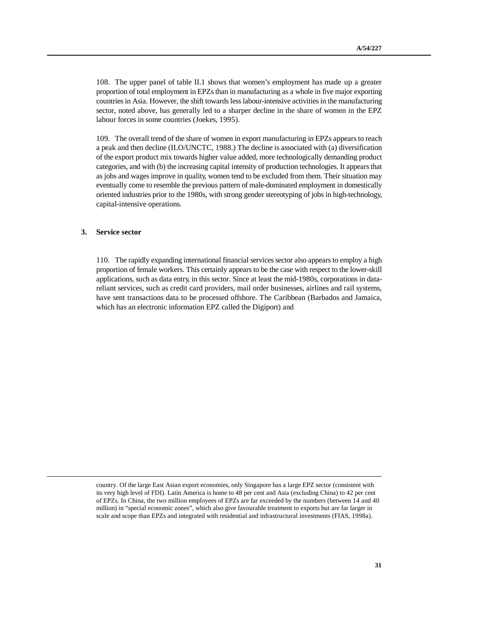108. The upper panel of table II.1 shows that women's employment has made up a greater proportion of total employment in EPZs than in manufacturing as a whole in five major exporting countries in Asia. However, the shift towards less labour-intensive activities in the manufacturing sector, noted above, has generally led to a sharper decline in the share of women in the EPZ labour forces in some countries (Joekes, 1995).

109. The overall trend of the share of women in export manufacturing in EPZs appears to reach a peak and then decline (ILO/UNCTC, 1988.) The decline is associated with (a) diversification of the export product mix towards higher value added, more technologically demanding product categories, and with (b) the increasing capital intensity of production technologies. It appears that as jobs and wages improve in quality, women tend to be excluded from them. Their situation may eventually come to resemble the previous pattern of male-dominated employment in domestically oriented industries prior to the 1980s, with strong gender stereotyping of jobs in high-technology, capital-intensive operations.

## **3. Service sector**

 $\overline{a}$ 

110. The rapidly expanding international financial services sector also appears to employ a high proportion of female workers. This certainly appears to be the case with respect to the lower-skill applications, such as data entry, in this sector. Since at least the mid-1980s, corporations in datareliant services, such as credit card providers, mail order businesses, airlines and rail systems, have sent transactions data to be processed offshore. The Caribbean (Barbados and Jamaica, which has an electronic information EPZ called the Digiport) and

country. Of the large East Asian export economies, only Singapore has a large EPZ sector (consistent with its very high level of FDI). Latin America is home to 48 per cent and Asia (excluding China) to 42 per cent of EPZs. In China, the two million employees of EPZs are far exceeded by the numbers (between 14 and 40 million) in "special economic zones", which also give favourable treatment to exports but are far larger in scale and scope than EPZs and integrated with residential and infrastructural investments (FIAS, 1998a).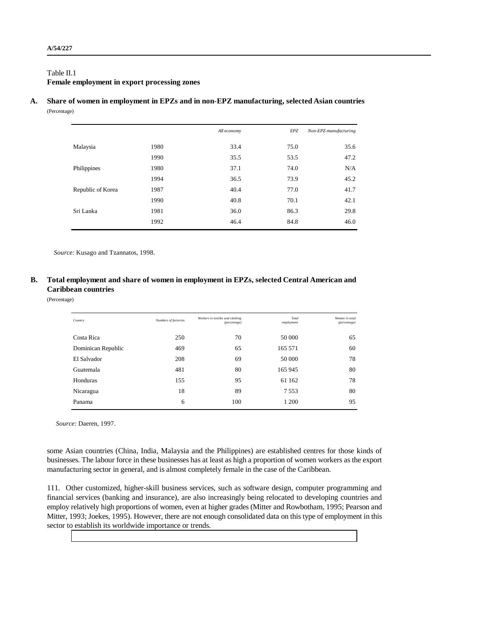## Table II.1 **Female employment in export processing zones**

**A. Share of women in employment in EPZs and in non-EPZ manufacturing, selected Asian countries** (Percentage)

|                   |      | All economy | EPZ  | Non-EPZ-manufacturing |
|-------------------|------|-------------|------|-----------------------|
| Malaysia          | 1980 | 33.4        | 75.0 | 35.6                  |
|                   | 1990 | 35.5        | 53.5 | 47.2                  |
| Philippines       | 1980 | 37.1        | 74.0 | N/A                   |
|                   | 1994 | 36.5        | 73.9 | 45.2                  |
| Republic of Korea | 1987 | 40.4        | 77.0 | 41.7                  |
|                   | 1990 | 40.8        | 70.1 | 42.1                  |
| Sri Lanka         | 1981 | 36.0        | 86.3 | 29.8                  |
|                   | 1992 | 46.4        | 84.8 | 46.0                  |

*Source:* Kusago and Tzannatos, 1998.

**B. Total employment and share of women in employment in EPZs, selected Central American and Caribbean countries**

(Percentage)

| Country            | Numbers of factories | Workers in textiles and clothing<br>(percentage) | Total<br>employment | Women in total<br>(percentage) |
|--------------------|----------------------|--------------------------------------------------|---------------------|--------------------------------|
| Costa Rica         | 250                  | 70                                               | 50 000              | 65                             |
| Dominican Republic | 469                  | 65                                               | 165 571             | 60                             |
| El Salvador        | 208                  | 69                                               | 50 000              | 78                             |
| Guatemala          | 481                  | 80                                               | 165 945             | 80                             |
| Honduras           | 155                  | 95                                               | 61 1 62             | 78                             |
| Nicaragua          | 18                   | 89                                               | 7553                | 80                             |
| Panama             | 6                    | 100                                              | 1 200               | 95                             |

*Source:* Daeren, 1997.

some Asian countries (China, India, Malaysia and the Philippines) are established centres for those kinds of businesses. The labour force in these businesses has at least as high a proportion of women workers as the export manufacturing sector in general, and is almost completely female in the case of the Caribbean.

111. Other customized, higher-skill business services, such as software design, computer programming and financial services (banking and insurance), are also increasingly being relocated to developing countries and employ relatively high proportions of women, even at higher grades (Mitter and Rowbotham, 1995; Pearson and Mitter, 1993; Joekes, 1995). However, there are not enough consolidated data on this type of employment in this sector to establish its worldwide importance or trends.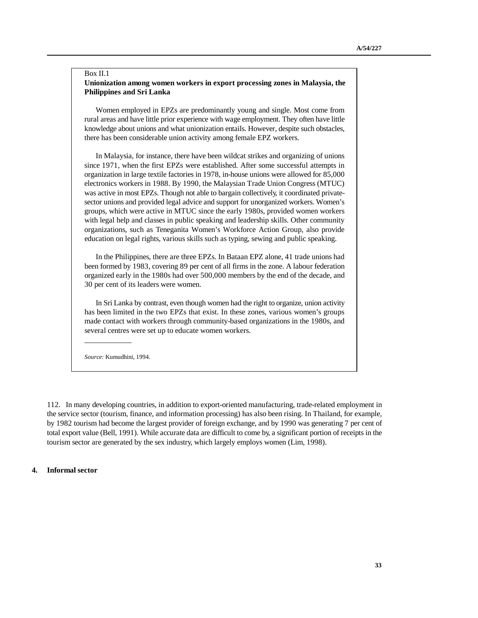## Box II.1 **Unionization among women workers in export processing zones in Malaysia, the Philippines and Sri Lanka**

Women employed in EPZs are predominantly young and single. Most come from rural areas and have little prior experience with wage employment. They often have little knowledge about unions and what unionization entails. However, despite such obstacles, there has been considerable union activity among female EPZ workers.

In Malaysia, for instance, there have been wildcat strikes and organizing of unions since 1971, when the first EPZs were established. After some successful attempts in organization in large textile factories in 1978, in-house unions were allowed for 85,000 electronics workers in 1988. By 1990, the Malaysian Trade Union Congress (MTUC) was active in most EPZs. Though not able to bargain collectively, it coordinated privatesector unions and provided legal advice and support for unorganized workers. Women's groups, which were active in MTUC since the early 1980s, provided women workers with legal help and classes in public speaking and leadership skills. Other community organizations, such as Teneganita Women's Workforce Action Group, also provide education on legal rights, various skills such as typing, sewing and public speaking.

In the Philippines, there are three EPZs. In Bataan EPZ alone, 41 trade unions had been formed by 1983, covering 89 per cent of all firms in the zone. A labour federation organized early in the 1980s had over 500,000 members by the end of the decade, and 30 per cent of its leaders were women.

In Sri Lanka by contrast, even though women had the right to organize, union activity has been limited in the two EPZs that exist. In these zones, various women's groups made contact with workers through community-based organizations in the 1980s, and several centres were set up to educate women workers.

*Source:* Kumudhini, 1994.

\_\_\_\_\_\_\_\_\_\_\_\_

112. In many developing countries, in addition to export-oriented manufacturing, trade-related employment in the service sector (tourism, finance, and information processing) has also been rising. In Thailand, for example, by 1982 tourism had become the largest provider of foreign exchange, and by 1990 was generating 7 per cent of total export value (Bell, 1991). While accurate data are difficult to come by, a significant portion of receipts in the tourism sector are generated by the sex industry, which largely employs women (Lim, 1998).

## **4. Informal sector**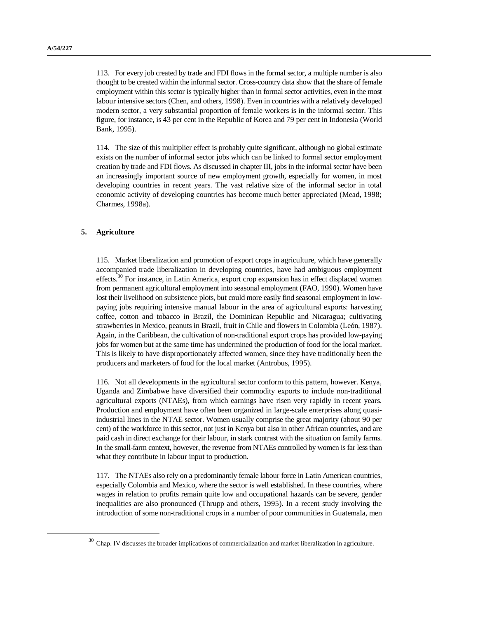1

113. For every job created by trade and FDI flows in the formal sector, a multiple number is also thought to be created within the informal sector. Cross-country data show that the share of female employment within this sector is typically higher than in formal sector activities, even in the most labour intensive sectors (Chen, and others, 1998). Even in countries with a relatively developed modern sector, a very substantial proportion of female workers is in the informal sector. This figure, for instance, is 43 per cent in the Republic of Korea and 79 per cent in Indonesia (World Bank, 1995).

114. The size of this multiplier effect is probably quite significant, although no global estimate exists on the number of informal sector jobs which can be linked to formal sector employment creation by trade and FDI flows. As discussed in chapter III, jobs in the informal sector have been an increasingly important source of new employment growth, especially for women, in most developing countries in recent years. The vast relative size of the informal sector in total economic activity of developing countries has become much better appreciated (Mead, 1998; Charmes, 1998a).

## **5. Agriculture**

115. Market liberalization and promotion of export crops in agriculture, which have generally accompanied trade liberalization in developing countries, have had ambiguous employment effects.<sup>30</sup> For instance, in Latin America, export crop expansion has in effect displaced women from permanent agricultural employment into seasonal employment (FAO, 1990). Women have lost their livelihood on subsistence plots, but could more easily find seasonal employment in lowpaying jobs requiring intensive manual labour in the area of agricultural exports: harvesting coffee, cotton and tobacco in Brazil, the Dominican Republic and Nicaragua; cultivating strawberries in Mexico, peanuts in Brazil, fruit in Chile and flowers in Colombia (León, 1987). Again, in the Caribbean, the cultivation of non-traditional export crops has provided low-paying jobs for women but at the same time has undermined the production of food for the local market. This is likely to have disproportionately affected women, since they have traditionally been the producers and marketers of food for the local market (Antrobus, 1995).

116. Not all developments in the agricultural sector conform to this pattern, however. Kenya, Uganda and Zimbabwe have diversified their commodity exports to include non-traditional agricultural exports (NTAEs), from which earnings have risen very rapidly in recent years. Production and employment have often been organized in large-scale enterprises along quasiindustrial lines in the NTAE sector. Women usually comprise the great majority (about 90 per cent) of the workforce in this sector, not just in Kenya but also in other African countries, and are paid cash in direct exchange for their labour, in stark contrast with the situation on family farms. In the small-farm context, however, the revenue from NTAEs controlled by women is far less than what they contribute in labour input to production.

117. The NTAEs also rely on a predominantly female labour force in Latin American countries, especially Colombia and Mexico, where the sector is well established. In these countries, where wages in relation to profits remain quite low and occupational hazards can be severe, gender inequalities are also pronounced (Thrupp and others, 1995). In a recent study involving the introduction of some non-traditional crops in a number of poor communities in Guatemala, men

<sup>&</sup>lt;sup>30</sup> Chap. IV discusses the broader implications of commercialization and market liberalization in agriculture.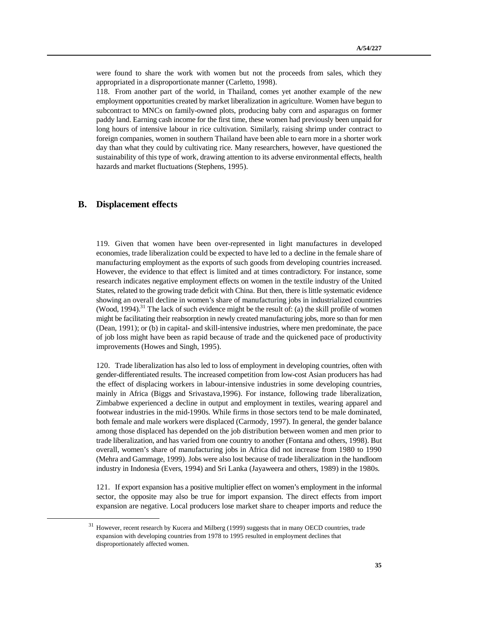were found to share the work with women but not the proceeds from sales, which they appropriated in a disproportionate manner (Carletto, 1998).

118. From another part of the world, in Thailand, comes yet another example of the new employment opportunities created by market liberalization in agriculture. Women have begun to subcontract to MNCs on family-owned plots, producing baby corn and asparagus on former paddy land. Earning cash income for the first time, these women had previously been unpaid for long hours of intensive labour in rice cultivation. Similarly, raising shrimp under contract to foreign companies, women in southern Thailand have been able to earn more in a shorter work day than what they could by cultivating rice. Many researchers, however, have questioned the sustainability of this type of work, drawing attention to its adverse environmental effects, health hazards and market fluctuations (Stephens, 1995).

## **B. Displacement effects**

1

119. Given that women have been over-represented in light manufactures in developed economies, trade liberalization could be expected to have led to a decline in the female share of manufacturing employment as the exports of such goods from developing countries increased. However, the evidence to that effect is limited and at times contradictory. For instance, some research indicates negative employment effects on women in the textile industry of the United States, related to the growing trade deficit with China. But then, there is little systematic evidence showing an overall decline in women's share of manufacturing jobs in industrialized countries (Wood, 1994).<sup>31</sup> The lack of such evidence might be the result of: (a) the skill profile of women might be facilitating their reabsorption in newly created manufacturing jobs, more so than for men (Dean, 1991); or (b) in capital- and skill-intensive industries, where men predominate, the pace of job loss might have been as rapid because of trade and the quickened pace of productivity improvements (Howes and Singh, 1995).

120. Trade liberalization has also led to loss of employment in developing countries, often with gender-differentiated results. The increased competition from low-cost Asian producers has had the effect of displacing workers in labour-intensive industries in some developing countries, mainly in Africa (Biggs and Srivastava,1996). For instance, following trade liberalization, Zimbabwe experienced a decline in output and employment in textiles, wearing apparel and footwear industries in the mid-1990s. While firms in those sectors tend to be male dominated, both female and male workers were displaced (Carmody, 1997). In general, the gender balance among those displaced has depended on the job distribution between women and men prior to trade liberalization, and has varied from one country to another (Fontana and others, 1998). But overall, women's share of manufacturing jobs in Africa did not increase from 1980 to 1990 (Mehra and Gammage, 1999). Jobs were also lost because of trade liberalization in the handloom industry in Indonesia (Evers, 1994) and Sri Lanka (Jayaweera and others, 1989) in the 1980s.

121. If export expansion has a positive multiplier effect on women's employment in the informal sector, the opposite may also be true for import expansion. The direct effects from import expansion are negative. Local producers lose market share to cheaper imports and reduce the

<sup>&</sup>lt;sup>31</sup> However, recent research by Kucera and Milberg (1999) suggests that in many OECD countries, trade expansion with developing countries from 1978 to 1995 resulted in employment declines that disproportionately affected women.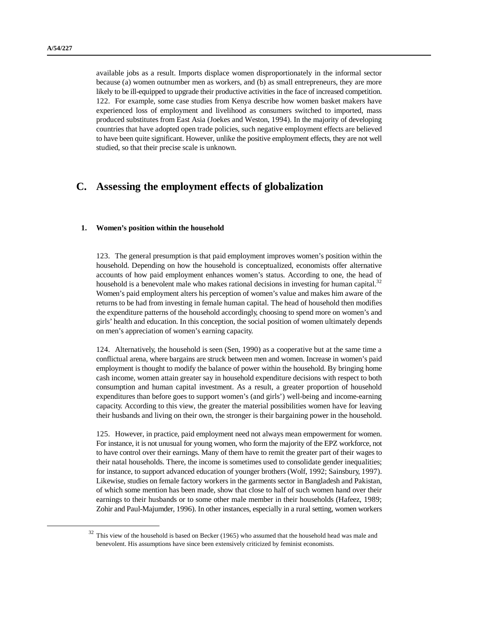1

available jobs as a result. Imports displace women disproportionately in the informal sector because (a) women outnumber men as workers, and (b) as small entrepreneurs, they are more likely to be ill-equipped to upgrade their productive activities in the face of increased competition. 122. For example, some case studies from Kenya describe how women basket makers have experienced loss of employment and livelihood as consumers switched to imported, mass produced substitutes from East Asia (Joekes and Weston, 1994). In the majority of developing countries that have adopted open trade policies, such negative employment effects are believed to have been quite significant. However, unlike the positive employment effects, they are not well studied, so that their precise scale is unknown.

# **C. Assessing the employment effects of globalization**

## **1. Women's position within the household**

123. The general presumption is that paid employment improves women's position within the household. Depending on how the household is conceptualized, economists offer alternative accounts of how paid employment enhances women's status. According to one, the head of household is a benevolent male who makes rational decisions in investing for human capital. $32$ Women's paid employment alters his perception of women's value and makes him aware of the returns to be had from investing in female human capital. The head of household then modifies the expenditure patterns of the household accordingly, choosing to spend more on women's and girls' health and education. In this conception, the social position of women ultimately depends on men's appreciation of women's earning capacity.

124. Alternatively, the household is seen (Sen, 1990) as a cooperative but at the same time a conflictual arena, where bargains are struck between men and women. Increase in women's paid employment is thought to modify the balance of power within the household. By bringing home cash income, women attain greater say in household expenditure decisions with respect to both consumption and human capital investment. As a result, a greater proportion of household expenditures than before goes to support women's (and girls') well-being and income-earning capacity. According to this view, the greater the material possibilities women have for leaving their husbands and living on their own, the stronger is their bargaining power in the household.

125. However, in practice, paid employment need not always mean empowerment for women. For instance, it is not unusual for young women, who form the majority of the EPZ workforce, not to have control over their earnings. Many of them have to remit the greater part of their wages to their natal households. There, the income is sometimes used to consolidate gender inequalities; for instance, to support advanced education of younger brothers (Wolf, 1992; Sainsbury, 1997). Likewise, studies on female factory workers in the garments sector in Bangladesh and Pakistan, of which some mention has been made, show that close to half of such women hand over their earnings to their husbands or to some other male member in their households (Hafeez, 1989; Zohir and Paul-Majumder, 1996). In other instances, especially in a rural setting, women workers

 $32$  This view of the household is based on Becker (1965) who assumed that the household head was male and benevolent. His assumptions have since been extensively criticized by feminist economists.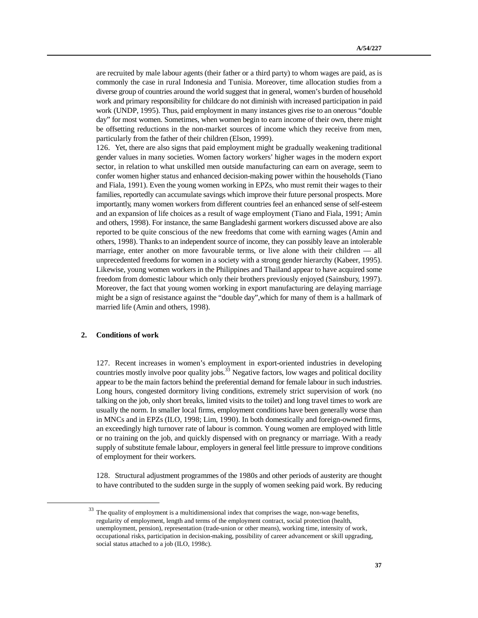are recruited by male labour agents (their father or a third party) to whom wages are paid, as is commonly the case in rural Indonesia and Tunisia. Moreover, time allocation studies from a diverse group of countries around the world suggest that in general, women's burden of household work and primary responsibility for childcare do not diminish with increased participation in paid work (UNDP, 1995). Thus, paid employment in many instances gives rise to an onerous "double day" for most women. Sometimes, when women begin to earn income of their own, there might be offsetting reductions in the non-market sources of income which they receive from men, particularly from the father of their children (Elson, 1999).

126. Yet, there are also signs that paid employment might be gradually weakening traditional gender values in many societies. Women factory workers' higher wages in the modern export sector, in relation to what unskilled men outside manufacturing can earn on average, seem to confer women higher status and enhanced decision-making power within the households (Tiano and Fiala, 1991). Even the young women working in EPZs, who must remit their wages to their families, reportedly can accumulate savings which improve their future personal prospects. More importantly, many women workers from different countries feel an enhanced sense of self-esteem and an expansion of life choices as a result of wage employment (Tiano and Fiala, 1991; Amin and others, 1998). For instance, the same Bangladeshi garment workers discussed above are also reported to be quite conscious of the new freedoms that come with earning wages (Amin and others, 1998). Thanks to an independent source of income, they can possibly leave an intolerable marriage, enter another on more favourable terms, or live alone with their children — all unprecedented freedoms for women in a society with a strong gender hierarchy (Kabeer, 1995). Likewise, young women workers in the Philippines and Thailand appear to have acquired some freedom from domestic labour which only their brothers previously enjoyed (Sainsbury, 1997). Moreover, the fact that young women working in export manufacturing are delaying marriage might be a sign of resistance against the "double day",which for many of them is a hallmark of married life (Amin and others, 1998).

#### **2. Conditions of work**

1

127. Recent increases in women's employment in export-oriented industries in developing countries mostly involve poor quality jobs.<sup>33</sup> Negative factors, low wages and political docility appear to be the main factors behind the preferential demand for female labour in such industries. Long hours, congested dormitory living conditions, extremely strict supervision of work (no talking on the job, only short breaks, limited visits to the toilet) and long travel times to work are usually the norm. In smaller local firms, employment conditions have been generally worse than in MNCs and in EPZs (ILO, 1998; Lim, 1990). In both domestically and foreign-owned firms, an exceedingly high turnover rate of labour is common. Young women are employed with little or no training on the job, and quickly dispensed with on pregnancy or marriage. With a ready supply of substitute female labour, employers in general feel little pressure to improve conditions of employment for their workers.

128. Structural adjustment programmes of the 1980s and other periods of austerity are thought to have contributed to the sudden surge in the supply of women seeking paid work. By reducing

 $33$  The quality of employment is a multidimensional index that comprises the wage, non-wage benefits, regularity of employment, length and terms of the employment contract, social protection (health, unemployment, pension), representation (trade-union or other means), working time, intensity of work, occupational risks, participation in decision-making, possibility of career advancement or skill upgrading, social status attached to a job (ILO, 1998c).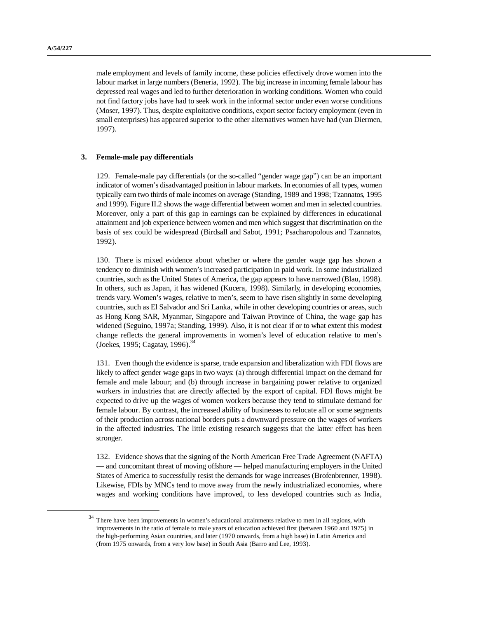<u>.</u>

male employment and levels of family income, these policies effectively drove women into the labour market in large numbers (Beneria, 1992). The big increase in incoming female labour has depressed real wages and led to further deterioration in working conditions. Women who could not find factory jobs have had to seek work in the informal sector under even worse conditions (Moser, 1997). Thus, despite exploitative conditions, export sector factory employment (even in small enterprises) has appeared superior to the other alternatives women have had (van Diermen, 1997).

#### **3. Female-male pay differentials**

129. Female-male pay differentials (or the so-called "gender wage gap") can be an important indicator of women's disadvantaged position in labour markets. In economies of all types, women typically earn two thirds of male incomes on average (Standing, 1989 and 1998; Tzannatos, 1995 and 1999). Figure II.2 shows the wage differential between women and men in selected countries. Moreover, only a part of this gap in earnings can be explained by differences in educational attainment and job experience between women and men which suggest that discrimination on the basis of sex could be widespread (Birdsall and Sabot, 1991; Psacharopolous and Tzannatos, 1992).

130. There is mixed evidence about whether or where the gender wage gap has shown a tendency to diminish with women's increased participation in paid work. In some industrialized countries, such as the United States of America, the gap appears to have narrowed (Blau, 1998). In others, such as Japan, it has widened (Kucera, 1998). Similarly, in developing economies, trends vary. Women's wages, relative to men's, seem to have risen slightly in some developing countries, such as El Salvador and Sri Lanka, while in other developing countries or areas, such as Hong Kong SAR, Myanmar, Singapore and Taiwan Province of China, the wage gap has widened (Seguino, 1997a; Standing, 1999). Also, it is not clear if or to what extent this modest change reflects the general improvements in women's level of education relative to men's (Joekes, 1995; Cagatay, 1996). 34

131. Even though the evidence is sparse, trade expansion and liberalization with FDI flows are likely to affect gender wage gaps in two ways: (a) through differential impact on the demand for female and male labour; and (b) through increase in bargaining power relative to organized workers in industries that are directly affected by the export of capital. FDI flows might be expected to drive up the wages of women workers because they tend to stimulate demand for female labour. By contrast, the increased ability of businesses to relocate all or some segments of their production across national borders puts a downward pressure on the wages of workers in the affected industries. The little existing research suggests that the latter effect has been stronger.

132. Evidence shows that the signing of the North American Free Trade Agreement (NAFTA) — and concomitant threat of moving offshore — helped manufacturing employers in the United States of America to successfully resist the demands for wage increases (Brofenbrenner, 1998). Likewise, FDIs by MNCs tend to move away from the newly industrialized economies, where wages and working conditions have improved, to less developed countries such as India,

<sup>&</sup>lt;sup>34</sup> There have been improvements in women's educational attainments relative to men in all regions, with improvements in the ratio of female to male years of education achieved first (between 1960 and 1975) in the high-performing Asian countries, and later (1970 onwards, from a high base) in Latin America and (from 1975 onwards, from a very low base) in South Asia (Barro and Lee, 1993).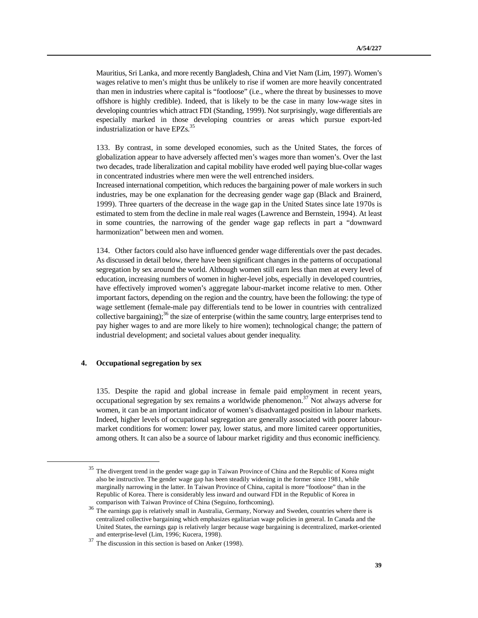Mauritius, Sri Lanka, and more recently Bangladesh, China and Viet Nam (Lim, 1997). Women's wages relative to men's might thus be unlikely to rise if women are more heavily concentrated than men in industries where capital is "footloose" (i.e., where the threat by businesses to move offshore is highly credible). Indeed, that is likely to be the case in many low-wage sites in developing countries which attract FDI (Standing, 1999). Not surprisingly, wage differentials are especially marked in those developing countries or areas which pursue export-led industrialization or have EPZs.<sup>35</sup>

133. By contrast, in some developed economies, such as the United States, the forces of globalization appear to have adversely affected men's wages more than women's. Over the last two decades, trade liberalization and capital mobility have eroded well paying blue-collar wages in concentrated industries where men were the well entrenched insiders.

Increased international competition, which reduces the bargaining power of male workers in such industries, may be one explanation for the decreasing gender wage gap (Black and Brainerd, 1999). Three quarters of the decrease in the wage gap in the United States since late 1970s is estimated to stem from the decline in male real wages (Lawrence and Bernstein, 1994). At least in some countries, the narrowing of the gender wage gap reflects in part a "downward harmonization" between men and women.

134. Other factors could also have influenced gender wage differentials over the past decades. As discussed in detail below, there have been significant changes in the patterns of occupational segregation by sex around the world. Although women still earn less than men at every level of education, increasing numbers of women in higher-level jobs, especially in developed countries, have effectively improved women's aggregate labour-market income relative to men. Other important factors, depending on the region and the country, have been the following: the type of wage settlement (female-male pay differentials tend to be lower in countries with centralized collective bargaining);<sup>36</sup> the size of enterprise (within the same country, large enterprises tend to pay higher wages to and are more likely to hire women); technological change; the pattern of industrial development; and societal values about gender inequality.

### **4. Occupational segregation by sex**

1

135. Despite the rapid and global increase in female paid employment in recent years, occupational segregation by sex remains a worldwide phenomenon.<sup>37</sup> Not always adverse for women, it can be an important indicator of women's disadvantaged position in labour markets. Indeed, higher levels of occupational segregation are generally associated with poorer labourmarket conditions for women: lower pay, lower status, and more limited career opportunities, among others. It can also be a source of labour market rigidity and thus economic inefficiency.

<sup>&</sup>lt;sup>35</sup> The divergent trend in the gender wage gap in Taiwan Province of China and the Republic of Korea might also be instructive. The gender wage gap has been steadily widening in the former since 1981, while marginally narrowing in the latter. In Taiwan Province of China, capital is more "footloose" than in the Republic of Korea. There is considerably less inward and outward FDI in the Republic of Korea in comparison with Taiwan Province of China (Seguino, forthcoming).

<sup>&</sup>lt;sup>36</sup> The earnings gap is relatively small in Australia, Germany, Norway and Sweden, countries where there is centralized collective bargaining which emphasizes egalitarian wage policies in general. In Canada and the United States, the earnings gap is relatively larger because wage bargaining is decentralized, market-oriented and enterprise-level (Lim, 1996; Kucera, 1998).

<sup>&</sup>lt;sup>37</sup> The discussion in this section is based on Anker (1998).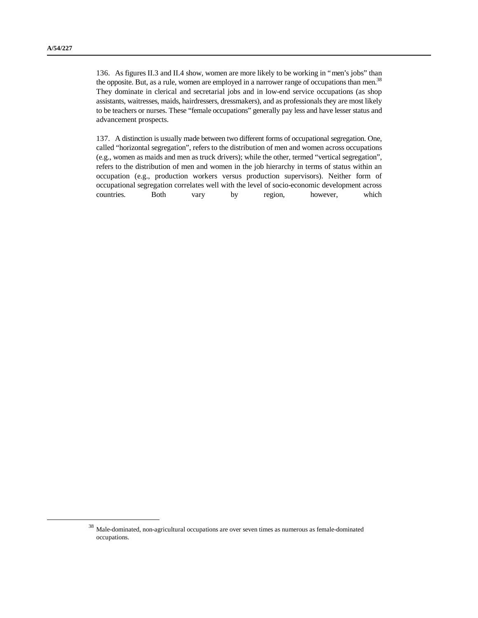1

136. As figures II.3 and II.4 show, women are more likely to be working in "men's jobs" than the opposite. But, as a rule, women are employed in a narrower range of occupations than men.<sup>38</sup> They dominate in clerical and secretarial jobs and in low-end service occupations (as shop assistants, waitresses, maids, hairdressers, dressmakers), and as professionals they are most likely to be teachers or nurses. These "female occupations" generally pay less and have lesser status and advancement prospects.

137. A distinction is usually made between two different forms of occupational segregation. One, called "horizontal segregation", refers to the distribution of men and women across occupations (e.g., women as maids and men as truck drivers); while the other, termed "vertical segregation", refers to the distribution of men and women in the job hierarchy in terms of status within an occupation (e.g., production workers versus production supervisors). Neither form of occupational segregation correlates well with the level of socio-economic development across countries. Both vary by region, however, which

 $38\,$  Male-dominated, non-agricultural occupations are over seven times as numerous as female-dominated occupations.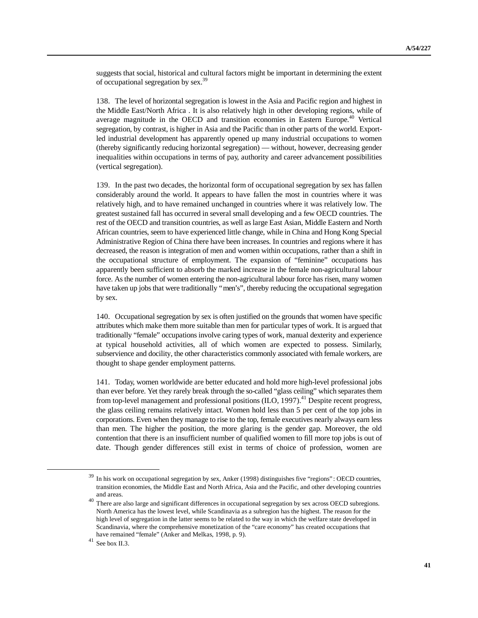suggests that social, historical and cultural factors might be important in determining the extent of occupational segregation by sex.<sup>39</sup>

138. The level of horizontal segregation is lowest in the Asia and Pacific region and highest in the Middle East/North Africa . It is also relatively high in other developing regions, while of average magnitude in the OECD and transition economies in Eastern Europe.<sup>40</sup> Vertical segregation, by contrast, is higher in Asia and the Pacific than in other parts of the world. Exportled industrial development has apparently opened up many industrial occupations to women (thereby significantly reducing horizontal segregation) — without, however, decreasing gender inequalities within occupations in terms of pay, authority and career advancement possibilities (vertical segregation).

139. In the past two decades, the horizontal form of occupational segregation by sex has fallen considerably around the world. It appears to have fallen the most in countries where it was relatively high, and to have remained unchanged in countries where it was relatively low. The greatest sustained fall has occurred in several small developing and a few OECD countries. The rest of the OECD and transition countries, as well as large East Asian, Middle Eastern and North African countries, seem to have experienced little change, while in China and Hong Kong Special Administrative Region of China there have been increases. In countries and regions where it has decreased, the reason is integration of men and women within occupations, rather than a shift in the occupational structure of employment. The expansion of "feminine" occupations has apparently been sufficient to absorb the marked increase in the female non-agricultural labour force. As the number of women entering the non-agricultural labour force has risen, many women have taken up jobs that were traditionally "men's", thereby reducing the occupational segregation by sex.

140. Occupational segregation by sex is often justified on the grounds that women have specific attributes which make them more suitable than men for particular types of work. It is argued that traditionally "female" occupations involve caring types of work, manual dexterity and experience at typical household activities, all of which women are expected to possess. Similarly, subservience and docility, the other characteristics commonly associated with female workers, are thought to shape gender employment patterns.

141. Today, women worldwide are better educated and hold more high-level professional jobs than ever before. Yet they rarely break through the so-called "glass ceiling" which separates them from top-level management and professional positions (ILO, 1997).<sup>41</sup> Despite recent progress, the glass ceiling remains relatively intact. Women hold less than 5 per cent of the top jobs in corporations. Even when they manage to rise to the top, female executives nearly always earn less than men. The higher the position, the more glaring is the gender gap. Moreover, the old contention that there is an insufficient number of qualified women to fill more top jobs is out of date. Though gender differences still exist in terms of choice of profession, women are

<sup>&</sup>lt;sup>39</sup> In his work on occupational segregation by sex, Anker (1998) distinguishes five "regions": OECD countries, transition economies, the Middle East and North Africa, Asia and the Pacific, and other developing countries and areas.

<sup>40</sup> There are also large and significant differences in occupational segregation by sex across OECD subregions. North America has the lowest level, while Scandinavia as a subregion has the highest. The reason for the high level of segregation in the latter seems to be related to the way in which the welfare state developed in Scandinavia, where the comprehensive monetization of the "care economy" has created occupations that have remained "female" (Anker and Melkas, 1998, p. 9).

 $41$  See box II.3.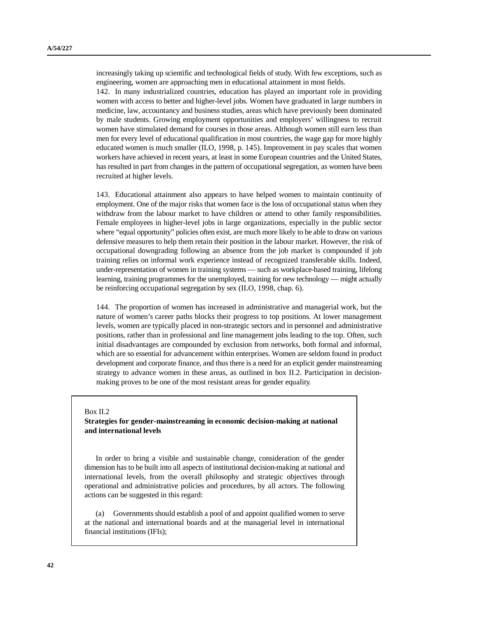increasingly taking up scientific and technological fields of study. With few exceptions, such as engineering, women are approaching men in educational attainment in most fields.

142. In many industrialized countries, education has played an important role in providing women with access to better and higher-level jobs. Women have graduated in large numbers in medicine, law, accountancy and business studies, areas which have previously been dominated by male students. Growing employment opportunities and employers' willingness to recruit women have stimulated demand for courses in those areas. Although women still earn less than men for every level of educational qualification in most countries, the wage gap for more highly educated women is much smaller (ILO, 1998, p. 145). Improvement in pay scales that women workers have achieved in recent years, at least in some European countries and the United States, has resulted in part from changes in the pattern of occupational segregation, as women have been recruited at higher levels.

143. Educational attainment also appears to have helped women to maintain continuity of employment. One of the major risks that women face is the loss of occupational status when they withdraw from the labour market to have children or attend to other family responsibilities. Female employees in higher-level jobs in large organizations, especially in the public sector where "equal opportunity" policies often exist, are much more likely to be able to draw on various defensive measures to help them retain their position in the labour market. However, the risk of occupational downgrading following an absence from the job market is compounded if job training relies on informal work experience instead of recognized transferable skills. Indeed, under-representation of women in training systems — such as workplace-based training, lifelong learning, training programmes for the unemployed, training for new technology — might actually be reinforcing occupational segregation by sex (ILO, 1998, chap. 6).

144. The proportion of women has increased in administrative and managerial work, but the nature of women's career paths blocks their progress to top positions. At lower management levels, women are typically placed in non-strategic sectors and in personnel and administrative positions, rather than in professional and line management jobs leading to the top. Often, such initial disadvantages are compounded by exclusion from networks, both formal and informal, which are so essential for advancement within enterprises. Women are seldom found in product development and corporate finance, and thus there is a need for an explicit gender mainstreaming strategy to advance women in these areas, as outlined in box II.2. Participation in decisionmaking proves to be one of the most resistant areas for gender equality.

#### Box II.2

### **Strategies for gender-mainstreaming in economic decision-making at national and international levels**

In order to bring a visible and sustainable change, consideration of the gender dimension has to be built into all aspects of institutional decision-making at national and international levels, from the overall philosophy and strategic objectives through operational and administrative policies and procedures, by all actors. The following actions can be suggested in this regard:

(a) Governments should establish a pool of and appoint qualified women to serve at the national and international boards and at the managerial level in international financial institutions (IFIs);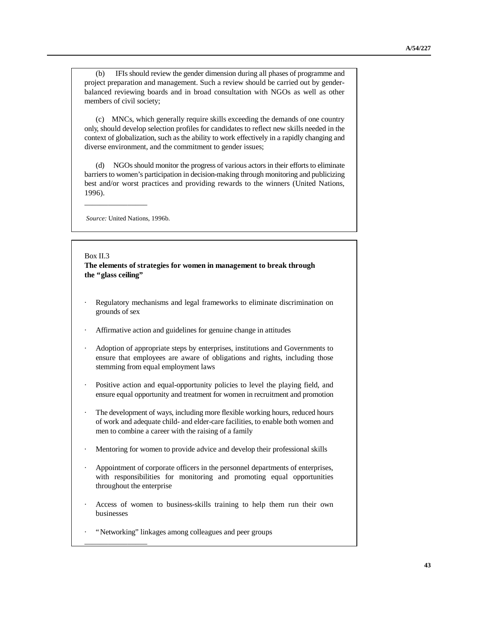(b) IFIs should review the gender dimension during all phases of programme and project preparation and management. Such a review should be carried out by genderbalanced reviewing boards and in broad consultation with NGOs as well as other members of civil society;

(c) MNCs, which generally require skills exceeding the demands of one country only, should develop selection profiles for candidates to reflect new skills needed in the context of globalization, such as the ability to work effectively in a rapidly changing and diverse environment, and the commitment to gender issues;

(d) NGOs should monitor the progress of various actors in their efforts to eliminate barriers to women's participation in decision-making through monitoring and publicizing best and/or worst practices and providing rewards to the winners (United Nations, 1996).

*Source:* United Nations, 1996b.

*\_\_\_\_\_\_\_\_\_\_\_\_\_\_\_\_*

#### Box II.3

**The elements of strategies for women in management to break through the "glass ceiling"**

- · Regulatory mechanisms and legal frameworks to eliminate discrimination on grounds of sex
- Affirmative action and guidelines for genuine change in attitudes
- Adoption of appropriate steps by enterprises, institutions and Governments to ensure that employees are aware of obligations and rights, including those stemming from equal employment laws
- Positive action and equal-opportunity policies to level the playing field, and ensure equal opportunity and treatment for women in recruitment and promotion
- The development of ways, including more flexible working hours, reduced hours of work and adequate child- and elder-care facilities, to enable both women and men to combine a career with the raising of a family
- Mentoring for women to provide advice and develop their professional skills
- Appointment of corporate officers in the personnel departments of enterprises, with responsibilities for monitoring and promoting equal opportunities throughout the enterprise
- Access of women to business-skills training to help them run their own businesses
- · "Networking" linkages among colleagues and peer groups

*\_\_\_\_\_\_\_\_\_\_\_\_\_\_\_\_*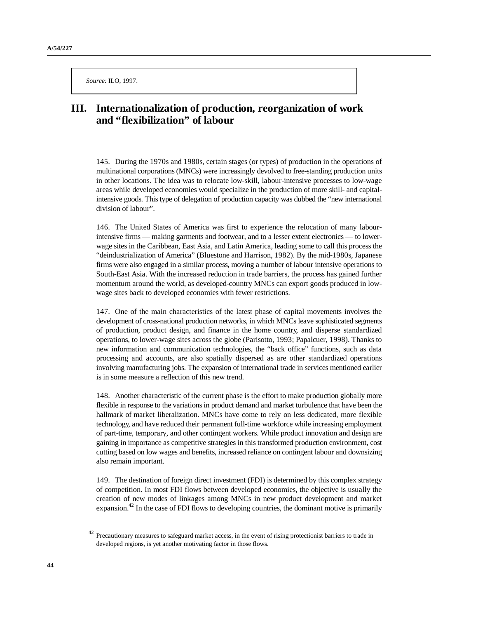*Source:* ILO, 1997.

# **III. Internationalization of production, reorganization of work and "flexibilization" of labour**

145. During the 1970s and 1980s, certain stages (or types) of production in the operations of multinational corporations (MNCs) were increasingly devolved to free-standing production units in other locations. The idea was to relocate low-skill, labour-intensive processes to low-wage areas while developed economies would specialize in the production of more skill- and capitalintensive goods. This type of delegation of production capacity was dubbed the "new international division of labour".

146. The United States of America was first to experience the relocation of many labourintensive firms — making garments and footwear, and to a lesser extent electronics — to lowerwage sites in the Caribbean, East Asia, and Latin America, leading some to call this process the "deindustrialization of America" (Bluestone and Harrison, 1982). By the mid-1980s, Japanese firms were also engaged in a similar process, moving a number of labour intensive operations to South-East Asia. With the increased reduction in trade barriers, the process has gained further momentum around the world, as developed-country MNCs can export goods produced in lowwage sites back to developed economies with fewer restrictions.

147. One of the main characteristics of the latest phase of capital movements involves the development of cross-national production networks, in which MNCs leave sophisticated segments of production, product design, and finance in the home country, and disperse standardized operations, to lower-wage sites across the globe (Parisotto, 1993; Papalcuer, 1998). Thanks to new information and communication technologies, the "back office" functions, such as data processing and accounts, are also spatially dispersed as are other standardized operations involving manufacturing jobs. The expansion of international trade in services mentioned earlier is in some measure a reflection of this new trend.

148. Another characteristic of the current phase is the effort to make production globally more flexible in response to the variations in product demand and market turbulence that have been the hallmark of market liberalization. MNCs have come to rely on less dedicated, more flexible technology, and have reduced their permanent full-time workforce while increasing employment of part-time, temporary, and other contingent workers. While product innovation and design are gaining in importance as competitive strategies in this transformed production environment, cost cutting based on low wages and benefits, increased reliance on contingent labour and downsizing also remain important.

149. The destination of foreign direct investment (FDI) is determined by this complex strategy of competition. In most FDI flows between developed economies, the objective is usually the creation of new modes of linkages among MNCs in new product development and market expansion.<sup>42</sup> In the case of FDI flows to developing countries, the dominant motive is primarily

<sup>&</sup>lt;sup>42</sup> Precautionary measures to safeguard market access, in the event of rising protectionist barriers to trade in developed regions, is yet another motivating factor in those flows.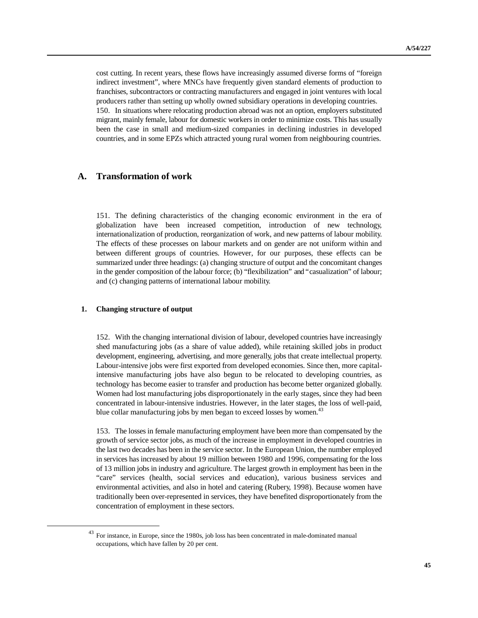cost cutting. In recent years, these flows have increasingly assumed diverse forms of "foreign indirect investment", where MNCs have frequently given standard elements of production to franchises, subcontractors or contracting manufacturers and engaged in joint ventures with local producers rather than setting up wholly owned subsidiary operations in developing countries. 150. In situations where relocating production abroad was not an option, employers substituted migrant, mainly female, labour for domestic workers in order to minimize costs. This has usually been the case in small and medium-sized companies in declining industries in developed countries, and in some EPZs which attracted young rural women from neighbouring countries.

# **A. Transformation of work**

151. The defining characteristics of the changing economic environment in the era of globalization have been increased competition, introduction of new technology, internationalization of production, reorganization of work, and new patterns of labour mobility. The effects of these processes on labour markets and on gender are not uniform within and between different groups of countries. However, for our purposes, these effects can be summarized under three headings: (a) changing structure of output and the concomitant changes in the gender composition of the labour force; (b) "flexibilization" and "casualization" of labour; and (c) changing patterns of international labour mobility.

### **1. Changing structure of output**

1

152. With the changing international division of labour, developed countries have increasingly shed manufacturing jobs (as a share of value added), while retaining skilled jobs in product development, engineering, advertising, and more generally, jobs that create intellectual property. Labour-intensive jobs were first exported from developed economies. Since then, more capitalintensive manufacturing jobs have also begun to be relocated to developing countries, as technology has become easier to transfer and production has become better organized globally. Women had lost manufacturing jobs disproportionately in the early stages, since they had been concentrated in labour-intensive industries. However, in the later stages, the loss of well-paid, blue collar manufacturing jobs by men began to exceed losses by women.<sup>43</sup>

153. The losses in female manufacturing employment have been more than compensated by the growth of service sector jobs, as much of the increase in employment in developed countries in the last two decades has been in the service sector. In the European Union, the number employed in services has increased by about 19 million between 1980 and 1996, compensating for the loss of 13 million jobs in industry and agriculture. The largest growth in employment has been in the "care" services (health, social services and education), various business services and environmental activities, and also in hotel and catering (Rubery, 1998). Because women have traditionally been over-represented in services, they have benefited disproportionately from the concentration of employment in these sectors.

 $43$  For instance, in Europe, since the 1980s, job loss has been concentrated in male-dominated manual occupations, which have fallen by 20 per cent.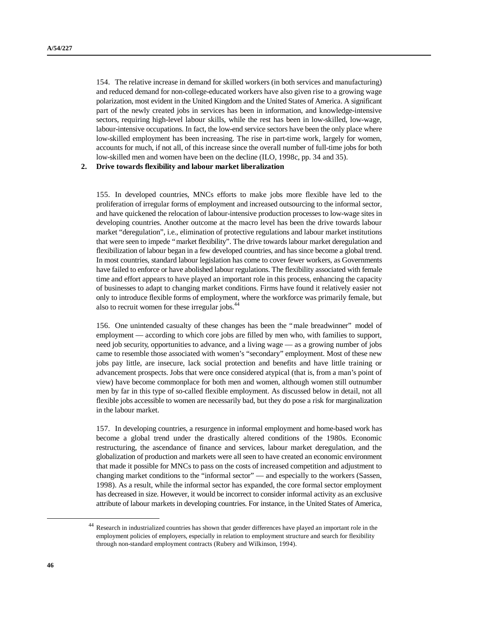154. The relative increase in demand for skilled workers (in both services and manufacturing) and reduced demand for non-college-educated workers have also given rise to a growing wage polarization, most evident in the United Kingdom and the United States of America. A significant part of the newly created jobs in services has been in information, and knowledge-intensive sectors, requiring high-level labour skills, while the rest has been in low-skilled, low-wage, labour-intensive occupations. In fact, the low-end service sectors have been the only place where low-skilled employment has been increasing. The rise in part-time work, largely for women, accounts for much, if not all, of this increase since the overall number of full-time jobs for both low-skilled men and women have been on the decline (ILO, 1998c, pp. 34 and 35).

**2. Drive towards flexibility and labour market liberalization**

155. In developed countries, MNCs efforts to make jobs more flexible have led to the proliferation of irregular forms of employment and increased outsourcing to the informal sector, and have quickened the relocation of labour-intensive production processes to low-wage sites in developing countries. Another outcome at the macro level has been the drive towards labour market "deregulation", i.e., elimination of protective regulations and labour market institutions that were seen to impede "market flexibility". The drive towards labour market deregulation and flexibilization of labour began in a few developed countries, and has since become a global trend. In most countries, standard labour legislation has come to cover fewer workers, as Governments have failed to enforce or have abolished labour regulations. The flexibility associated with female time and effort appears to have played an important role in this process, enhancing the capacity of businesses to adapt to changing market conditions. Firms have found it relatively easier not only to introduce flexible forms of employment, where the workforce was primarily female, but also to recruit women for these irregular jobs.<sup>44</sup>

156. One unintended casualty of these changes has been the "male breadwinner" model of employment — according to which core jobs are filled by men who, with families to support, need job security, opportunities to advance, and a living wage — as a growing number of jobs came to resemble those associated with women's "secondary" employment. Most of these new jobs pay little, are insecure, lack social protection and benefits and have little training or advancement prospects. Jobs that were once considered atypical (that is, from a man's point of view) have become commonplace for both men and women, although women still outnumber men by far in this type of so-called flexible employment. As discussed below in detail, not all flexible jobs accessible to women are necessarily bad, but they do pose a risk for marginalization in the labour market.

157. In developing countries, a resurgence in informal employment and home-based work has become a global trend under the drastically altered conditions of the 1980s. Economic restructuring, the ascendance of finance and services, labour market deregulation, and the globalization of production and markets were all seen to have created an economic environment that made it possible for MNCs to pass on the costs of increased competition and adjustment to changing market conditions to the "informal sector" — and especially to the workers (Sassen, 1998). As a result, while the informal sector has expanded, the core formal sector employment has decreased in size. However, it would be incorrect to consider informal activity as an exclusive attribute of labour markets in developing countries. For instance, in the United States of America,

<sup>&</sup>lt;sup>44</sup> Research in industrialized countries has shown that gender differences have played an important role in the employment policies of employers, especially in relation to employment structure and search for flexibility through non-standard employment contracts (Rubery and Wilkinson, 1994).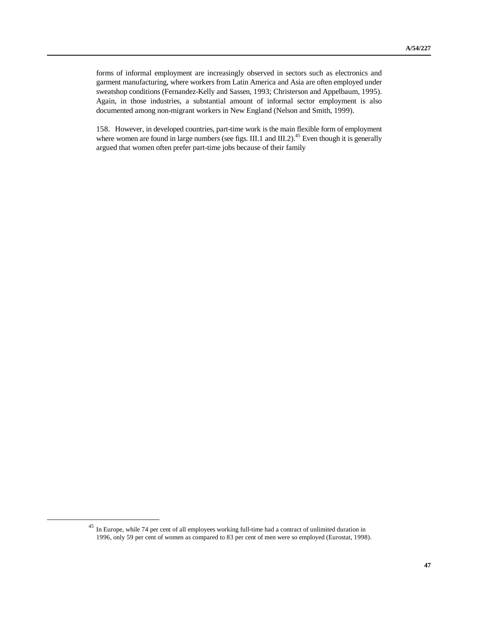forms of informal employment are increasingly observed in sectors such as electronics and garment manufacturing, where workers from Latin America and Asia are often employed under sweatshop conditions (Fernandez-Kelly and Sassen, 1993; Christerson and Appelbaum, 1995). Again, in those industries, a substantial amount of informal sector employment is also documented among non-migrant workers in New England (Nelson and Smith, 1999).

158. However, in developed countries, part-time work is the main flexible form of employment where women are found in large numbers (see figs. III.1 and III.2).<sup>45</sup> Even though it is generally argued that women often prefer part-time jobs because of their family

<sup>45</sup> In Europe, while 74 per cent of all employees working full-time had a contract of unlimited duration in 1996, only 59 per cent of women as compared to 83 per cent of men were so employed (Eurostat, 1998).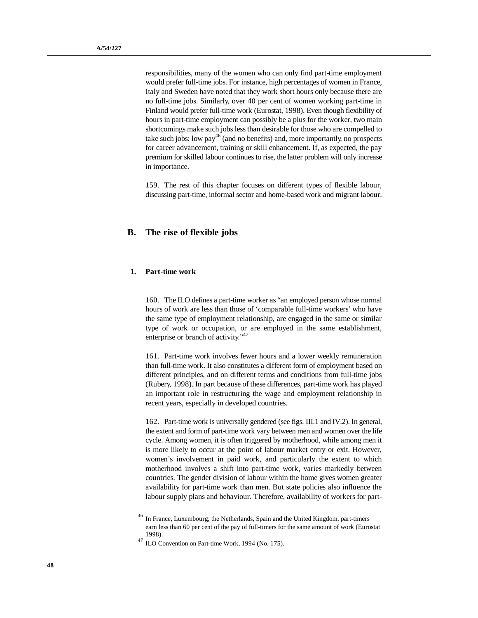responsibilities, many of the women who can only find part-time employment would prefer full-time jobs. For instance, high percentages of women in France, Italy and Sweden have noted that they work short hours only because there are no full-time jobs. Similarly, over 40 per cent of women working part-time in Finland would prefer full-time work (Eurostat, 1998). Even though flexibility of hours in part-time employment can possibly be a plus for the worker, two main shortcomings make such jobs less than desirable for those who are compelled to take such jobs: low pay<sup>46</sup> (and no benefits) and, more importantly, no prospects for career advancement, training or skill enhancement. If, as expected, the pay premium for skilled labour continues to rise, the latter problem will only increase in importance.

159. The rest of this chapter focuses on different types of flexible labour, discussing part-time, informal sector and home-based work and migrant labour.

# **B. The rise of flexible jobs**

### **1. Part-time work**

160. The ILO defines a part-time worker as "an employed person whose normal hours of work are less than those of 'comparable full-time workers' who have the same type of employment relationship, are engaged in the same or similar type of work or occupation, or are employed in the same establishment, enterprise or branch of activity."<sup>47</sup>

161. Part-time work involves fewer hours and a lower weekly remuneration than full-time work. It also constitutes a different form of employment based on different principles, and on different terms and conditions from full-time jobs (Rubery, 1998). In part because of these differences, part-time work has played an important role in restructuring the wage and employment relationship in recent years, especially in developed countries.

162. Part-time work is universally gendered (see figs. III.1 and IV.2). In general, the extent and form of part-time work vary between men and women over the life cycle. Among women, it is often triggered by motherhood, while among men it is more likely to occur at the point of labour market entry or exit. However, women's involvement in paid work, and particularly the extent to which motherhood involves a shift into part-time work, varies markedly between countries. The gender division of labour within the home gives women greater availability for part-time work than men. But state policies also influence the labour supply plans and behaviour. Therefore, availability of workers for part-

<u>.</u>

<sup>46</sup> In France, Luxembourg, the Netherlands, Spain and the United Kingdom, part-timers earn less than 60 per cent of the pay of full-timers for the same amount of work (Eurostat 1998).

<sup>47</sup> ILO Convention on Part-time Work, 1994 (No. 175).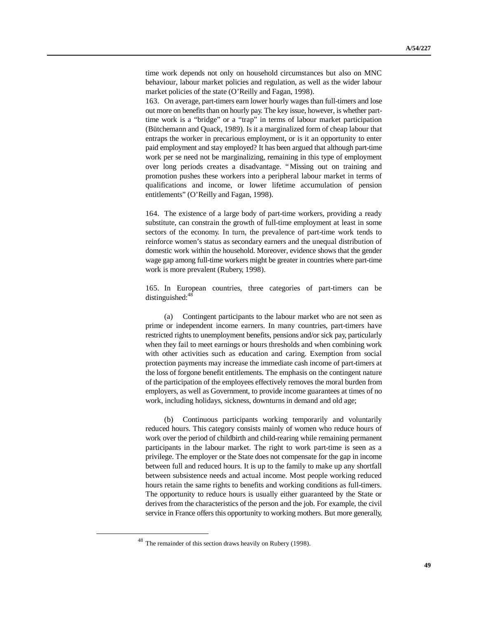time work depends not only on household circumstances but also on MNC behaviour, labour market policies and regulation, as well as the wider labour market policies of the state (O'Reilly and Fagan, 1998).

163. On average, part-timers earn lower hourly wages than full-timers and lose out more on benefits than on hourly pay. The key issue, however, is whether parttime work is a "bridge" or a "trap" in terms of labour market participation (Bütchemann and Quack, 1989). Is it a marginalized form of cheap labour that entraps the worker in precarious employment, or is it an opportunity to enter paid employment and stay employed? It has been argued that although part-time work per se need not be marginalizing, remaining in this type of employment over long periods creates a disadvantage. "Missing out on training and promotion pushes these workers into a peripheral labour market in terms of qualifications and income, or lower lifetime accumulation of pension entitlements" (O'Reilly and Fagan, 1998).

164. The existence of a large body of part-time workers, providing a ready substitute, can constrain the growth of full-time employment at least in some sectors of the economy. In turn, the prevalence of part-time work tends to reinforce women's status as secondary earners and the unequal distribution of domestic work within the household. Moreover, evidence shows that the gender wage gap among full-time workers might be greater in countries where part-time work is more prevalent (Rubery, 1998).

165. In European countries, three categories of part-timers can be distinguished:<sup>48</sup>

(a) Contingent participants to the labour market who are not seen as prime or independent income earners. In many countries, part-timers have restricted rights to unemployment benefits, pensions and/or sick pay, particularly when they fail to meet earnings or hours thresholds and when combining work with other activities such as education and caring. Exemption from social protection payments may increase the immediate cash income of part-timers at the loss of forgone benefit entitlements. The emphasis on the contingent nature of the participation of the employees effectively removes the moral burden from employers, as well as Government, to provide income guarantees at times of no work, including holidays, sickness, downturns in demand and old age;

(b) Continuous participants working temporarily and voluntarily reduced hours. This category consists mainly of women who reduce hours of work over the period of childbirth and child-rearing while remaining permanent participants in the labour market. The right to work part-time is seen as a privilege. The employer or the State does not compensate for the gap in income between full and reduced hours. It is up to the family to make up any shortfall between subsistence needs and actual income. Most people working reduced hours retain the same rights to benefits and working conditions as full-timers. The opportunity to reduce hours is usually either guaranteed by the State or derives from the characteristics of the person and the job. For example, the civil service in France offers this opportunity to working mothers. But more generally,

<sup>48</sup> The remainder of this section draws heavily on Rubery (1998).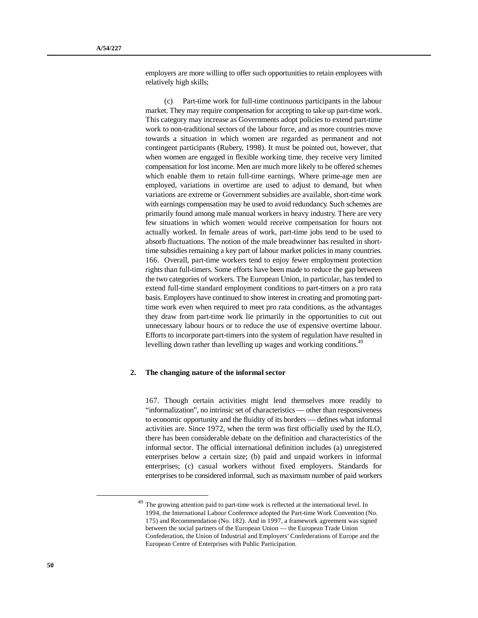employers are more willing to offer such opportunities to retain employees with relatively high skills;

(c) Part-time work for full-time continuous participants in the labour market. They may require compensation for accepting to take up part-time work. This category may increase as Governments adopt policies to extend part-time work to non-traditional sectors of the labour force, and as more countries move towards a situation in which women are regarded as permanent and not contingent participants (Rubery, 1998). It must be pointed out, however, that when women are engaged in flexible working time, they receive very limited compensation for lost income. Men are much more likely to be offered schemes which enable them to retain full-time earnings. Where prime-age men are employed, variations in overtime are used to adjust to demand, but when variations are extreme or Government subsidies are available, short-time work with earnings compensation may be used to avoid redundancy. Such schemes are primarily found among male manual workers in heavy industry. There are very few situations in which women would receive compensation for hours not actually worked. In female areas of work, part-time jobs tend to be used to absorb fluctuations. The notion of the male breadwinner has resulted in shorttime subsidies remaining a key part of labour market policies in many countries. 166. Overall, part-time workers tend to enjoy fewer employment protection rights than full-timers. Some efforts have been made to reduce the gap between the two categories of workers. The European Union, in particular, has tended to extend full-time standard employment conditions to part-timers on a pro rata basis. Employers have continued to show interest in creating and promoting parttime work even when required to meet pro rata conditions, as the advantages they draw from part-time work lie primarily in the opportunities to cut out unnecessary labour hours or to reduce the use of expensive overtime labour. Efforts to incorporate part-timers into the system of regulation have resulted in levelling down rather than levelling up wages and working conditions.<sup>49</sup>

#### **2. The changing nature of the informal sector**

167. Though certain activities might lend themselves more readily to "informalization", no intrinsic set of characteristics — other than responsiveness to economic opportunity and the fluidity of its borders — defines what informal activities are. Since 1972, when the term was first officially used by the ILO, there has been considerable debate on the definition and characteristics of the informal sector. The official international definition includes (a) unregistered enterprises below a certain size; (b) paid and unpaid workers in informal enterprises; (c) casual workers without fixed employers. Standards for enterprises to be considered informal, such as maximum number of paid workers

The growing attention paid to part-time work is reflected at the international level. In 1994, the International Labour Conference adopted the Part-time Work Convention (No. 175) and Recommendation (No. 182). And in 1997, a framework agreement was signed between the social partners of the European Union — the European Trade Union Confederation, the Union of Industrial and Employers' Confederations of Europe and the European Centre of Enterprises with Public Participation.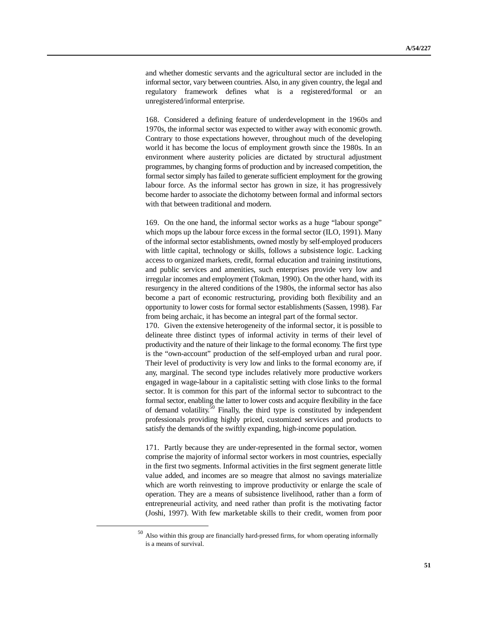and whether domestic servants and the agricultural sector are included in the informal sector, vary between countries. Also, in any given country, the legal and regulatory framework defines what is a registered/formal or an unregistered/informal enterprise.

168. Considered a defining feature of underdevelopment in the 1960s and 1970s, the informal sector was expected to wither away with economic growth. Contrary to those expectations however, throughout much of the developing world it has become the locus of employment growth since the 1980s. In an environment where austerity policies are dictated by structural adjustment programmes, by changing forms of production and by increased competition, the formal sector simply has failed to generate sufficient employment for the growing labour force. As the informal sector has grown in size, it has progressively become harder to associate the dichotomy between formal and informal sectors with that between traditional and modern.

169. On the one hand, the informal sector works as a huge "labour sponge" which mops up the labour force excess in the formal sector (ILO, 1991). Many of the informal sector establishments, owned mostly by self-employed producers with little capital, technology or skills, follows a subsistence logic. Lacking access to organized markets, credit, formal education and training institutions, and public services and amenities, such enterprises provide very low and irregular incomes and employment (Tokman, 1990). On the other hand, with its resurgency in the altered conditions of the 1980s, the informal sector has also become a part of economic restructuring, providing both flexibility and an opportunity to lower costs for formal sector establishments (Sassen, 1998). Far from being archaic, it has become an integral part of the formal sector.

170. Given the extensive heterogeneity of the informal sector, it is possible to delineate three distinct types of informal activity in terms of their level of productivity and the nature of their linkage to the formal economy. The first type is the "own-account" production of the self-employed urban and rural poor. Their level of productivity is very low and links to the formal economy are, if any, marginal. The second type includes relatively more productive workers engaged in wage-labour in a capitalistic setting with close links to the formal sector. It is common for this part of the informal sector to subcontract to the formal sector, enabling the latter to lower costs and acquire flexibility in the face of demand volatility.<sup>50</sup> Finally, the third type is constituted by independent professionals providing highly priced, customized services and products to satisfy the demands of the swiftly expanding, high-income population.

171. Partly because they are under-represented in the formal sector, women comprise the majority of informal sector workers in most countries, especially in the first two segments. Informal activities in the first segment generate little value added, and incomes are so meagre that almost no savings materialize which are worth reinvesting to improve productivity or enlarge the scale of operation. They are a means of subsistence livelihood, rather than a form of entrepreneurial activity, and need rather than profit is the motivating factor (Joshi, 1997). With few marketable skills to their credit, women from poor

<sup>50</sup> Also within this group are financially hard-pressed firms, for whom operating informally is a means of survival.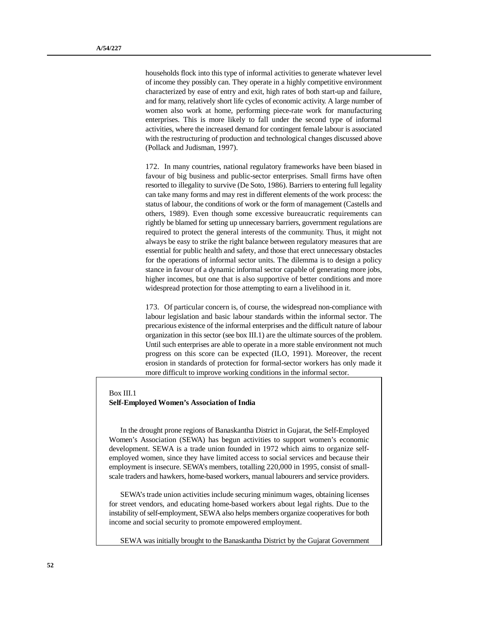households flock into this type of informal activities to generate whatever level of income they possibly can. They operate in a highly competitive environment characterized by ease of entry and exit, high rates of both start-up and failure, and for many, relatively short life cycles of economic activity. A large number of women also work at home, performing piece-rate work for manufacturing enterprises. This is more likely to fall under the second type of informal activities, where the increased demand for contingent female labour is associated with the restructuring of production and technological changes discussed above (Pollack and Judisman, 1997).

172. In many countries, national regulatory frameworks have been biased in favour of big business and public-sector enterprises. Small firms have often resorted to illegality to survive (De Soto, 1986). Barriers to entering full legality can take many forms and may rest in different elements of the work process: the status of labour, the conditions of work or the form of management (Castells and others, 1989). Even though some excessive bureaucratic requirements can rightly be blamed for setting up unnecessary barriers, government regulations are required to protect the general interests of the community. Thus, it might not always be easy to strike the right balance between regulatory measures that are essential for public health and safety, and those that erect unnecessary obstacles for the operations of informal sector units. The dilemma is to design a policy stance in favour of a dynamic informal sector capable of generating more jobs, higher incomes, but one that is also supportive of better conditions and more widespread protection for those attempting to earn a livelihood in it.

173. Of particular concern is, of course, the widespread non-compliance with labour legislation and basic labour standards within the informal sector. The precarious existence of the informal enterprises and the difficult nature of labour organization in this sector (see box III.1) are the ultimate sources of the problem. Until such enterprises are able to operate in a more stable environment not much progress on this score can be expected (ILO, 1991). Moreover, the recent erosion in standards of protection for formal-sector workers has only made it more difficult to improve working conditions in the informal sector.

#### Box III.1

#### **Self-Employed Women's Association of India**

In the drought prone regions of Banaskantha District in Gujarat, the Self-Employed Women's Association (SEWA) has begun activities to support women's economic development. SEWA is a trade union founded in 1972 which aims to organize selfemployed women, since they have limited access to social services and because their employment is insecure. SEWA's members, totalling 220,000 in 1995, consist of smallscale traders and hawkers, home-based workers, manual labourers and service providers.

SEWA's trade union activities include securing minimum wages, obtaining licenses for street vendors, and educating home-based workers about legal rights. Due to the instability of self-employment, SEWA also helps members organize cooperatives for both income and social security to promote empowered employment.

SEWA was initially brought to the Banaskantha District by the Gujarat Government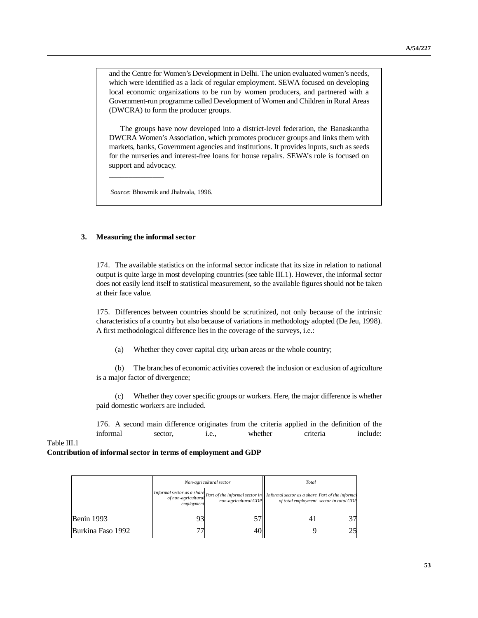and the Centre for Women's Development in Delhi. The union evaluated women's needs, which were identified as a lack of regular employment. SEWA focused on developing local economic organizations to be run by women producers, and partnered with a Government-run programme called Development of Women and Children in Rural Areas (DWCRA) to form the producer groups.

The groups have now developed into a district-level federation, the Banaskantha DWCRA Women's Association, which promotes producer groups and links them with markets, banks, Government agencies and institutions. It provides inputs, such as seeds for the nurseries and interest-free loans for house repairs. SEWA's role is focused on support and advocacy.

*Source*: Bhowmik and Jhabvala, 1996.

### **3. Measuring the informal sector**

\_\_\_\_\_\_\_\_\_\_\_\_\_\_

174. The available statistics on the informal sector indicate that its size in relation to national output is quite large in most developing countries (see table III.1). However, the informal sector does not easily lend itself to statistical measurement, so the available figures should not be taken at their face value.

175. Differences between countries should be scrutinized, not only because of the intrinsic characteristics of a country but also because of variations in methodology adopted (De Jeu, 1998). A first methodological difference lies in the coverage of the surveys, i.e.:

(a) Whether they cover capital city, urban areas or the whole country;

(b) The branches of economic activities covered: the inclusion or exclusion of agriculture is a major factor of divergence;

(c) Whether they cover specific groups or workers. Here, the major difference is whether paid domestic workers are included.

176. A second main difference originates from the criteria applied in the definition of the informal sector, i.e., whether criteria include:

### Table III.1

# **Contribution of informal sector in terms of employment and GDP**

|                   | Non-agricultural sector                  |                                                                                                                                                      | Total                                   |    |
|-------------------|------------------------------------------|------------------------------------------------------------------------------------------------------------------------------------------------------|-----------------------------------------|----|
|                   | Informal sector as a share<br>employment | on the second is a share part of the informal sector in Informal sector as a share Part of the informal of the $\frac{1}{2}$<br>non-agricultural GDP | of total employment sector in total GDP |    |
| Benin 1993        | 93                                       |                                                                                                                                                      |                                         | 37 |
| Burkina Faso 1992 | 77                                       |                                                                                                                                                      |                                         | 25 |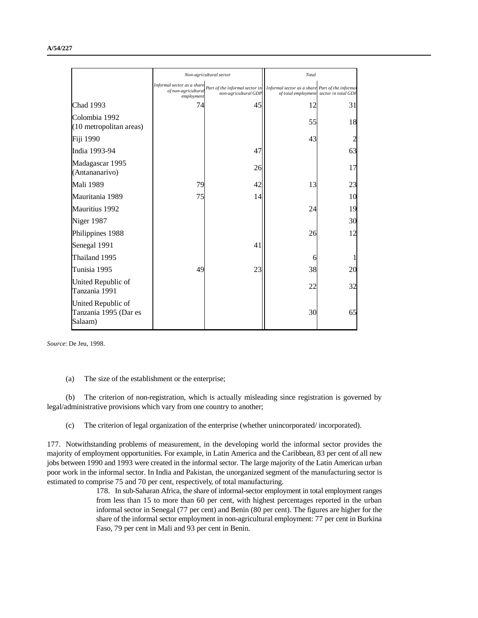|                                                        | Non-agricultural sector                                        |                                                        | Total                                           |                                         |
|--------------------------------------------------------|----------------------------------------------------------------|--------------------------------------------------------|-------------------------------------------------|-----------------------------------------|
|                                                        | Informal sector as a share<br>of non-agricultura<br>employment | Part of the informal sector in<br>non-agricultural GDP | Informal sector as a share Part of the informal | of total employment sector in total GDP |
| <b>Chad 1993</b>                                       | 74                                                             | 45                                                     | 12                                              | 31                                      |
| Colombia 1992<br>(10 metropolitan areas)               |                                                                |                                                        | 55                                              | 18                                      |
| Fiji 1990                                              |                                                                |                                                        | 43                                              | $\overline{c}$                          |
| India 1993-94                                          |                                                                | 47                                                     |                                                 | 63                                      |
| Madagascar 1995<br>(Antananarivo)                      |                                                                | 26                                                     |                                                 | 17                                      |
| <b>Mali 1989</b>                                       | 79                                                             | 42                                                     | 13                                              | 23                                      |
| Mauritania 1989                                        | 75                                                             | 14                                                     |                                                 | 10                                      |
| Mauritius 1992                                         |                                                                |                                                        | 24                                              | 19                                      |
| Niger 1987                                             |                                                                |                                                        |                                                 | 30                                      |
| Philippines 1988                                       |                                                                |                                                        | 26                                              | 12                                      |
| Senegal 1991                                           |                                                                | 41                                                     |                                                 |                                         |
| Thailand 1995                                          |                                                                |                                                        | 6                                               | $\mathbf{1}$                            |
| Tunisia 1995                                           | 49                                                             | 23                                                     | 38                                              | 20                                      |
| United Republic of<br>Tanzania 1991                    |                                                                |                                                        | 22                                              | 32                                      |
| United Republic of<br>Tanzania 1995 (Dar es<br>Salaam) |                                                                |                                                        | 30                                              | 65                                      |

*Source*: De Jeu, 1998.

(a) The size of the establishment or the enterprise;

(b) The criterion of non-registration, which is actually misleading since registration is governed by legal/administrative provisions which vary from one country to another;

(c) The criterion of legal organization of the enterprise (whether unincorporated/ incorporated).

177. Notwithstanding problems of measurement, in the developing world the informal sector provides the majority of employment opportunities. For example, in Latin America and the Caribbean, 83 per cent of all new jobs between 1990 and 1993 were created in the informal sector. The large majority of the Latin American urban poor work in the informal sector. In India and Pakistan, the unorganized segment of the manufacturing sector is estimated to comprise 75 and 70 per cent, respectively, of total manufacturing.

> 178. In sub-Saharan Africa, the share of informal-sector employment in total employment ranges from less than 15 to more than 60 per cent, with highest percentages reported in the urban informal sector in Senegal (77 per cent) and Benin (80 per cent). The figures are higher for the share of the informal sector employment in non-agricultural employment: 77 per cent in Burkina Faso, 79 per cent in Mali and 93 per cent in Benin.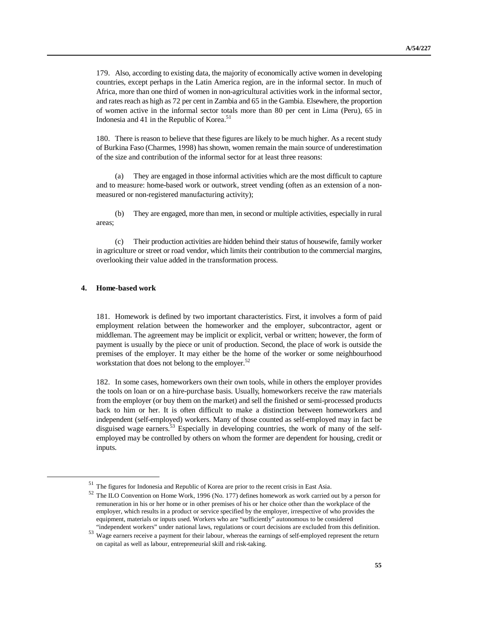179. Also, according to existing data, the majority of economically active women in developing countries, except perhaps in the Latin America region, are in the informal sector. In much of Africa, more than one third of women in non-agricultural activities work in the informal sector, and rates reach as high as 72 per cent in Zambia and 65 in the Gambia. Elsewhere, the proportion of women active in the informal sector totals more than 80 per cent in Lima (Peru), 65 in Indonesia and 41 in the Republic of Korea. $51$ 

180. There is reason to believe that these figures are likely to be much higher. As a recent study of Burkina Faso (Charmes, 1998) has shown, women remain the main source of underestimation of the size and contribution of the informal sector for at least three reasons:

(a) They are engaged in those informal activities which are the most difficult to capture and to measure: home-based work or outwork, street vending (often as an extension of a nonmeasured or non-registered manufacturing activity);

(b) They are engaged, more than men, in second or multiple activities, especially in rural areas;

(c) Their production activities are hidden behind their status of housewife, family worker in agriculture or street or road vendor, which limits their contribution to the commercial margins, overlooking their value added in the transformation process.

#### **4. Home-based work**

<u>.</u>

181. Homework is defined by two important characteristics. First, it involves a form of paid employment relation between the homeworker and the employer, subcontractor, agent or middleman. The agreement may be implicit or explicit, verbal or written; however, the form of payment is usually by the piece or unit of production. Second, the place of work is outside the premises of the employer. It may either be the home of the worker or some neighbourhood workstation that does not belong to the employer. $52$ 

182. In some cases, homeworkers own their own tools, while in others the employer provides the tools on loan or on a hire-purchase basis. Usually, homeworkers receive the raw materials from the employer (or buy them on the market) and sell the finished or semi-processed products back to him or her. It is often difficult to make a distinction between homeworkers and independent (self-employed) workers. Many of those counted as self-employed may in fact be disguised wage earners.<sup>53</sup> Especially in developing countries, the work of many of the selfemployed may be controlled by others on whom the former are dependent for housing, credit or inputs.

<sup>51</sup> The figures for Indonesia and Republic of Korea are prior to the recent crisis in East Asia.

<sup>52</sup> The ILO Convention on Home Work, 1996 (No. 177) defines homework as work carried out by a person for remuneration in his or her home or in other premises of his or her choice other than the workplace of the employer, which results in a product or service specified by the employer, irrespective of who provides the equipment, materials or inputs used. Workers who are "sufficiently" autonomous to be considered "independent workers" under national laws, regulations or court decisions are excluded from this definition.

<sup>53</sup> Wage earners receive a payment for their labour, whereas the earnings of self-employed represent the return on capital as well as labour, entrepreneurial skill and risk-taking.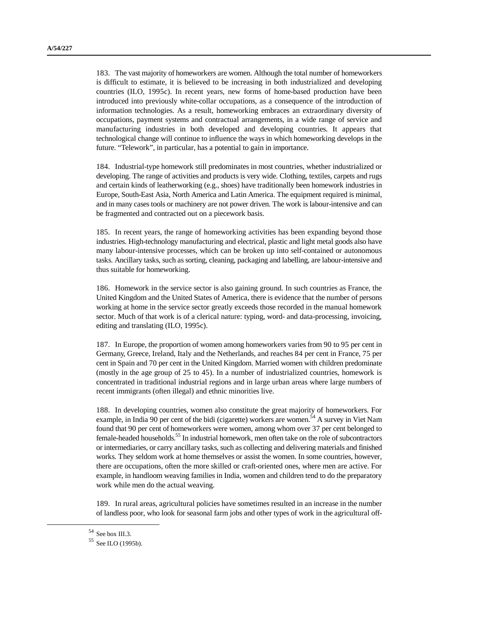183. The vast majority of homeworkers are women. Although the total number of homeworkers is difficult to estimate, it is believed to be increasing in both industrialized and developing countries (ILO, 1995c). In recent years, new forms of home-based production have been introduced into previously white-collar occupations, as a consequence of the introduction of information technologies. As a result, homeworking embraces an extraordinary diversity of occupations, payment systems and contractual arrangements, in a wide range of service and manufacturing industries in both developed and developing countries. It appears that technological change will continue to influence the ways in which homeworking develops in the future. "Telework", in particular, has a potential to gain in importance.

184. Industrial-type homework still predominates in most countries, whether industrialized or developing. The range of activities and products is very wide. Clothing, textiles, carpets and rugs and certain kinds of leatherworking (e.g., shoes) have traditionally been homework industries in Europe, South-East Asia, North America and Latin America. The equipment required is minimal, and in many cases tools or machinery are not power driven. The work is labour-intensive and can be fragmented and contracted out on a piecework basis.

185. In recent years, the range of homeworking activities has been expanding beyond those industries. High-technology manufacturing and electrical, plastic and light metal goods also have many labour-intensive processes, which can be broken up into self-contained or autonomous tasks. Ancillary tasks, such as sorting, cleaning, packaging and labelling, are labour-intensive and thus suitable for homeworking.

186. Homework in the service sector is also gaining ground. In such countries as France, the United Kingdom and the United States of America, there is evidence that the number of persons working at home in the service sector greatly exceeds those recorded in the manual homework sector. Much of that work is of a clerical nature: typing, word- and data-processing, invoicing, editing and translating (ILO, 1995c).

187. In Europe, the proportion of women among homeworkers varies from 90 to 95 per cent in Germany, Greece, Ireland, Italy and the Netherlands, and reaches 84 per cent in France, 75 per cent in Spain and 70 per cent in the United Kingdom. Married women with children predominate (mostly in the age group of 25 to 45). In a number of industrialized countries, homework is concentrated in traditional industrial regions and in large urban areas where large numbers of recent immigrants (often illegal) and ethnic minorities live.

188. In developing countries, women also constitute the great majority of homeworkers. For example, in India 90 per cent of the bidi (cigarette) workers are women.<sup>54</sup> A survey in Viet Nam found that 90 per cent of homeworkers were women, among whom over 37 per cent belonged to female-headed households.<sup>55</sup> In industrial homework, men often take on the role of subcontractors or intermediaries, or carry ancillary tasks, such as collecting and delivering materials and finished works. They seldom work at home themselves or assist the women. In some countries, however, there are occupations, often the more skilled or craft-oriented ones, where men are active. For example, in handloom weaving families in India, women and children tend to do the preparatory work while men do the actual weaving.

189. In rural areas, agricultural policies have sometimes resulted in an increase in the number of landless poor, who look for seasonal farm jobs and other types of work in the agricultural off-

 $^{\rm 54}$  See box III.3.

<sup>55</sup> See ILO (1995b).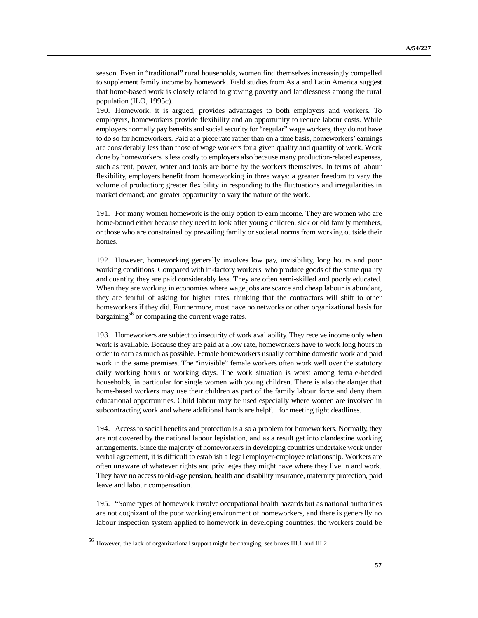season. Even in "traditional" rural households, women find themselves increasingly compelled to supplement family income by homework. Field studies from Asia and Latin America suggest that home-based work is closely related to growing poverty and landlessness among the rural population (ILO, 1995c).

190. Homework, it is argued, provides advantages to both employers and workers. To employers, homeworkers provide flexibility and an opportunity to reduce labour costs. While employers normally pay benefits and social security for "regular" wage workers, they do not have to do so for homeworkers. Paid at a piece rate rather than on a time basis, homeworkers' earnings are considerably less than those of wage workers for a given quality and quantity of work. Work done by homeworkers is less costly to employers also because many production-related expenses, such as rent, power, water and tools are borne by the workers themselves. In terms of labour flexibility, employers benefit from homeworking in three ways: a greater freedom to vary the volume of production; greater flexibility in responding to the fluctuations and irregularities in market demand; and greater opportunity to vary the nature of the work.

191. For many women homework is the only option to earn income. They are women who are home-bound either because they need to look after young children, sick or old family members, or those who are constrained by prevailing family or societal norms from working outside their homes.

192. However, homeworking generally involves low pay, invisibility, long hours and poor working conditions. Compared with in-factory workers, who produce goods of the same quality and quantity, they are paid considerably less. They are often semi-skilled and poorly educated. When they are working in economies where wage jobs are scarce and cheap labour is abundant, they are fearful of asking for higher rates, thinking that the contractors will shift to other homeworkers if they did. Furthermore, most have no networks or other organizational basis for bargaining<sup>56</sup> or comparing the current wage rates.

193. Homeworkers are subject to insecurity of work availability. They receive income only when work is available. Because they are paid at a low rate, homeworkers have to work long hours in order to earn as much as possible. Female homeworkers usually combine domestic work and paid work in the same premises. The "invisible" female workers often work well over the statutory daily working hours or working days. The work situation is worst among female-headed households, in particular for single women with young children. There is also the danger that home-based workers may use their children as part of the family labour force and deny them educational opportunities. Child labour may be used especially where women are involved in subcontracting work and where additional hands are helpful for meeting tight deadlines.

194. Access to social benefits and protection is also a problem for homeworkers. Normally, they are not covered by the national labour legislation, and as a result get into clandestine working arrangements. Since the majority of homeworkers in developing countries undertake work under verbal agreement, it is difficult to establish a legal employer-employee relationship. Workers are often unaware of whatever rights and privileges they might have where they live in and work. They have no access to old-age pension, health and disability insurance, maternity protection, paid leave and labour compensation.

195. "Some types of homework involve occupational health hazards but as national authorities are not cognizant of the poor working environment of homeworkers, and there is generally no labour inspection system applied to homework in developing countries, the workers could be

<sup>56</sup> However, the lack of organizational support might be changing; see boxes III.1 and III.2.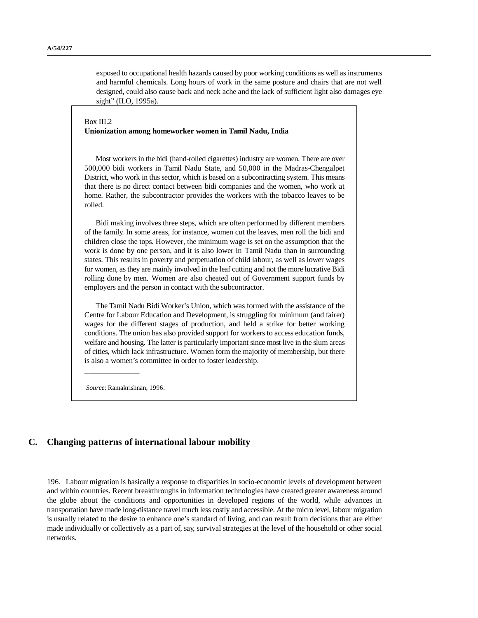exposed to occupational health hazards caused by poor working conditions as well as instruments and harmful chemicals. Long hours of work in the same posture and chairs that are not well designed, could also cause back and neck ache and the lack of sufficient light also damages eye sight" (ILO, 1995a).

### Box III.2 **Unionization among homeworker women in Tamil Nadu, India**

Most workers in the bidi (hand-rolled cigarettes) industry are women. There are over 500,000 bidi workers in Tamil Nadu State, and 50,000 in the Madras-Chengalpet District, who work in this sector, which is based on a subcontracting system. This means that there is no direct contact between bidi companies and the women, who work at home. Rather, the subcontractor provides the workers with the tobacco leaves to be rolled.

Bidi making involves three steps, which are often performed by different members of the family. In some areas, for instance, women cut the leaves, men roll the bidi and children close the tops. However, the minimum wage is set on the assumption that the work is done by one person, and it is also lower in Tamil Nadu than in surrounding states. This results in poverty and perpetuation of child labour, as well as lower wages for women, as they are mainly involved in the leaf cutting and not the more lucrative Bidi rolling done by men. Women are also cheated out of Government support funds by employers and the person in contact with the subcontractor.

The Tamil Nadu Bidi Worker's Union, which was formed with the assistance of the Centre for Labour Education and Development, is struggling for minimum (and fairer) wages for the different stages of production, and held a strike for better working conditions. The union has also provided support for workers to access education funds, welfare and housing. The latter is particularly important since most live in the slum areas of cities, which lack infrastructure. Women form the majority of membership, but there is also a women's committee in order to foster leadership.

*Source*: Ramakrishnan, 1996.

\_\_\_\_\_\_\_\_\_\_\_\_\_\_

### **C. Changing patterns of international labour mobility**

196. Labour migration is basically a response to disparities in socio-economic levels of development between and within countries. Recent breakthroughs in information technologies have created greater awareness around the globe about the conditions and opportunities in developed regions of the world, while advances in transportation have made long-distance travel much less costly and accessible. At the micro level, labour migration is usually related to the desire to enhance one's standard of living, and can result from decisions that are either made individually or collectively as a part of, say, survival strategies at the level of the household or other social networks.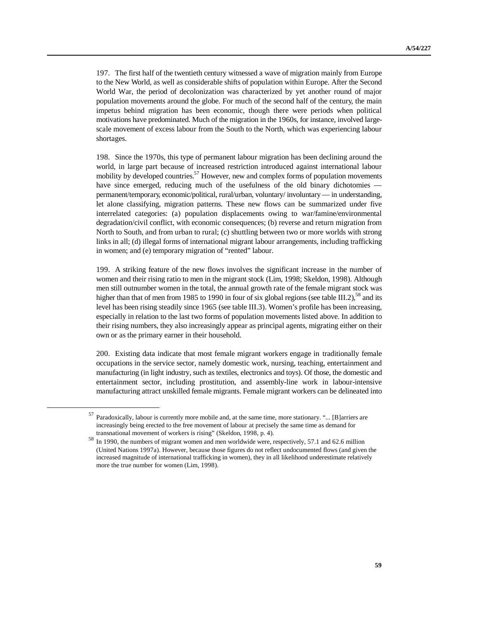197. The first half of the twentieth century witnessed a wave of migration mainly from Europe to the New World, as well as considerable shifts of population within Europe. After the Second World War, the period of decolonization was characterized by yet another round of major population movements around the globe. For much of the second half of the century, the main impetus behind migration has been economic, though there were periods when political motivations have predominated. Much of the migration in the 1960s, for instance, involved largescale movement of excess labour from the South to the North, which was experiencing labour shortages.

198. Since the 1970s, this type of permanent labour migration has been declining around the world, in large part because of increased restriction introduced against international labour mobility by developed countries.<sup>57</sup> However, new and complex forms of population movements have since emerged, reducing much of the usefulness of the old binary dichotomies permanent/temporary, economic/political, rural/urban, voluntary/ involuntary — in understanding, let alone classifying, migration patterns. These new flows can be summarized under five interrelated categories: (a) population displacements owing to war/famine/environmental degradation/civil conflict, with economic consequences; (b) reverse and return migration from North to South, and from urban to rural; (c) shuttling between two or more worlds with strong links in all; (d) illegal forms of international migrant labour arrangements, including trafficking in women; and (e) temporary migration of "rented" labour.

199. A striking feature of the new flows involves the significant increase in the number of women and their rising ratio to men in the migrant stock (Lim, 1998; Skeldon, 1998). Although men still outnumber women in the total, the annual growth rate of the female migrant stock was higher than that of men from 1985 to 1990 in four of six global regions (see table III.2),<sup>58</sup> and its level has been rising steadily since 1965 (see table III.3). Women's profile has been increasing, especially in relation to the last two forms of population movements listed above. In addition to their rising numbers, they also increasingly appear as principal agents, migrating either on their own or as the primary earner in their household.

200. Existing data indicate that most female migrant workers engage in traditionally female occupations in the service sector, namely domestic work, nursing, teaching, entertainment and manufacturing (in light industry, such as textiles, electronics and toys). Of those, the domestic and entertainment sector, including prostitution, and assembly-line work in labour-intensive manufacturing attract unskilled female migrants. Female migrant workers can be delineated into

<u>.</u>

<sup>57</sup> Paradoxically, labour is currently more mobile and, at the same time, more stationary. "... [B]arriers are increasingly being erected to the free movement of labour at precisely the same time as demand for transnational movement of workers is rising" (Skeldon, 1998, p. 4).

<sup>58</sup> In 1990, the numbers of migrant women and men worldwide were, respectively, 57.1 and 62.6 million (United Nations 1997a). However, because those figures do not reflect undocumented flows (and given the increased magnitude of international trafficking in women), they in all likelihood underestimate relatively more the true number for women (Lim, 1998).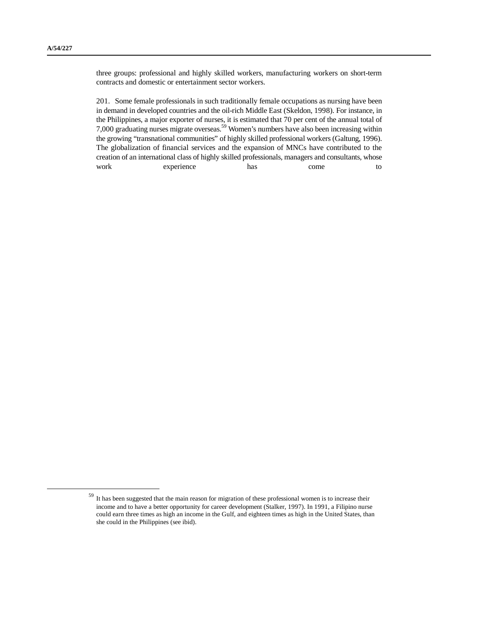1

three groups: professional and highly skilled workers, manufacturing workers on short-term contracts and domestic or entertainment sector workers.

201. Some female professionals in such traditionally female occupations as nursing have been in demand in developed countries and the oil-rich Middle East (Skeldon, 1998). For instance, in the Philippines, a major exporter of nurses, it is estimated that 70 per cent of the annual total of 7,000 graduating nurses migrate overseas.<sup>59</sup> Women's numbers have also been increasing within the growing "transnational communities" of highly skilled professional workers (Galtung, 1996). The globalization of financial services and the expansion of MNCs have contributed to the creation of an international class of highly skilled professionals, managers and consultants, whose work experience has come to

<sup>&</sup>lt;sup>59</sup> It has been suggested that the main reason for migration of these professional women is to increase their income and to have a better opportunity for career development (Stalker, 1997). In 1991, a Filipino nurse could earn three times as high an income in the Gulf, and eighteen times as high in the United States, than she could in the Philippines (see ibid).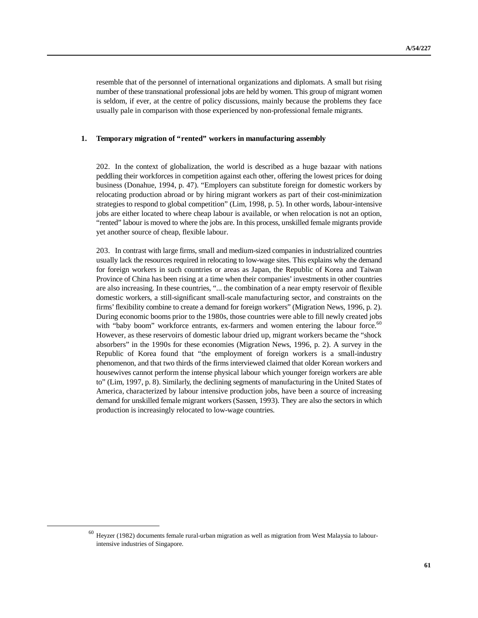resemble that of the personnel of international organizations and diplomats. A small but rising number of these transnational professional jobs are held by women. This group of migrant women is seldom, if ever, at the centre of policy discussions, mainly because the problems they face usually pale in comparison with those experienced by non-professional female migrants.

#### **1. Temporary migration of "rented" workers in manufacturing assembly**

202. In the context of globalization, the world is described as a huge bazaar with nations peddling their workforces in competition against each other, offering the lowest prices for doing business (Donahue, 1994, p. 47). "Employers can substitute foreign for domestic workers by relocating production abroad or by hiring migrant workers as part of their cost-minimization strategies to respond to global competition" (Lim, 1998, p. 5). In other words, labour-intensive jobs are either located to where cheap labour is available, or when relocation is not an option, "rented" labour is moved to where the jobs are. In this process, unskilled female migrants provide yet another source of cheap, flexible labour.

203. In contrast with large firms, small and medium-sized companies in industrialized countries usually lack the resources required in relocating to low-wage sites. This explains why the demand for foreign workers in such countries or areas as Japan, the Republic of Korea and Taiwan Province of China has been rising at a time when their companies' investments in other countries are also increasing. In these countries, "... the combination of a near empty reservoir of flexible domestic workers, a still-significant small-scale manufacturing sector, and constraints on the firms' flexibility combine to create a demand for foreign workers" (Migration News, 1996, p. 2). During economic booms prior to the 1980s, those countries were able to fill newly created jobs with "baby boom" workforce entrants, ex-farmers and women entering the labour force.<sup>60</sup> However, as these reservoirs of domestic labour dried up, migrant workers became the "shock absorbers" in the 1990s for these economies (Migration News, 1996, p. 2). A survey in the Republic of Korea found that "the employment of foreign workers is a small-industry phenomenon, and that two thirds of the firms interviewed claimed that older Korean workers and housewives cannot perform the intense physical labour which younger foreign workers are able to" (Lim, 1997, p. 8). Similarly, the declining segments of manufacturing in the United States of America, characterized by labour intensive production jobs, have been a source of increasing demand for unskilled female migrant workers (Sassen, 1993). They are also the sectors in which production is increasingly relocated to low-wage countries.

 $60$  Heyzer (1982) documents female rural-urban migration as well as migration from West Malaysia to labourintensive industries of Singapore.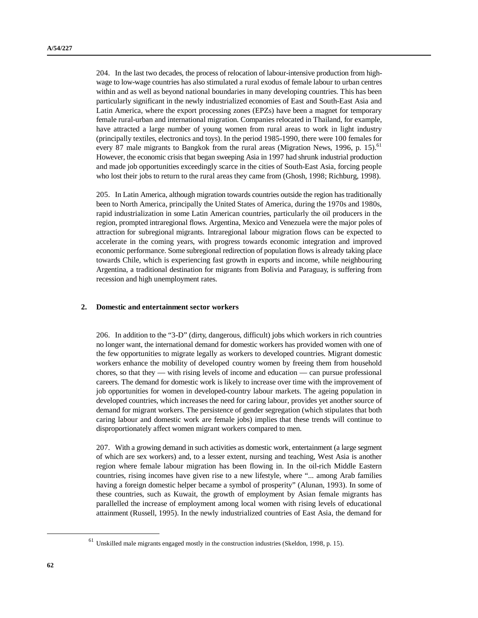204. In the last two decades, the process of relocation of labour-intensive production from highwage to low-wage countries has also stimulated a rural exodus of female labour to urban centres within and as well as beyond national boundaries in many developing countries. This has been particularly significant in the newly industrialized economies of East and South-East Asia and Latin America, where the export processing zones (EPZs) have been a magnet for temporary female rural-urban and international migration. Companies relocated in Thailand, for example, have attracted a large number of young women from rural areas to work in light industry (principally textiles, electronics and toys). In the period 1985-1990, there were 100 females for every 87 male migrants to Bangkok from the rural areas (Migration News, 1996, p. 15).<sup>61</sup> However, the economic crisis that began sweeping Asia in 1997 had shrunk industrial production and made job opportunities exceedingly scarce in the cities of South-East Asia, forcing people who lost their jobs to return to the rural areas they came from (Ghosh, 1998; Richburg, 1998).

205. In Latin America, although migration towards countries outside the region has traditionally been to North America, principally the United States of America, during the 1970s and 1980s, rapid industrialization in some Latin American countries, particularly the oil producers in the region, prompted intraregional flows. Argentina, Mexico and Venezuela were the major poles of attraction for subregional migrants. Intraregional labour migration flows can be expected to accelerate in the coming years, with progress towards economic integration and improved economic performance. Some subregional redirection of population flows is already taking place towards Chile, which is experiencing fast growth in exports and income, while neighbouring Argentina, a traditional destination for migrants from Bolivia and Paraguay, is suffering from recession and high unemployment rates.

### **2. Domestic and entertainment sector workers**

206. In addition to the "3-D" (dirty, dangerous, difficult) jobs which workers in rich countries no longer want, the international demand for domestic workers has provided women with one of the few opportunities to migrate legally as workers to developed countries. Migrant domestic workers enhance the mobility of developed country women by freeing them from household chores, so that they — with rising levels of income and education — can pursue professional careers. The demand for domestic work is likely to increase over time with the improvement of job opportunities for women in developed-country labour markets. The ageing population in developed countries, which increases the need for caring labour, provides yet another source of demand for migrant workers. The persistence of gender segregation (which stipulates that both caring labour and domestic work are female jobs) implies that these trends will continue to disproportionately affect women migrant workers compared to men.

207. With a growing demand in such activities as domestic work, entertainment (a large segment of which are sex workers) and, to a lesser extent, nursing and teaching, West Asia is another region where female labour migration has been flowing in. In the oil-rich Middle Eastern countries, rising incomes have given rise to a new lifestyle, where "... among Arab families having a foreign domestic helper became a symbol of prosperity" (Alunan, 1993). In some of these countries, such as Kuwait, the growth of employment by Asian female migrants has parallelled the increase of employment among local women with rising levels of educational attainment (Russell, 1995). In the newly industrialized countries of East Asia, the demand for

<sup>61</sup> Unskilled male migrants engaged mostly in the construction industries (Skeldon, 1998, p. 15).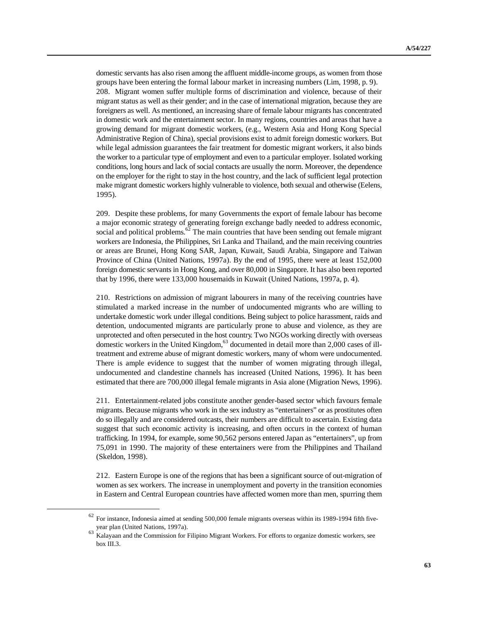domestic servants has also risen among the affluent middle-income groups, as women from those groups have been entering the formal labour market in increasing numbers (Lim, 1998, p. 9). 208. Migrant women suffer multiple forms of discrimination and violence, because of their migrant status as well as their gender; and in the case of international migration, because they are foreigners as well. As mentioned, an increasing share of female labour migrants has concentrated in domestic work and the entertainment sector. In many regions, countries and areas that have a growing demand for migrant domestic workers, (e.g., Western Asia and Hong Kong Special Administrative Region of China), special provisions exist to admit foreign domestic workers. But while legal admission guarantees the fair treatment for domestic migrant workers, it also binds the worker to a particular type of employment and even to a particular employer. Isolated working conditions, long hours and lack of social contacts are usually the norm. Moreover, the dependence on the employer for the right to stay in the host country, and the lack of sufficient legal protection make migrant domestic workers highly vulnerable to violence, both sexual and otherwise (Eelens, 1995).

209. Despite these problems, for many Governments the export of female labour has become a major economic strategy of generating foreign exchange badly needed to address economic, social and political problems. $62$  The main countries that have been sending out female migrant workers are Indonesia, the Philippines, Sri Lanka and Thailand, and the main receiving countries or areas are Brunei, Hong Kong SAR, Japan, Kuwait, Saudi Arabia, Singapore and Taiwan Province of China (United Nations, 1997a). By the end of 1995, there were at least 152,000 foreign domestic servants in Hong Kong, and over 80,000 in Singapore. It has also been reported that by 1996, there were 133,000 housemaids in Kuwait (United Nations, 1997a, p. 4).

210. Restrictions on admission of migrant labourers in many of the receiving countries have stimulated a marked increase in the number of undocumented migrants who are willing to undertake domestic work under illegal conditions. Being subject to police harassment, raids and detention, undocumented migrants are particularly prone to abuse and violence, as they are unprotected and often persecuted in the host country. Two NGOs working directly with overseas domestic workers in the United Kingdom, <sup>63</sup> documented in detail more than 2,000 cases of illtreatment and extreme abuse of migrant domestic workers, many of whom were undocumented. There is ample evidence to suggest that the number of women migrating through illegal, undocumented and clandestine channels has increased (United Nations, 1996). It has been estimated that there are 700,000 illegal female migrants in Asia alone (Migration News, 1996).

211. Entertainment-related jobs constitute another gender-based sector which favours female migrants. Because migrants who work in the sex industry as "entertainers" or as prostitutes often do so illegally and are considered outcasts, their numbers are difficult to ascertain. Existing data suggest that such economic activity is increasing, and often occurs in the context of human trafficking. In 1994, for example, some 90,562 persons entered Japan as "entertainers", up from 75,091 in 1990. The majority of these entertainers were from the Philippines and Thailand (Skeldon, 1998).

212. Eastern Europe is one of the regions that has been a significant source of out-migration of women as sex workers. The increase in unemployment and poverty in the transition economies in Eastern and Central European countries have affected women more than men, spurring them

<u>.</u>

For instance, Indonesia aimed at sending 500,000 female migrants overseas within its 1989-1994 fifth fiveyear plan (United Nations, 1997a).

<sup>63</sup> Kalayaan and the Commission for Filipino Migrant Workers. For efforts to organize domestic workers, see box III.3.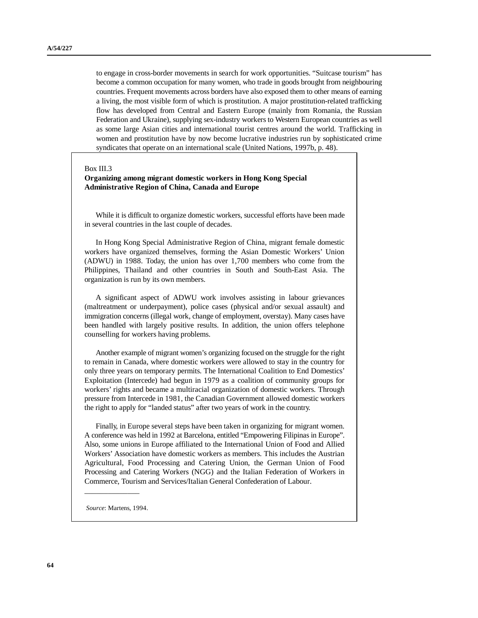to engage in cross-border movements in search for work opportunities. "Suitcase tourism" has become a common occupation for many women, who trade in goods brought from neighbouring countries. Frequent movements across borders have also exposed them to other means of earning a living, the most visible form of which is prostitution. A major prostitution-related trafficking flow has developed from Central and Eastern Europe (mainly from Romania, the Russian Federation and Ukraine), supplying sex-industry workers to Western European countries as well as some large Asian cities and international tourist centres around the world. Trafficking in women and prostitution have by now become lucrative industries run by sophisticated crime syndicates that operate on an international scale (United Nations, 1997b, p. 48).

#### Box III.3

### **Organizing among migrant domestic workers in Hong Kong Special Administrative Region of China, Canada and Europe**

While it is difficult to organize domestic workers, successful efforts have been made in several countries in the last couple of decades.

In Hong Kong Special Administrative Region of China, migrant female domestic workers have organized themselves, forming the Asian Domestic Workers' Union (ADWU) in 1988. Today, the union has over 1,700 members who come from the Philippines, Thailand and other countries in South and South-East Asia. The organization is run by its own members.

A significant aspect of ADWU work involves assisting in labour grievances (maltreatment or underpayment), police cases (physical and/or sexual assault) and immigration concerns (illegal work, change of employment, overstay). Many cases have been handled with largely positive results. In addition, the union offers telephone counselling for workers having problems.

Another example of migrant women's organizing focused on the struggle for the right to remain in Canada, where domestic workers were allowed to stay in the country for only three years on temporary permits. The International Coalition to End Domestics' Exploitation (Intercede) had begun in 1979 as a coalition of community groups for workers' rights and became a multiracial organization of domestic workers. Through pressure from Intercede in 1981, the Canadian Government allowed domestic workers the right to apply for "landed status" after two years of work in the country.

Finally, in Europe several steps have been taken in organizing for migrant women. A conference was held in 1992 at Barcelona, entitled "Empowering Filipinas in Europe". Also, some unions in Europe affiliated to the International Union of Food and Allied Workers' Association have domestic workers as members. This includes the Austrian Agricultural, Food Processing and Catering Union, the German Union of Food Processing and Catering Workers (NGG) and the Italian Federation of Workers in Commerce, Tourism and Services/Italian General Confederation of Labour.

*Source*: Martens, 1994.

\_\_\_\_\_\_\_\_\_\_\_\_\_\_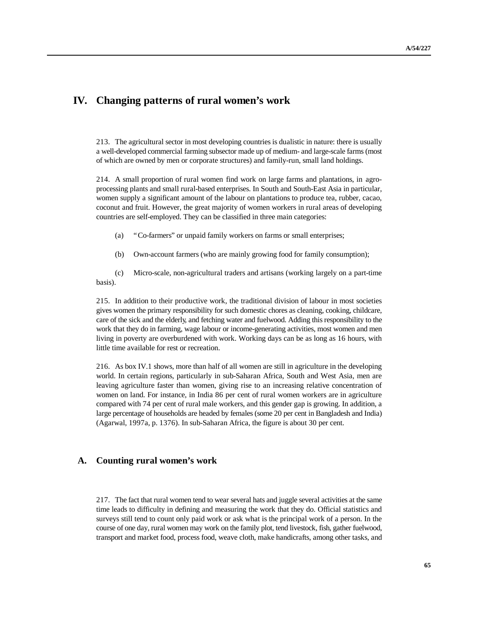# **IV. Changing patterns of rural women's work**

213. The agricultural sector in most developing countries is dualistic in nature: there is usually a well-developed commercial farming subsector made up of medium- and large-scale farms (most of which are owned by men or corporate structures) and family-run, small land holdings.

214. A small proportion of rural women find work on large farms and plantations, in agroprocessing plants and small rural-based enterprises. In South and South-East Asia in particular, women supply a significant amount of the labour on plantations to produce tea, rubber, cacao, coconut and fruit. However, the great majority of women workers in rural areas of developing countries are self-employed. They can be classified in three main categories:

- (a) "Co-farmers" or unpaid family workers on farms or small enterprises;
- (b) Own-account farmers (who are mainly growing food for family consumption);

(c) Micro-scale, non-agricultural traders and artisans (working largely on a part-time basis).

215. In addition to their productive work, the traditional division of labour in most societies gives women the primary responsibility for such domestic chores as cleaning, cooking, childcare, care of the sick and the elderly, and fetching water and fuelwood. Adding this responsibility to the work that they do in farming, wage labour or income-generating activities, most women and men living in poverty are overburdened with work. Working days can be as long as 16 hours, with little time available for rest or recreation.

216. As box IV.1 shows, more than half of all women are still in agriculture in the developing world. In certain regions, particularly in sub-Saharan Africa, South and West Asia, men are leaving agriculture faster than women, giving rise to an increasing relative concentration of women on land. For instance, in India 86 per cent of rural women workers are in agriculture compared with 74 per cent of rural male workers, and this gender gap is growing. In addition, a large percentage of households are headed by females (some 20 per cent in Bangladesh and India) (Agarwal, 1997a, p. 1376). In sub-Saharan Africa, the figure is about 30 per cent.

# **A. Counting rural women's work**

217. The fact that rural women tend to wear several hats and juggle several activities at the same time leads to difficulty in defining and measuring the work that they do. Official statistics and surveys still tend to count only paid work or ask what is the principal work of a person. In the course of one day, rural women may work on the family plot, tend livestock, fish, gather fuelwood, transport and market food, process food, weave cloth, make handicrafts, among other tasks, and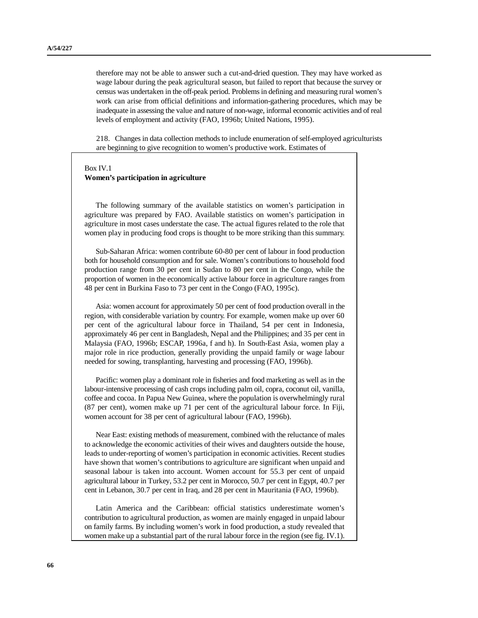therefore may not be able to answer such a cut-and-dried question. They may have worked as wage labour during the peak agricultural season, but failed to report that because the survey or census was undertaken in the off-peak period. Problems in defining and measuring rural women's work can arise from official definitions and information-gathering procedures, which may be inadequate in assessing the value and nature of non-wage, informal economic activities and of real levels of employment and activity (FAO, 1996b; United Nations, 1995).

218. Changes in data collection methods to include enumeration of self-employed agriculturists are beginning to give recognition to women's productive work. Estimates of

### Box IV.1 **Women's participation in agriculture**

The following summary of the available statistics on women's participation in agriculture was prepared by FAO. Available statistics on women's participation in agriculture in most cases understate the case. The actual figures related to the role that women play in producing food crops is thought to be more striking than this summary.

Sub-Saharan Africa: women contribute 60-80 per cent of labour in food production both for household consumption and for sale. Women's contributions to household food production range from 30 per cent in Sudan to 80 per cent in the Congo, while the proportion of women in the economically active labour force in agriculture ranges from 48 per cent in Burkina Faso to 73 per cent in the Congo (FAO, 1995c).

Asia: women account for approximately 50 per cent of food production overall in the region, with considerable variation by country. For example, women make up over 60 per cent of the agricultural labour force in Thailand, 54 per cent in Indonesia, approximately 46 per cent in Bangladesh, Nepal and the Philippines; and 35 per cent in Malaysia (FAO, 1996b; ESCAP, 1996a, f and h). In South-East Asia, women play a major role in rice production, generally providing the unpaid family or wage labour needed for sowing, transplanting, harvesting and processing (FAO, 1996b).

Pacific: women play a dominant role in fisheries and food marketing as well as in the labour-intensive processing of cash crops including palm oil, copra, coconut oil, vanilla, coffee and cocoa. In Papua New Guinea, where the population is overwhelmingly rural (87 per cent), women make up 71 per cent of the agricultural labour force. In Fiji, women account for 38 per cent of agricultural labour (FAO, 1996b).

Near East: existing methods of measurement, combined with the reluctance of males to acknowledge the economic activities of their wives and daughters outside the house, leads to under-reporting of women's participation in economic activities. Recent studies have shown that women's contributions to agriculture are significant when unpaid and seasonal labour is taken into account. Women account for 55.3 per cent of unpaid agricultural labour in Turkey, 53.2 per cent in Morocco, 50.7 per cent in Egypt, 40.7 per cent in Lebanon, 30.7 per cent in Iraq, and 28 per cent in Mauritania (FAO, 1996b).

Latin America and the Caribbean: official statistics underestimate women's contribution to agricultural production, as women are mainly engaged in unpaid labour on family farms. By including women's work in food production, a study revealed that women make up a substantial part of the rural labour force in the region (see fig. IV.1).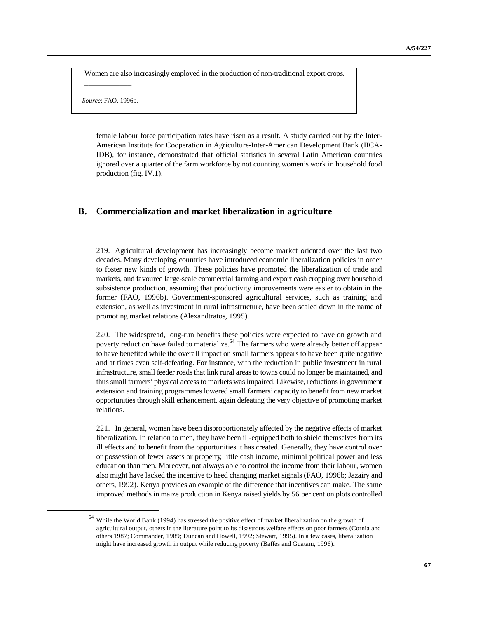Women are also increasingly employed in the production of non-traditional export crops.

*Source*: FAO, 1996b.

<u>.</u>

\_\_\_\_\_\_\_\_\_\_\_\_

female labour force participation rates have risen as a result. A study carried out by the Inter-American Institute for Cooperation in Agriculture-Inter-American Development Bank (IICA-IDB), for instance, demonstrated that official statistics in several Latin American countries ignored over a quarter of the farm workforce by not counting women's work in household food production (fig. IV.1).

# **B. Commercialization and market liberalization in agriculture**

219. Agricultural development has increasingly become market oriented over the last two decades. Many developing countries have introduced economic liberalization policies in order to foster new kinds of growth. These policies have promoted the liberalization of trade and markets, and favoured large-scale commercial farming and export cash cropping over household subsistence production, assuming that productivity improvements were easier to obtain in the former (FAO, 1996b). Government-sponsored agricultural services, such as training and extension, as well as investment in rural infrastructure, have been scaled down in the name of promoting market relations (Alexandtratos, 1995).

220. The widespread, long-run benefits these policies were expected to have on growth and poverty reduction have failed to materialize.<sup>64</sup> The farmers who were already better off appear to have benefited while the overall impact on small farmers appears to have been quite negative and at times even self-defeating. For instance, with the reduction in public investment in rural infrastructure, small feeder roads that link rural areas to towns could no longer be maintained, and thus small farmers' physical access to markets was impaired. Likewise, reductions in government extension and training programmes lowered small farmers' capacity to benefit from new market opportunities through skill enhancement, again defeating the very objective of promoting market relations.

221. In general, women have been disproportionately affected by the negative effects of market liberalization. In relation to men, they have been ill-equipped both to shield themselves from its ill effects and to benefit from the opportunities it has created. Generally, they have control over or possession of fewer assets or property, little cash income, minimal political power and less education than men. Moreover, not always able to control the income from their labour, women also might have lacked the incentive to heed changing market signals (FAO, 1996b; Jazairy and others, 1992). Kenya provides an example of the difference that incentives can make. The same improved methods in maize production in Kenya raised yields by 56 per cent on plots controlled

 $64$  While the World Bank (1994) has stressed the positive effect of market liberalization on the growth of agricultural output, others in the literature point to its disastrous welfare effects on poor farmers (Cornia and others 1987; Commander, 1989; Duncan and Howell, 1992; Stewart, 1995). In a few cases, liberalization might have increased growth in output while reducing poverty (Baffes and Guatam, 1996).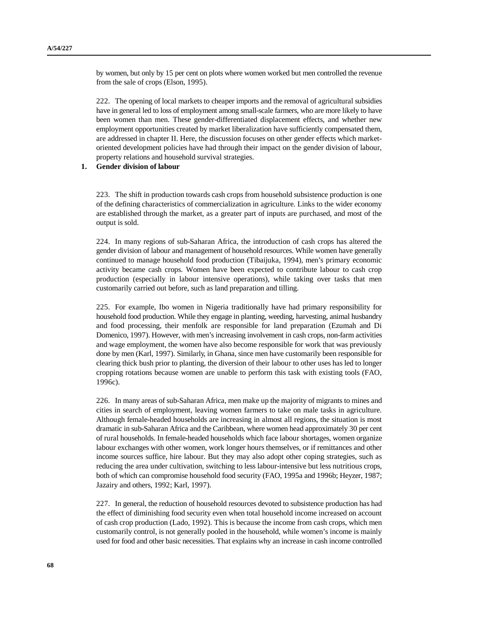by women, but only by 15 per cent on plots where women worked but men controlled the revenue from the sale of crops (Elson, 1995).

222. The opening of local markets to cheaper imports and the removal of agricultural subsidies have in general led to loss of employment among small-scale farmers, who are more likely to have been women than men. These gender-differentiated displacement effects, and whether new employment opportunities created by market liberalization have sufficiently compensated them, are addressed in chapter II. Here, the discussion focuses on other gender effects which marketoriented development policies have had through their impact on the gender division of labour, property relations and household survival strategies.

### **1. Gender division of labour**

223. The shift in production towards cash crops from household subsistence production is one of the defining characteristics of commercialization in agriculture. Links to the wider economy are established through the market, as a greater part of inputs are purchased, and most of the output is sold.

224. In many regions of sub-Saharan Africa, the introduction of cash crops has altered the gender division of labour and management of household resources. While women have generally continued to manage household food production (Tibaijuka, 1994), men's primary economic activity became cash crops. Women have been expected to contribute labour to cash crop production (especially in labour intensive operations), while taking over tasks that men customarily carried out before, such as land preparation and tilling.

225. For example, Ibo women in Nigeria traditionally have had primary responsibility for household food production. While they engage in planting, weeding, harvesting, animal husbandry and food processing, their menfolk are responsible for land preparation (Ezumah and Di Domenico, 1997). However, with men's increasing involvement in cash crops, non-farm activities and wage employment, the women have also become responsible for work that was previously done by men (Karl, 1997). Similarly, in Ghana, since men have customarily been responsible for clearing thick bush prior to planting, the diversion of their labour to other uses has led to longer cropping rotations because women are unable to perform this task with existing tools (FAO, 1996c).

226. In many areas of sub-Saharan Africa, men make up the majority of migrants to mines and cities in search of employment, leaving women farmers to take on male tasks in agriculture. Although female-headed households are increasing in almost all regions, the situation is most dramatic in sub-Saharan Africa and the Caribbean, where women head approximately 30 per cent of rural households. In female-headed households which face labour shortages, women organize labour exchanges with other women, work longer hours themselves, or if remittances and other income sources suffice, hire labour. But they may also adopt other coping strategies, such as reducing the area under cultivation, switching to less labour-intensive but less nutritious crops, both of which can compromise household food security (FAO, 1995a and 1996b; Heyzer, 1987; Jazairy and others, 1992; Karl, 1997).

227. In general, the reduction of household resources devoted to subsistence production has had the effect of diminishing food security even when total household income increased on account of cash crop production (Lado, 1992). This is because the income from cash crops, which men customarily control, is not generally pooled in the household, while women's income is mainly used for food and other basic necessities. That explains why an increase in cash income controlled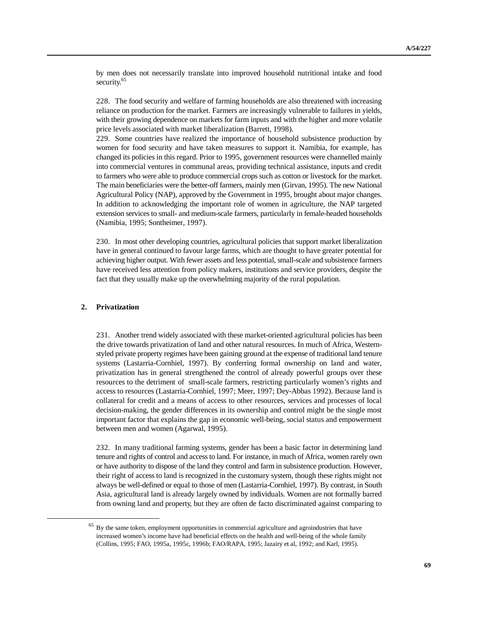by men does not necessarily translate into improved household nutritional intake and food security.<sup>65</sup>

228. The food security and welfare of farming households are also threatened with increasing reliance on production for the market. Farmers are increasingly vulnerable to failures in yields, with their growing dependence on markets for farm inputs and with the higher and more volatile price levels associated with market liberalization (Barrett, 1998).

229. Some countries have realized the importance of household subsistence production by women for food security and have taken measures to support it. Namibia, for example, has changed its policies in this regard. Prior to 1995, government resources were channelled mainly into commercial ventures in communal areas, providing technical assistance, inputs and credit to farmers who were able to produce commercial crops such as cotton or livestock for the market. The main beneficiaries were the better-off farmers, mainly men (Girvan, 1995). The new National Agricultural Policy (NAP), approved by the Government in 1995, brought about major changes. In addition to acknowledging the important role of women in agriculture, the NAP targeted extension services to small- and medium-scale farmers, particularly in female-headed households (Namibia, 1995; Sontheimer, 1997).

230. In most other developing countries, agricultural policies that support market liberalization have in general continued to favour large farms, which are thought to have greater potential for achieving higher output. With fewer assets and less potential, small-scale and subsistence farmers have received less attention from policy makers, institutions and service providers, despite the fact that they usually make up the overwhelming majority of the rural population.

### **2. Privatization**

1

231. Another trend widely associated with these market-oriented agricultural policies has been the drive towards privatization of land and other natural resources. In much of Africa, Westernstyled private property regimes have been gaining ground at the expense of traditional land tenure systems (Lastarria-Cornhiel, 1997). By conferring formal ownership on land and water, privatization has in general strengthened the control of already powerful groups over these resources to the detriment of small-scale farmers, restricting particularly women's rights and access to resources (Lastarria-Cornhiel, 1997; Meer, 1997; Dey-Abbas 1992). Because land is collateral for credit and a means of access to other resources, services and processes of local decision-making, the gender differences in its ownership and control might be the single most important factor that explains the gap in economic well-being, social status and empowerment between men and women (Agarwal, 1995).

232. In many traditional farming systems, gender has been a basic factor in determining land tenure and rights of control and access to land. For instance, in much of Africa, women rarely own or have authority to dispose of the land they control and farm in subsistence production. However, their right of access to land is recognized in the customary system, though these rights might not always be well-defined or equal to those of men (Lastarria-Cornhiel, 1997). By contrast, in South Asia, agricultural land is already largely owned by individuals. Women are not formally barred from owning land and property, but they are often de facto discriminated against comparing to

<sup>65</sup> By the same token, employment opportunities in commercial agriculture and agroindustries that have increased women's income have had beneficial effects on the health and well-being of the whole family (Collins, 1995; FAO, 1995a, 1995c, 1996b; FAO/RAPA, 1995; Jazairy et al, 1992; and Karl, 1995).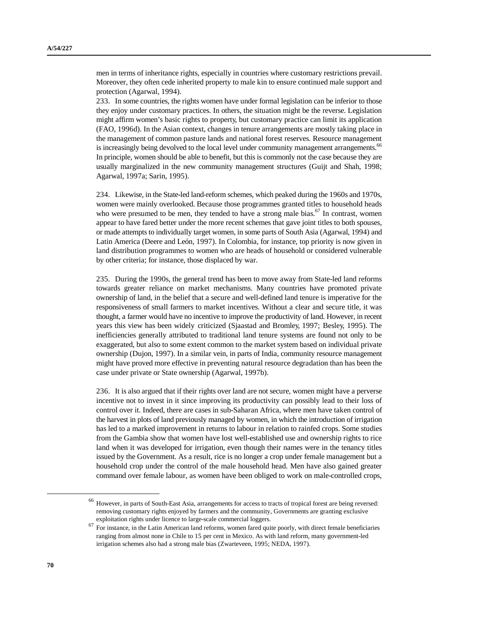men in terms of inheritance rights, especially in countries where customary restrictions prevail. Moreover, they often cede inherited property to male kin to ensure continued male support and protection (Agarwal, 1994).

233. In some countries, the rights women have under formal legislation can be inferior to those they enjoy under customary practices. In others, the situation might be the reverse. Legislation might affirm women's basic rights to property, but customary practice can limit its application (FAO, 1996d). In the Asian context, changes in tenure arrangements are mostly taking place in the management of common pasture lands and national forest reserves. Resource management is increasingly being devolved to the local level under community management arrangements.<sup>66</sup> In principle, women should be able to benefit, but this is commonly not the case because they are usually marginalized in the new community management structures (Guijt and Shah, 1998; Agarwal, 1997a; Sarin, 1995).

234. Likewise, in the State-led land-reform schemes, which peaked during the 1960s and 1970s, women were mainly overlooked. Because those programmes granted titles to household heads who were presumed to be men, they tended to have a strong male bias.<sup>67</sup> In contrast, women appear to have fared better under the more recent schemes that gave joint titles to both spouses, or made attempts to individually target women, in some parts of South Asia (Agarwal, 1994) and Latin America (Deere and León, 1997). In Colombia, for instance, top priority is now given in land distribution programmes to women who are heads of household or considered vulnerable by other criteria; for instance, those displaced by war.

235. During the 1990s, the general trend has been to move away from State-led land reforms towards greater reliance on market mechanisms. Many countries have promoted private ownership of land, in the belief that a secure and well-defined land tenure is imperative for the responsiveness of small farmers to market incentives. Without a clear and secure title, it was thought, a farmer would have no incentive to improve the productivity of land. However, in recent years this view has been widely criticized (Sjaastad and Bromley, 1997; Besley, 1995). The inefficiencies generally attributed to traditional land tenure systems are found not only to be exaggerated, but also to some extent common to the market system based on individual private ownership (Dujon, 1997). In a similar vein, in parts of India, community resource management might have proved more effective in preventing natural resource degradation than has been the case under private or State ownership (Agarwal, 1997b).

236. It is also argued that if their rights over land are not secure, women might have a perverse incentive not to invest in it since improving its productivity can possibly lead to their loss of control over it. Indeed, there are cases in sub-Saharan Africa, where men have taken control of the harvest in plots of land previously managed by women, in which the introduction of irrigation has led to a marked improvement in returns to labour in relation to rainfed crops. Some studies from the Gambia show that women have lost well-established use and ownership rights to rice land when it was developed for irrigation, even though their names were in the tenancy titles issued by the Government. As a result, rice is no longer a crop under female management but a household crop under the control of the male household head. Men have also gained greater command over female labour, as women have been obliged to work on male-controlled crops,

<sup>66</sup> However, in parts of South-East Asia, arrangements for access to tracts of tropical forest are being reversed: removing customary rights enjoyed by farmers and the community, Governments are granting exclusive exploitation rights under licence to large-scale commercial loggers.

<sup>67</sup> For instance, in the Latin American land reforms, women fared quite poorly, with direct female beneficiaries ranging from almost none in Chile to 15 per cent in Mexico. As with land reform, many government-led irrigation schemes also had a strong male bias (Zwarteveen, 1995; NEDA, 1997).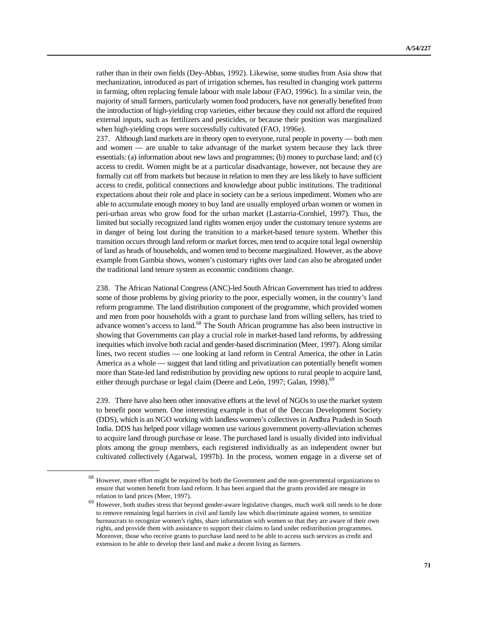rather than in their own fields (Dey-Abbas, 1992). Likewise, some studies from Asia show that mechanization, introduced as part of irrigation schemes, has resulted in changing work patterns in farming, often replacing female labour with male labour (FAO, 1996c). In a similar vein, the majority of small farmers, particularly women food producers, have not generally benefited from the introduction of high-yielding crop varieties, either because they could not afford the required external inputs, such as fertilizers and pesticides, or because their position was marginalized when high-yielding crops were successfully cultivated (FAO, 1996e).

237. Although land markets are in theory open to everyone, rural people in poverty — both men and women — are unable to take advantage of the market system because they lack three essentials: (a) information about new laws and programmes; (b) money to purchase land; and (c) access to credit. Women might be at a particular disadvantage, however, not because they are formally cut off from markets but because in relation to men they are less likely to have sufficient access to credit, political connections and knowledge about public institutions. The traditional expectations about their role and place in society can be a serious impediment. Women who are able to accumulate enough money to buy land are usually employed urban women or women in peri-urban areas who grow food for the urban market (Lastarria-Cornhiel, 1997). Thus, the limited but socially recognized land rights women enjoy under the customary tenure systems are in danger of being lost during the transition to a market-based tenure system. Whether this transition occurs through land reform or market forces, men tend to acquire total legal ownership of land as heads of households, and women tend to become marginalized. However, as the above example from Gambia shows, women's customary rights over land can also be abrogated under the traditional land tenure system as economic conditions change.

238. The African National Congress (ANC)-led South African Government has tried to address some of those problems by giving priority to the poor, especially women, in the country's land reform programme. The land distribution component of the programme, which provided women and men from poor households with a grant to purchase land from willing sellers, has tried to advance women's access to land.<sup>68</sup> The South African programme has also been instructive in showing that Governments can play a crucial role in market-based land reforms, by addressing inequities which involve both racial and gender-based discrimination (Meer, 1997). Along similar lines, two recent studies — one looking at land reform in Central America, the other in Latin America as a whole — suggest that land titling and privatization can potentially benefit women more than State-led land redistribution by providing new options to rural people to acquire land, either through purchase or legal claim (Deere and León, 1997; Galan, 1998).<sup>69</sup>

239. There have also been other innovative efforts at the level of NGOs to use the market system to benefit poor women. One interesting example is that of the Deccan Development Society (DDS), which is an NGO working with landless women's collectives in Andhra Pradesh in South India. DDS has helped poor village women use various government poverty-alleviation schemes to acquire land through purchase or lease. The purchased land is usually divided into individual plots among the group members, each registered individually as an independent owner but cultivated collectively (Agarwal, 1997b). In the process, women engage in a diverse set of

However, more effort might be required by both the Government and the non-governmental organizations to ensure that women benefit from land reform. It has been argued that the grants provided are meagre in relation to land prices (Meer, 1997).

<sup>&</sup>lt;sup>69</sup> However, both studies stress that beyond gender-aware legislative changes, much work still needs to be done to remove remaining legal barriers in civil and family law which discriminate against women, to sensitize bureaucrats to recognize women's rights, share information with women so that they are aware of their own rights, and provide them with assistance to support their claims to land under redistribution programmes. Moreover, those who receive grants to purchase land need to be able to access such services as credit and extension to be able to develop their land and make a decent living as farmers.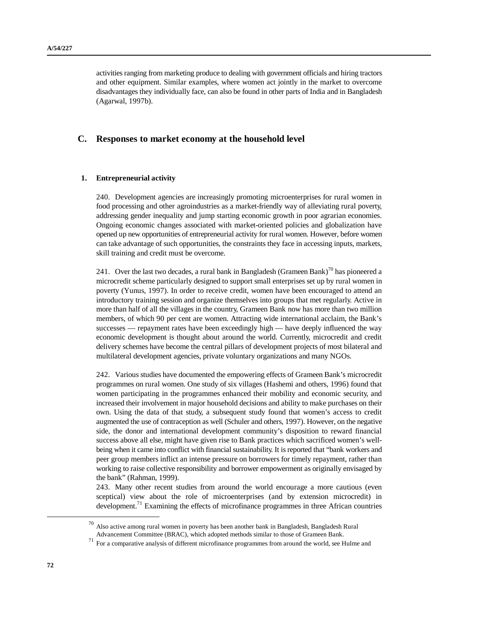activities ranging from marketing produce to dealing with government officials and hiring tractors and other equipment. Similar examples, where women act jointly in the market to overcome disadvantages they individually face, can also be found in other parts of India and in Bangladesh (Agarwal, 1997b).

# **C. Responses to market economy at the household level**

#### **1. Entrepreneurial activity**

240. Development agencies are increasingly promoting microenterprises for rural women in food processing and other agroindustries as a market-friendly way of alleviating rural poverty, addressing gender inequality and jump starting economic growth in poor agrarian economies. Ongoing economic changes associated with market-oriented policies and globalization have opened up new opportunities of entrepreneurial activity for rural women. However, before women can take advantage of such opportunities, the constraints they face in accessing inputs, markets, skill training and credit must be overcome.

241. Over the last two decades, a rural bank in Bangladesh (Grameen Bank)<sup>70</sup> has pioneered a microcredit scheme particularly designed to support small enterprises set up by rural women in poverty (Yunus, 1997). In order to receive credit, women have been encouraged to attend an introductory training session and organize themselves into groups that met regularly. Active in more than half of all the villages in the country, Grameen Bank now has more than two million members, of which 90 per cent are women. Attracting wide international acclaim, the Bank's successes — repayment rates have been exceedingly high — have deeply influenced the way economic development is thought about around the world. Currently, microcredit and credit delivery schemes have become the central pillars of development projects of most bilateral and multilateral development agencies, private voluntary organizations and many NGOs.

242. Various studies have documented the empowering effects of Grameen Bank's microcredit programmes on rural women. One study of six villages (Hashemi and others, 1996) found that women participating in the programmes enhanced their mobility and economic security, and increased their involvement in major household decisions and ability to make purchases on their own. Using the data of that study, a subsequent study found that women's access to credit augmented the use of contraception as well (Schuler and others, 1997). However, on the negative side, the donor and international development community's disposition to reward financial success above all else, might have given rise to Bank practices which sacrificed women's wellbeing when it came into conflict with financial sustainability. It is reported that "bank workers and peer group members inflict an intense pressure on borrowers for timely repayment, rather than working to raise collective responsibility and borrower empowerment as originally envisaged by the bank" (Rahman, 1999).

243. Many other recent studies from around the world encourage a more cautious (even sceptical) view about the role of microenterprises (and by extension microcredit) in development.<sup>71</sup> Examining the effects of microfinance programmes in three African countries

<u>.</u>

 $^{70}$  Also active among rural women in poverty has been another bank in Bangladesh, Bangladesh Rural Advancement Committee (BRAC), which adopted methods similar to those of Grameen Bank.

 $71$  For a comparative analysis of different microfinance programmes from around the world, see Hulme and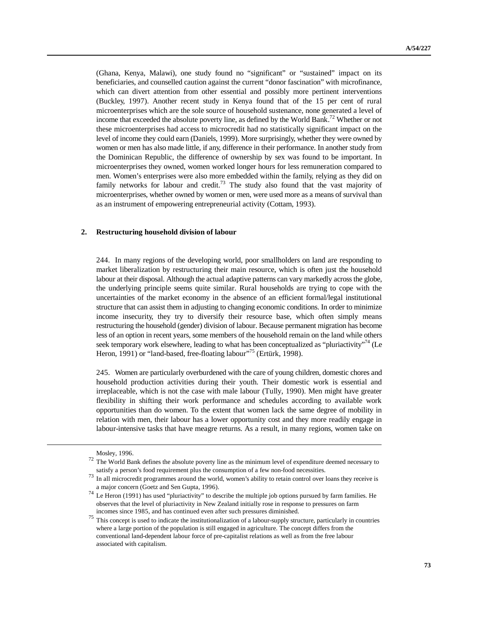(Ghana, Kenya, Malawi), one study found no "significant" or "sustained" impact on its beneficiaries, and counselled caution against the current "donor fascination" with microfinance, which can divert attention from other essential and possibly more pertinent interventions (Buckley, 1997). Another recent study in Kenya found that of the 15 per cent of rural microenterprises which are the sole source of household sustenance, none generated a level of income that exceeded the absolute poverty line, as defined by the World Bank.<sup>72</sup> Whether or not these microenterprises had access to microcredit had no statistically significant impact on the level of income they could earn (Daniels, 1999). More surprisingly, whether they were owned by women or men has also made little, if any, difference in their performance. In another study from the Dominican Republic, the difference of ownership by sex was found to be important. In microenterprises they owned, women worked longer hours for less remuneration compared to men. Women's enterprises were also more embedded within the family, relying as they did on family networks for labour and credit.<sup>73</sup> The study also found that the vast majority of microenterprises, whether owned by women or men, were used more as a means of survival than as an instrument of empowering entrepreneurial activity (Cottam, 1993).

#### **2. Restructuring household division of labour**

244. In many regions of the developing world, poor smallholders on land are responding to market liberalization by restructuring their main resource, which is often just the household labour at their disposal. Although the actual adaptive patterns can vary markedly across the globe, the underlying principle seems quite similar. Rural households are trying to cope with the uncertainties of the market economy in the absence of an efficient formal/legal institutional structure that can assist them in adjusting to changing economic conditions. In order to minimize income insecurity, they try to diversify their resource base, which often simply means restructuring the household (gender) division of labour. Because permanent migration has become less of an option in recent years, some members of the household remain on the land while others seek temporary work elsewhere, leading to what has been conceptualized as "pluriactivity"<sup>74</sup> (Le Heron, 1991) or "land-based, free-floating labour"<sup>75</sup> (Ertürk, 1998).

245. Women are particularly overburdened with the care of young children, domestic chores and household production activities during their youth. Their domestic work is essential and irreplaceable, which is not the case with male labour (Tully, 1990). Men might have greater flexibility in shifting their work performance and schedules according to available work opportunities than do women. To the extent that women lack the same degree of mobility in relation with men, their labour has a lower opportunity cost and they more readily engage in labour-intensive tasks that have meagre returns. As a result, in many regions, women take on

 $\overline{a}$ 

Mosley, 1996.

<sup>&</sup>lt;sup>72</sup> The World Bank defines the absolute poverty line as the minimum level of expenditure deemed necessary to satisfy a person's food requirement plus the consumption of a few non-food necessities.

<sup>73</sup> In all microcredit programmes around the world, women's ability to retain control over loans they receive is a major concern (Goetz and Sen Gupta, 1996).

<sup>74</sup> Le Heron (1991) has used "pluriactivity" to describe the multiple job options pursued by farm families. He observes that the level of pluriactivity in New Zealand initially rose in response to pressures on farm incomes since 1985, and has continued even after such pressures diminished.

<sup>&</sup>lt;sup>75</sup> This concept is used to indicate the institutionalization of a labour-supply structure, particularly in countries where a large portion of the population is still engaged in agriculture. The concept differs from the conventional land-dependent labour force of pre-capitalist relations as well as from the free labour associated with capitalism.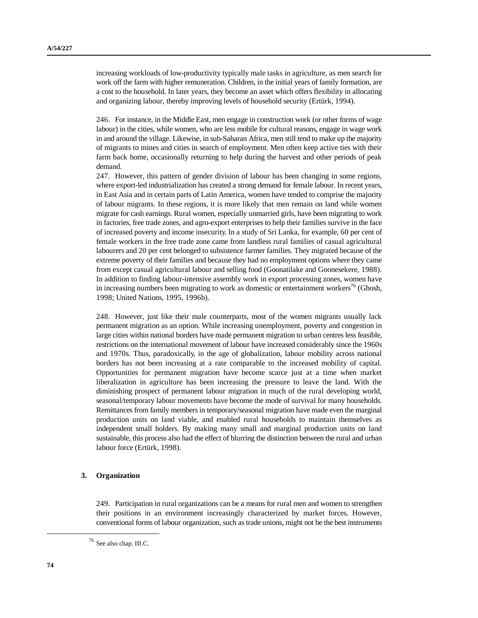increasing workloads of low-productivity typically male tasks in agriculture, as men search for work off the farm with higher remuneration. Children, in the initial years of family formation, are a cost to the household. In later years, they become an asset which offers flexibility in allocating and organizing labour, thereby improving levels of household security (Ertürk, 1994).

246. For instance, in the Middle East, men engage in construction work (or other forms of wage labour) in the cities, while women, who are less mobile for cultural reasons, engage in wage work in and around the village. Likewise, in sub-Saharan Africa, men still tend to make up the majority of migrants to mines and cities in search of employment. Men often keep active ties with their farm back home, occasionally returning to help during the harvest and other periods of peak demand.

247. However, this pattern of gender division of labour has been changing in some regions, where export-led industrialization has created a strong demand for female labour. In recent years, in East Asia and in certain parts of Latin America, women have tended to comprise the majority of labour migrants. In these regions, it is more likely that men remain on land while women migrate for cash earnings. Rural women, especially unmarried girls, have been migrating to work in factories, free trade zones, and agro-export enterprises to help their families survive in the face of increased poverty and income insecurity. In a study of Sri Lanka, for example, 60 per cent of female workers in the free trade zone came from landless rural families of casual agricultural labourers and 20 per cent belonged to subsistence farmer families. They migrated because of the extreme poverty of their families and because they had no employment options where they came from except casual agricultural labour and selling food (Goonatilake and Goonesekere, 1988). In addition to finding labour-intensive assembly work in export processing zones, women have in increasing numbers been migrating to work as domestic or entertainment workers<sup>76</sup> (Ghosh, 1998; United Nations, 1995, 1996b).

248. However, just like their male counterparts, most of the women migrants usually lack permanent migration as an option. While increasing unemployment, poverty and congestion in large cities within national borders have made permanent migration to urban centres less feasible, restrictions on the international movement of labour have increased considerably since the 1960s and 1970s. Thus, paradoxically, in the age of globalization, labour mobility across national borders has not been increasing at a rate comparable to the increased mobility of capital. Opportunities for permanent migration have become scarce just at a time when market liberalization in agriculture has been increasing the pressure to leave the land. With the diminishing prospect of permanent labour migration in much of the rural developing world, seasonal/temporary labour movements have become the mode of survival for many households. Remittances from family members in temporary/seasonal migration have made even the marginal production units on land viable, and enabled rural households to maintain themselves as independent small holders. By making many small and marginal production units on land sustainable, this process also had the effect of blurring the distinction between the rural and urban labour force (Ertürk, 1998).

## **3. Organization**

249. Participation in rural organizations can be a means for rural men and women to strengthen their positions in an environment increasingly characterized by market forces. However, conventional forms of labour organization, such as trade unions, might not be the best instruments

<sup>76</sup> See also chap. III.C.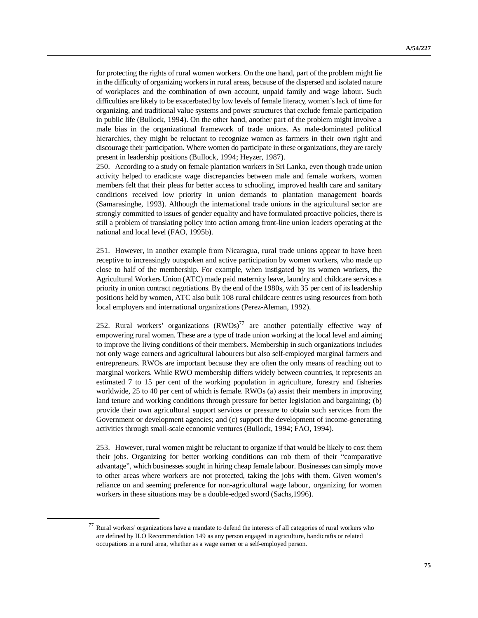for protecting the rights of rural women workers. On the one hand, part of the problem might lie in the difficulty of organizing workers in rural areas, because of the dispersed and isolated nature of workplaces and the combination of own account, unpaid family and wage labour. Such difficulties are likely to be exacerbated by low levels of female literacy, women's lack of time for organizing, and traditional value systems and power structures that exclude female participation in public life (Bullock, 1994). On the other hand, another part of the problem might involve a male bias in the organizational framework of trade unions. As male-dominated political hierarchies, they might be reluctant to recognize women as farmers in their own right and discourage their participation. Where women do participate in these organizations, they are rarely present in leadership positions (Bullock, 1994; Heyzer, 1987).

250. According to a study on female plantation workers in Sri Lanka, even though trade union activity helped to eradicate wage discrepancies between male and female workers, women members felt that their pleas for better access to schooling, improved health care and sanitary conditions received low priority in union demands to plantation management boards (Samarasinghe, 1993). Although the international trade unions in the agricultural sector are strongly committed to issues of gender equality and have formulated proactive policies, there is still a problem of translating policy into action among front-line union leaders operating at the national and local level (FAO, 1995b).

251. However, in another example from Nicaragua, rural trade unions appear to have been receptive to increasingly outspoken and active participation by women workers, who made up close to half of the membership. For example, when instigated by its women workers, the Agricultural Workers Union (ATC) made paid maternity leave, laundry and childcare services a priority in union contract negotiations. By the end of the 1980s, with 35 per cent of its leadership positions held by women, ATC also built 108 rural childcare centres using resources from both local employers and international organizations (Perez-Aleman, 1992).

252. Rural workers' organizations  $(RWOs)^{77}$  are another potentially effective way of empowering rural women. These are a type of trade union working at the local level and aiming to improve the living conditions of their members. Membership in such organizations includes not only wage earners and agricultural labourers but also self-employed marginal farmers and entrepreneurs. RWOs are important because they are often the only means of reaching out to marginal workers. While RWO membership differs widely between countries, it represents an estimated 7 to 15 per cent of the working population in agriculture, forestry and fisheries worldwide, 25 to 40 per cent of which is female. RWOs (a) assist their members in improving land tenure and working conditions through pressure for better legislation and bargaining; (b) provide their own agricultural support services or pressure to obtain such services from the Government or development agencies; and (c) support the development of income-generating activities through small-scale economic ventures (Bullock, 1994; FAO, 1994).

253. However, rural women might be reluctant to organize if that would be likely to cost them their jobs. Organizing for better working conditions can rob them of their "comparative advantage", which businesses sought in hiring cheap female labour. Businesses can simply move to other areas where workers are not protected, taking the jobs with them. Given women's reliance on and seeming preference for non-agricultural wage labour, organizing for women workers in these situations may be a double-edged sword (Sachs,1996).

<sup>77</sup> Rural workers' organizations have a mandate to defend the interests of all categories of rural workers who are defined by ILO Recommendation 149 as any person engaged in agriculture, handicrafts or related occupations in a rural area, whether as a wage earner or a self-employed person.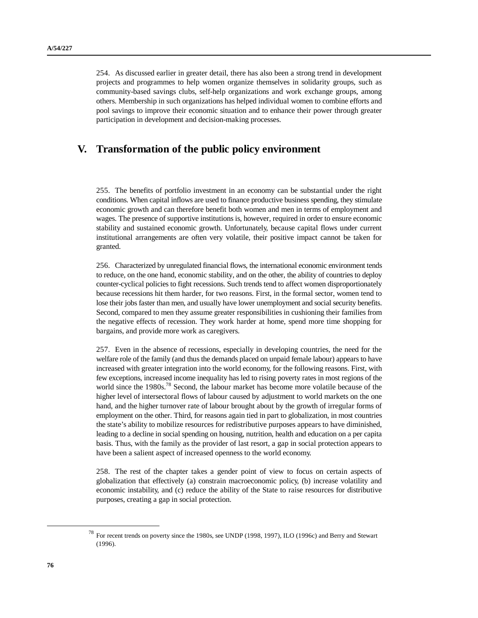254. As discussed earlier in greater detail, there has also been a strong trend in development projects and programmes to help women organize themselves in solidarity groups, such as community-based savings clubs, self-help organizations and work exchange groups, among others. Membership in such organizations has helped individual women to combine efforts and pool savings to improve their economic situation and to enhance their power through greater participation in development and decision-making processes.

# **V. Transformation of the public policy environment**

255. The benefits of portfolio investment in an economy can be substantial under the right conditions. When capital inflows are used to finance productive business spending, they stimulate economic growth and can therefore benefit both women and men in terms of employment and wages. The presence of supportive institutions is, however, required in order to ensure economic stability and sustained economic growth. Unfortunately, because capital flows under current institutional arrangements are often very volatile, their positive impact cannot be taken for granted.

256. Characterized by unregulated financial flows, the international economic environment tends to reduce, on the one hand, economic stability, and on the other, the ability of countries to deploy counter-cyclical policies to fight recessions. Such trends tend to affect women disproportionately because recessions hit them harder, for two reasons. First, in the formal sector, women tend to lose their jobs faster than men, and usually have lower unemployment and social security benefits. Second, compared to men they assume greater responsibilities in cushioning their families from the negative effects of recession. They work harder at home, spend more time shopping for bargains, and provide more work as caregivers.

257. Even in the absence of recessions, especially in developing countries, the need for the welfare role of the family (and thus the demands placed on unpaid female labour) appears to have increased with greater integration into the world economy, for the following reasons. First, with few exceptions, increased income inequality has led to rising poverty rates in most regions of the world since the 1980s.<sup>78</sup> Second, the labour market has become more volatile because of the higher level of intersectoral flows of labour caused by adjustment to world markets on the one hand, and the higher turnover rate of labour brought about by the growth of irregular forms of employment on the other. Third, for reasons again tied in part to globalization, in most countries the state's ability to mobilize resources for redistributive purposes appears to have diminished, leading to a decline in social spending on housing, nutrition, health and education on a per capita basis. Thus, with the family as the provider of last resort, a gap in social protection appears to have been a salient aspect of increased openness to the world economy.

258. The rest of the chapter takes a gender point of view to focus on certain aspects of globalization that effectively (a) constrain macroeconomic policy, (b) increase volatility and economic instability, and (c) reduce the ability of the State to raise resources for distributive purposes, creating a gap in social protection.

<sup>&</sup>lt;sup>78</sup> For recent trends on poverty since the 1980s, see UNDP (1998, 1997), ILO (1996c) and Berry and Stewart (1996).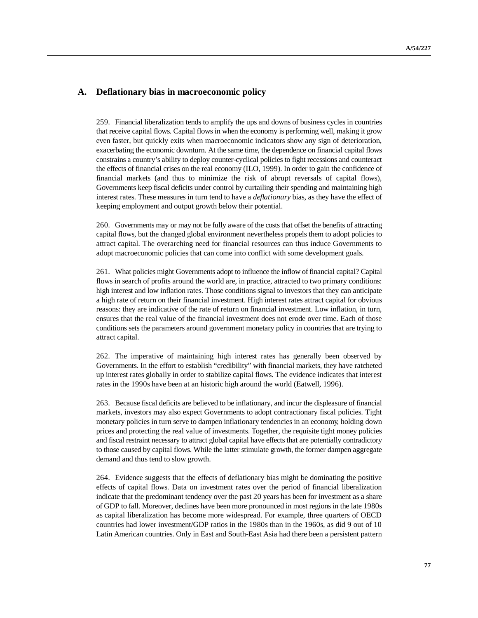# **A. Deflationary bias in macroeconomic policy**

259. Financial liberalization tends to amplify the ups and downs of business cycles in countries that receive capital flows. Capital flows in when the economy is performing well, making it grow even faster, but quickly exits when macroeconomic indicators show any sign of deterioration, exacerbating the economic downturn. At the same time, the dependence on financial capital flows constrains a country's ability to deploy counter-cyclical policies to fight recessions and counteract the effects of financial crises on the real economy (ILO, 1999). In order to gain the confidence of financial markets (and thus to minimize the risk of abrupt reversals of capital flows), Governments keep fiscal deficits under control by curtailing their spending and maintaining high interest rates. These measures in turn tend to have a *deflationary* bias, as they have the effect of keeping employment and output growth below their potential.

260. Governments may or may not be fully aware of the costs that offset the benefits of attracting capital flows, but the changed global environment nevertheless propels them to adopt policies to attract capital. The overarching need for financial resources can thus induce Governments to adopt macroeconomic policies that can come into conflict with some development goals.

261. What policies might Governments adopt to influence the inflow of financial capital? Capital flows in search of profits around the world are, in practice, attracted to two primary conditions: high interest and low inflation rates. Those conditions signal to investors that they can anticipate a high rate of return on their financial investment. High interest rates attract capital for obvious reasons: they are indicative of the rate of return on financial investment. Low inflation, in turn, ensures that the real value of the financial investment does not erode over time. Each of those conditions sets the parameters around government monetary policy in countries that are trying to attract capital.

262. The imperative of maintaining high interest rates has generally been observed by Governments. In the effort to establish "credibility" with financial markets, they have ratcheted up interest rates globally in order to stabilize capital flows. The evidence indicates that interest rates in the 1990s have been at an historic high around the world (Eatwell, 1996).

263. Because fiscal deficits are believed to be inflationary, and incur the displeasure of financial markets, investors may also expect Governments to adopt contractionary fiscal policies. Tight monetary policies in turn serve to dampen inflationary tendencies in an economy, holding down prices and protecting the real value of investments. Together, the requisite tight money policies and fiscal restraint necessary to attract global capital have effects that are potentially contradictory to those caused by capital flows. While the latter stimulate growth, the former dampen aggregate demand and thus tend to slow growth.

264. Evidence suggests that the effects of deflationary bias might be dominating the positive effects of capital flows. Data on investment rates over the period of financial liberalization indicate that the predominant tendency over the past 20 years has been for investment as a share of GDP to fall. Moreover, declines have been more pronounced in most regions in the late 1980s as capital liberalization has become more widespread. For example, three quarters of OECD countries had lower investment/GDP ratios in the 1980s than in the 1960s, as did 9 out of 10 Latin American countries. Only in East and South-East Asia had there been a persistent pattern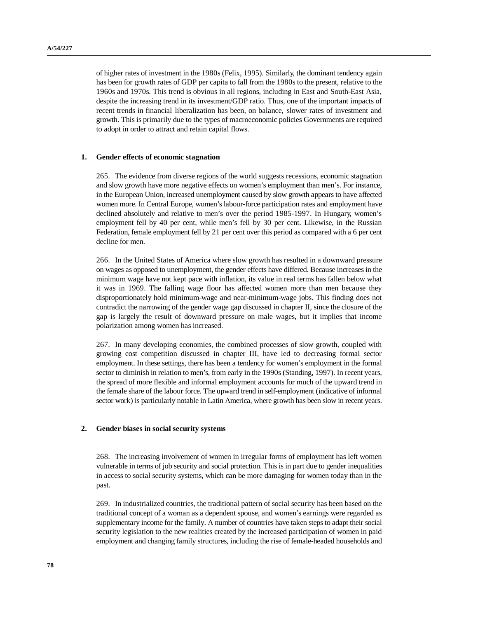of higher rates of investment in the 1980s (Felix, 1995). Similarly, the dominant tendency again has been for growth rates of GDP per capita to fall from the 1980s to the present, relative to the 1960s and 1970s. This trend is obvious in all regions, including in East and South-East Asia, despite the increasing trend in its investment/GDP ratio. Thus, one of the important impacts of recent trends in financial liberalization has been, on balance, slower rates of investment and growth. This is primarily due to the types of macroeconomic policies Governments are required to adopt in order to attract and retain capital flows.

## **1. Gender effects of economic stagnation**

265. The evidence from diverse regions of the world suggests recessions, economic stagnation and slow growth have more negative effects on women's employment than men's. For instance, in the European Union, increased unemployment caused by slow growth appears to have affected women more. In Central Europe, women's labour-force participation rates and employment have declined absolutely and relative to men's over the period 1985-1997. In Hungary, women's employment fell by 40 per cent, while men's fell by 30 per cent. Likewise, in the Russian Federation, female employment fell by 21 per cent over this period as compared with a 6 per cent decline for men.

266. In the United States of America where slow growth has resulted in a downward pressure on wages as opposed to unemployment, the gender effects have differed. Because increases in the minimum wage have not kept pace with inflation, its value in real terms has fallen below what it was in 1969. The falling wage floor has affected women more than men because they disproportionately hold minimum-wage and near-minimum-wage jobs. This finding does not contradict the narrowing of the gender wage gap discussed in chapter II, since the closure of the gap is largely the result of downward pressure on male wages, but it implies that income polarization among women has increased.

267. In many developing economies, the combined processes of slow growth, coupled with growing cost competition discussed in chapter III, have led to decreasing formal sector employment. In these settings, there has been a tendency for women's employment in the formal sector to diminish in relation to men's, from early in the 1990s (Standing, 1997). In recent years, the spread of more flexible and informal employment accounts for much of the upward trend in the female share of the labour force. The upward trend in self-employment (indicative of informal sector work) is particularly notable in Latin America, where growth has been slow in recent years.

## **2. Gender biases in social security systems**

268. The increasing involvement of women in irregular forms of employment has left women vulnerable in terms of job security and social protection. This is in part due to gender inequalities in access to social security systems, which can be more damaging for women today than in the past.

269. In industrialized countries, the traditional pattern of social security has been based on the traditional concept of a woman as a dependent spouse, and women's earnings were regarded as supplementary income for the family. A number of countries have taken steps to adapt their social security legislation to the new realities created by the increased participation of women in paid employment and changing family structures, including the rise of female-headed households and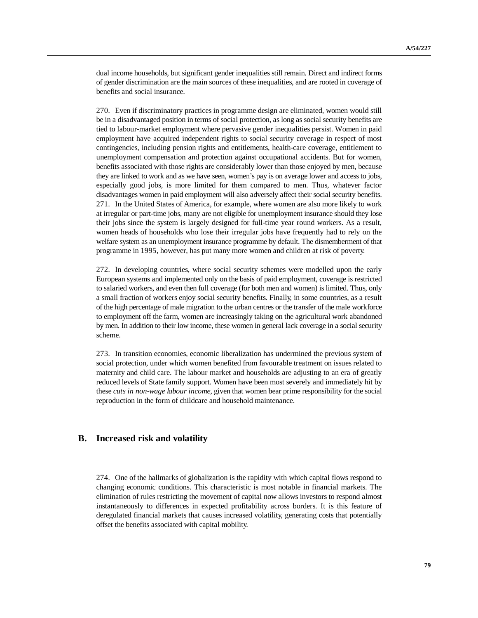dual income households, but significant gender inequalities still remain. Direct and indirect forms of gender discrimination are the main sources of these inequalities, and are rooted in coverage of benefits and social insurance.

270. Even if discriminatory practices in programme design are eliminated, women would still be in a disadvantaged position in terms of social protection, as long as social security benefits are tied to labour-market employment where pervasive gender inequalities persist. Women in paid employment have acquired independent rights to social security coverage in respect of most contingencies, including pension rights and entitlements, health-care coverage, entitlement to unemployment compensation and protection against occupational accidents. But for women, benefits associated with those rights are considerably lower than those enjoyed by men, because they are linked to work and as we have seen, women's pay is on average lower and access to jobs, especially good jobs, is more limited for them compared to men. Thus, whatever factor disadvantages women in paid employment will also adversely affect their social security benefits. 271. In the United States of America, for example, where women are also more likely to work at irregular or part-time jobs, many are not eligible for unemployment insurance should they lose their jobs since the system is largely designed for full-time year round workers. As a result, women heads of households who lose their irregular jobs have frequently had to rely on the welfare system as an unemployment insurance programme by default. The dismemberment of that programme in 1995, however, has put many more women and children at risk of poverty.

272. In developing countries, where social security schemes were modelled upon the early European systems and implemented only on the basis of paid employment, coverage is restricted to salaried workers, and even then full coverage (for both men and women) is limited. Thus, only a small fraction of workers enjoy social security benefits. Finally, in some countries, as a result of the high percentage of male migration to the urban centres or the transfer of the male workforce to employment off the farm, women are increasingly taking on the agricultural work abandoned by men. In addition to their low income, these women in general lack coverage in a social security scheme.

273. In transition economies, economic liberalization has undermined the previous system of social protection, under which women benefited from favourable treatment on issues related to maternity and child care. The labour market and households are adjusting to an era of greatly reduced levels of State family support. Women have been most severely and immediately hit by these *cuts in non-wage labour income*, given that women bear prime responsibility for the social reproduction in the form of childcare and household maintenance.

# **B. Increased risk and volatility**

274. One of the hallmarks of globalization is the rapidity with which capital flows respond to changing economic conditions. This characteristic is most notable in financial markets. The elimination of rules restricting the movement of capital now allows investors to respond almost instantaneously to differences in expected profitability across borders. It is this feature of deregulated financial markets that causes increased volatility, generating costs that potentially offset the benefits associated with capital mobility.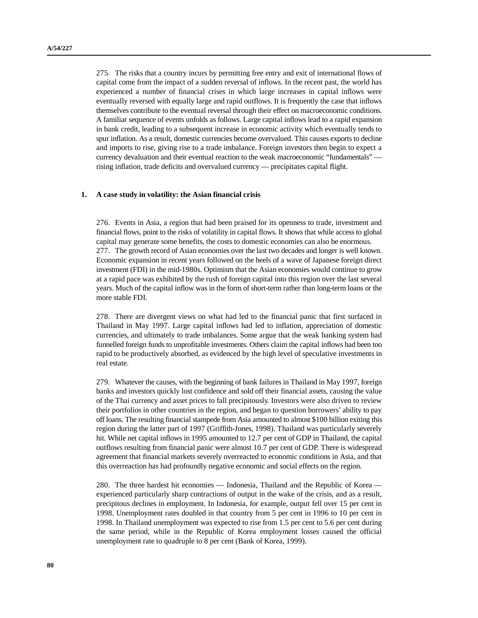275. The risks that a country incurs by permitting free entry and exit of international flows of capital come from the impact of a sudden reversal of inflows. In the recent past, the world has experienced a number of financial crises in which large increases in capital inflows were eventually reversed with equally large and rapid outflows. It is frequently the case that inflows themselves contribute to the eventual reversal through their effect on macroeconomic conditions. A familiar sequence of events unfolds as follows. Large capital inflows lead to a rapid expansion in bank credit, leading to a subsequent increase in economic activity which eventually tends to spur inflation. As a result, domestic currencies become overvalued. This causes exports to decline and imports to rise, giving rise to a trade imbalance. Foreign investors then begin to expect a currency devaluation and their eventual reaction to the weak macroeconomic "fundamentals" rising inflation, trade deficits and overvalued currency — precipitates capital flight.

## **1. A case study in volatility: the Asian financial crisis**

276. Events in Asia, a region that had been praised for its openness to trade, investment and financial flows, point to the risks of volatility in capital flows. It shows that while access to global capital may generate some benefits, the costs to domestic economies can also be enormous. 277. The growth record of Asian economies over the last two decades and longer is well known. Economic expansion in recent years followed on the heels of a wave of Japanese foreign direct investment (FDI) in the mid-1980s. Optimism that the Asian economies would continue to grow at a rapid pace was exhibited by the rush of foreign capital into this region over the last several years. Much of the capital inflow was in the form of short-term rather than long-term loans or the more stable FDI.

278. There are divergent views on what had led to the financial panic that first surfaced in Thailand in May 1997. Large capital inflows had led to inflation, appreciation of domestic currencies, and ultimately to trade imbalances. Some argue that the weak banking system had funnelled foreign funds to unprofitable investments. Others claim the capital inflows had been too rapid to be productively absorbed, as evidenced by the high level of speculative investments in real estate.

279. Whatever the causes, with the beginning of bank failures in Thailand in May 1997, foreign banks and investors quickly lost confidence and sold off their financial assets, causing the value of the Thai currency and asset prices to fall precipitously. Investors were also driven to review their portfolios in other countries in the region, and began to question borrowers' ability to pay off loans. The resulting financial stampede from Asia amounted to almost \$100 billion exiting this region during the latter part of 1997 (Griffith-Jones, 1998). Thailand was particularly severely hit. While net capital inflows in 1995 amounted to 12.7 per cent of GDP in Thailand, the capital outflows resulting from financial panic were almost 10.7 per cent of GDP. There is widespread agreement that financial markets severely overreacted to economic conditions in Asia, and that this overreaction has had profoundly negative economic and social effects on the region.

280. The three hardest hit economies — Indonesia, Thailand and the Republic of Korea experienced particularly sharp contractions of output in the wake of the crisis, and as a result, precipitous declines in employment. In Indonesia, for example, output fell over 15 per cent in 1998. Unemployment rates doubled in that country from 5 per cent in 1996 to 10 per cent in 1998. In Thailand unemployment was expected to rise from 1.5 per cent to 5.6 per cent during the same period, while in the Republic of Korea employment losses caused the official unemployment rate to quadruple to 8 per cent (Bank of Korea, 1999).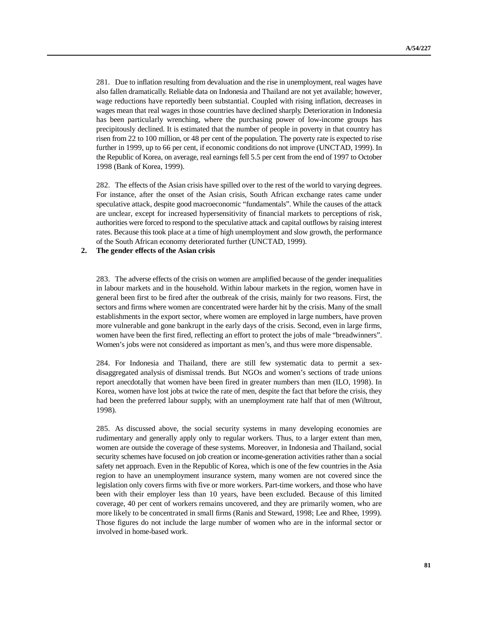281. Due to inflation resulting from devaluation and the rise in unemployment, real wages have also fallen dramatically. Reliable data on Indonesia and Thailand are not yet available; however, wage reductions have reportedly been substantial. Coupled with rising inflation, decreases in wages mean that real wages in those countries have declined sharply. Deterioration in Indonesia has been particularly wrenching, where the purchasing power of low-income groups has precipitously declined. It is estimated that the number of people in poverty in that country has risen from 22 to 100 million, or 48 per cent of the population. The poverty rate is expected to rise further in 1999, up to 66 per cent, if economic conditions do not improve (UNCTAD, 1999). In the Republic of Korea, on average, real earnings fell 5.5 per cent from the end of 1997 to October 1998 (Bank of Korea, 1999).

282. The effects of the Asian crisis have spilled over to the rest of the world to varying degrees. For instance, after the onset of the Asian crisis, South African exchange rates came under speculative attack, despite good macroeconomic "fundamentals". While the causes of the attack are unclear, except for increased hypersensitivity of financial markets to perceptions of risk, authorities were forced to respond to the speculative attack and capital outflows by raising interest rates. Because this took place at a time of high unemployment and slow growth, the performance of the South African economy deteriorated further (UNCTAD, 1999).

## **2. The gender effects of the Asian crisis**

283. The adverse effects of the crisis on women are amplified because of the gender inequalities in labour markets and in the household. Within labour markets in the region, women have in general been first to be fired after the outbreak of the crisis, mainly for two reasons. First, the sectors and firms where women are concentrated were harder hit by the crisis. Many of the small establishments in the export sector, where women are employed in large numbers, have proven more vulnerable and gone bankrupt in the early days of the crisis. Second, even in large firms, women have been the first fired, reflecting an effort to protect the jobs of male "breadwinners". Women's jobs were not considered as important as men's, and thus were more dispensable.

284. For Indonesia and Thailand, there are still few systematic data to permit a sexdisaggregated analysis of dismissal trends. But NGOs and women's sections of trade unions report anecdotally that women have been fired in greater numbers than men (ILO, 1998). In Korea, women have lost jobs at twice the rate of men, despite the fact that before the crisis, they had been the preferred labour supply, with an unemployment rate half that of men (Wiltrout, 1998).

285. As discussed above, the social security systems in many developing economies are rudimentary and generally apply only to regular workers. Thus, to a larger extent than men, women are outside the coverage of these systems. Moreover, in Indonesia and Thailand, social security schemes have focused on job creation or income-generation activities rather than a social safety net approach. Even in the Republic of Korea, which is one of the few countries in the Asia region to have an unemployment insurance system, many women are not covered since the legislation only covers firms with five or more workers. Part-time workers, and those who have been with their employer less than 10 years, have been excluded. Because of this limited coverage, 40 per cent of workers remains uncovered, and they are primarily women, who are more likely to be concentrated in small firms (Ranis and Steward, 1998; Lee and Rhee, 1999). Those figures do not include the large number of women who are in the informal sector or involved in home-based work.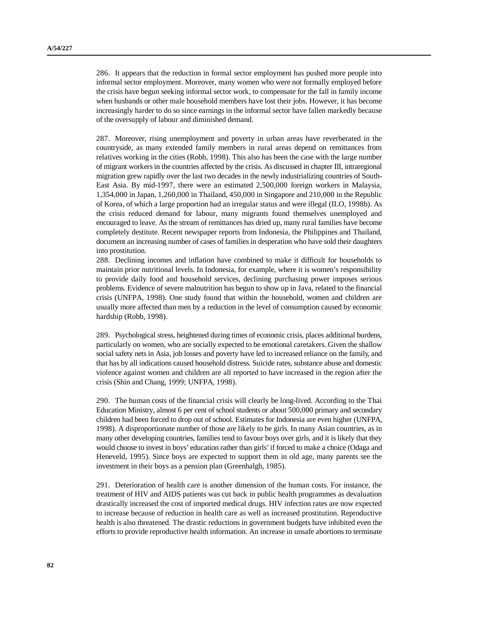286. It appears that the reduction in formal sector employment has pushed more people into informal sector employment. Moreover, many women who were not formally employed before the crisis have begun seeking informal sector work, to compensate for the fall in family income when husbands or other male household members have lost their jobs. However, it has become increasingly harder to do so since earnings in the informal sector have fallen markedly because of the oversupply of labour and diminished demand.

287. Moreover, rising unemployment and poverty in urban areas have reverberated in the countryside, as many extended family members in rural areas depend on remittances from relatives working in the cities (Robb, 1998). This also has been the case with the large number of migrant workers in the countries affected by the crisis. As discussed in chapter III, intraregional migration grew rapidly over the last two decades in the newly industrializing countries of South-East Asia. By mid-1997, there were an estimated 2,500,000 foreign workers in Malaysia, 1,354,000 in Japan, 1,260,000 in Thailand, 450,000 in Singapore and 210,000 in the Republic of Korea, of which a large proportion had an irregular status and were illegal (ILO, 1998b). As the crisis reduced demand for labour, many migrants found themselves unemployed and encouraged to leave. As the stream of remittances has dried up, many rural families have become completely destitute. Recent newspaper reports from Indonesia, the Philippines and Thailand, document an increasing number of cases of families in desperation who have sold their daughters into prostitution.

288. Declining incomes and inflation have combined to make it difficult for households to maintain prior nutritional levels. In Indonesia, for example, where it is women's responsibility to provide daily food and household services, declining purchasing power imposes serious problems. Evidence of severe malnutrition has begun to show up in Java, related to the financial crisis (UNFPA, 1998). One study found that within the household, women and children are usually more affected than men by a reduction in the level of consumption caused by economic hardship (Robb, 1998).

289. Psychological stress, heightened during times of economic crisis, places additional burdens, particularly on women, who are socially expected to be emotional caretakers. Given the shallow social safety nets in Asia, job losses and poverty have led to increased reliance on the family, and that has by all indications caused household distress. Suicide rates, substance abuse and domestic violence against women and children are all reported to have increased in the region after the crisis (Shin and Chang, 1999; UNFPA, 1998).

290. The human costs of the financial crisis will clearly be long-lived. According to the Thai Education Ministry, almost 6 per cent of school students or about 500,000 primary and secondary children had been forced to drop out of school. Estimates for Indonesia are even higher (UNFPA, 1998). A disproportionate number of those are likely to be girls. In many Asian countries, as in many other developing countries, families tend to favour boys over girls, and it is likely that they would choose to invest in boys' education rather than girls' if forced to make a choice (Odaga and Heneveld, 1995). Since boys are expected to support them in old age, many parents see the investment in their boys as a pension plan (Greenhalgh, 1985).

291. Deterioration of health care is another dimension of the human costs. For instance, the treatment of HIV and AIDS patients was cut back in public health programmes as devaluation drastically increased the cost of imported medical drugs. HIV infection rates are now expected to increase because of reduction in health care as well as increased prostitution. Reproductive health is also threatened. The drastic reductions in government budgets have inhibited even the efforts to provide reproductive health information. An increase in unsafe abortions to terminate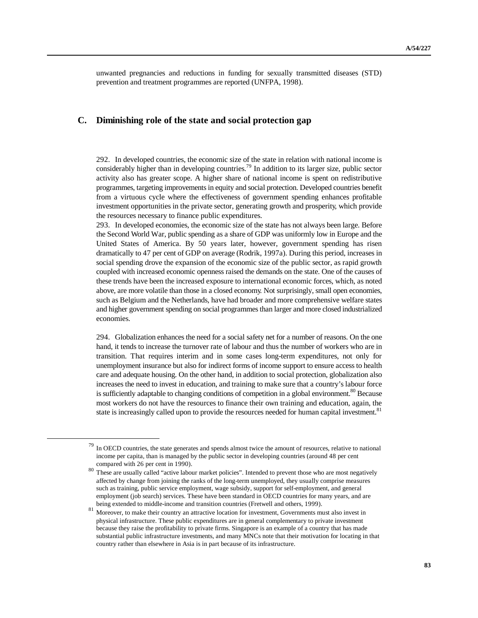unwanted pregnancies and reductions in funding for sexually transmitted diseases (STD) prevention and treatment programmes are reported (UNFPA, 1998).

# **C. Diminishing role of the state and social protection gap**

292. In developed countries, the economic size of the state in relation with national income is considerably higher than in developing countries.<sup>79</sup> In addition to its larger size, public sector activity also has greater scope. A higher share of national income is spent on redistributive programmes, targeting improvements in equity and social protection. Developed countries benefit from a virtuous cycle where the effectiveness of government spending enhances profitable investment opportunities in the private sector, generating growth and prosperity, which provide the resources necessary to finance public expenditures.

293. In developed economies, the economic size of the state has not always been large. Before the Second World War, public spending as a share of GDP was uniformly low in Europe and the United States of America. By 50 years later, however, government spending has risen dramatically to 47 per cent of GDP on average (Rodrik, 1997a). During this period, increases in social spending drove the expansion of the economic size of the public sector, as rapid growth coupled with increased economic openness raised the demands on the state. One of the causes of these trends have been the increased exposure to international economic forces, which, as noted above, are more volatile than those in a closed economy. Not surprisingly, small open economies, such as Belgium and the Netherlands, have had broader and more comprehensive welfare states and higher government spending on social programmes than larger and more closed industrialized economies.

294. Globalization enhances the need for a social safety net for a number of reasons. On the one hand, it tends to increase the turnover rate of labour and thus the number of workers who are in transition. That requires interim and in some cases long-term expenditures, not only for unemployment insurance but also for indirect forms of income support to ensure access to health care and adequate housing. On the other hand, in addition to social protection, globalization also increases the need to invest in education, and training to make sure that a country's labour force is sufficiently adaptable to changing conditions of competition in a global environment.<sup>80</sup> Because most workers do not have the resources to finance their own training and education, again, the state is increasingly called upon to provide the resources needed for human capital investment.<sup>81</sup>

<sup>&</sup>lt;sup>79</sup> In OECD countries, the state generates and spends almost twice the amount of resources, relative to national income per capita, than is managed by the public sector in developing countries (around 48 per cent compared with 26 per cent in 1990).

<sup>&</sup>lt;sup>80</sup> These are usually called "active labour market policies". Intended to prevent those who are most negatively affected by change from joining the ranks of the long-term unemployed, they usually comprise measures such as training, public service employment, wage subsidy, support for self-employment, and general employment (job search) services. These have been standard in OECD countries for many years, and are being extended to middle-income and transition countries (Fretwell and others, 1999).

<sup>&</sup>lt;sup>81</sup> Moreover, to make their country an attractive location for investment, Governments must also invest in physical infrastructure. These public expenditures are in general complementary to private investment because they raise the profitability to private firms. Singapore is an example of a country that has made substantial public infrastructure investments, and many MNCs note that their motivation for locating in that country rather than elsewhere in Asia is in part because of its infrastructure.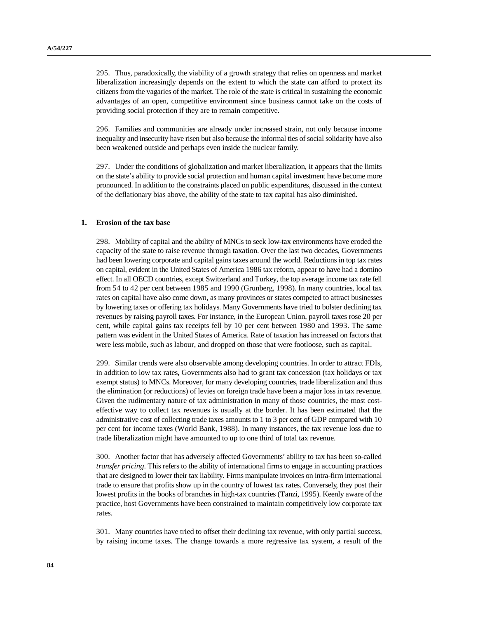295. Thus, paradoxically, the viability of a growth strategy that relies on openness and market liberalization increasingly depends on the extent to which the state can afford to protect its citizens from the vagaries of the market. The role of the state is critical in sustaining the economic advantages of an open, competitive environment since business cannot take on the costs of providing social protection if they are to remain competitive.

296. Families and communities are already under increased strain, not only because income inequality and insecurity have risen but also because the informal ties of social solidarity have also been weakened outside and perhaps even inside the nuclear family.

297. Under the conditions of globalization and market liberalization, it appears that the limits on the state's ability to provide social protection and human capital investment have become more pronounced. In addition to the constraints placed on public expenditures, discussed in the context of the deflationary bias above, the ability of the state to tax capital has also diminished.

### **1. Erosion of the tax base**

298. Mobility of capital and the ability of MNCs to seek low-tax environments have eroded the capacity of the state to raise revenue through taxation. Over the last two decades, Governments had been lowering corporate and capital gains taxes around the world. Reductions in top tax rates on capital, evident in the United States of America 1986 tax reform, appear to have had a domino effect. In all OECD countries, except Switzerland and Turkey, the top average income tax rate fell from 54 to 42 per cent between 1985 and 1990 (Grunberg, 1998). In many countries, local tax rates on capital have also come down, as many provinces or states competed to attract businesses by lowering taxes or offering tax holidays. Many Governments have tried to bolster declining tax revenues by raising payroll taxes. For instance, in the European Union, payroll taxes rose 20 per cent, while capital gains tax receipts fell by 10 per cent between 1980 and 1993. The same pattern was evident in the United States of America. Rate of taxation has increased on factors that were less mobile, such as labour, and dropped on those that were footloose, such as capital.

299. Similar trends were also observable among developing countries. In order to attract FDIs, in addition to low tax rates, Governments also had to grant tax concession (tax holidays or tax exempt status) to MNCs. Moreover, for many developing countries, trade liberalization and thus the elimination (or reductions) of levies on foreign trade have been a major loss in tax revenue. Given the rudimentary nature of tax administration in many of those countries, the most costeffective way to collect tax revenues is usually at the border. It has been estimated that the administrative cost of collecting trade taxes amounts to 1 to 3 per cent of GDP compared with 10 per cent for income taxes (World Bank, 1988). In many instances, the tax revenue loss due to trade liberalization might have amounted to up to one third of total tax revenue.

300. Another factor that has adversely affected Governments' ability to tax has been so-called *transfer pricing*. This refers to the ability of international firms to engage in accounting practices that are designed to lower their tax liability. Firms manipulate invoices on intra-firm international trade to ensure that profits show up in the country of lowest tax rates. Conversely, they post their lowest profits in the books of branches in high-tax countries (Tanzi, 1995). Keenly aware of the practice, host Governments have been constrained to maintain competitively low corporate tax rates.

301. Many countries have tried to offset their declining tax revenue, with only partial success, by raising income taxes. The change towards a more regressive tax system, a result of the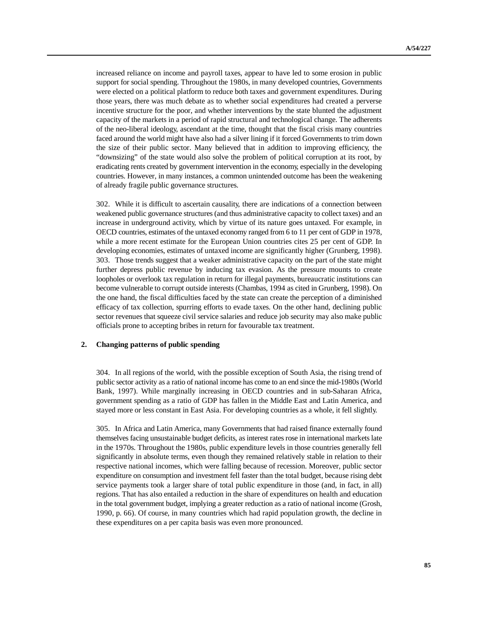increased reliance on income and payroll taxes, appear to have led to some erosion in public support for social spending. Throughout the 1980s, in many developed countries, Governments were elected on a political platform to reduce both taxes and government expenditures. During those years, there was much debate as to whether social expenditures had created a perverse incentive structure for the poor, and whether interventions by the state blunted the adjustment capacity of the markets in a period of rapid structural and technological change. The adherents of the neo-liberal ideology, ascendant at the time, thought that the fiscal crisis many countries faced around the world might have also had a silver lining if it forced Governments to trim down the size of their public sector. Many believed that in addition to improving efficiency, the "downsizing" of the state would also solve the problem of political corruption at its root, by eradicating rents created by government intervention in the economy, especially in the developing countries. However, in many instances, a common unintended outcome has been the weakening of already fragile public governance structures.

302. While it is difficult to ascertain causality, there are indications of a connection between weakened public governance structures (and thus administrative capacity to collect taxes) and an increase in underground activity, which by virtue of its nature goes untaxed. For example, in OECD countries, estimates of the untaxed economy ranged from 6 to 11 per cent of GDP in 1978, while a more recent estimate for the European Union countries cites 25 per cent of GDP. In developing economies, estimates of untaxed income are significantly higher (Grunberg, 1998). 303. Those trends suggest that a weaker administrative capacity on the part of the state might further depress public revenue by inducing tax evasion. As the pressure mounts to create loopholes or overlook tax regulation in return for illegal payments, bureaucratic institutions can become vulnerable to corrupt outside interests (Chambas, 1994 as cited in Grunberg, 1998). On the one hand, the fiscal difficulties faced by the state can create the perception of a diminished efficacy of tax collection, spurring efforts to evade taxes. On the other hand, declining public sector revenues that squeeze civil service salaries and reduce job security may also make public officials prone to accepting bribes in return for favourable tax treatment.

## **2. Changing patterns of public spending**

304. In all regions of the world, with the possible exception of South Asia, the rising trend of public sector activity as a ratio of national income has come to an end since the mid-1980s (World Bank, 1997). While marginally increasing in OECD countries and in sub-Saharan Africa, government spending as a ratio of GDP has fallen in the Middle East and Latin America, and stayed more or less constant in East Asia. For developing countries as a whole, it fell slightly.

305. In Africa and Latin America, many Governments that had raised finance externally found themselves facing unsustainable budget deficits, as interest rates rose in international markets late in the 1970s. Throughout the 1980s, public expenditure levels in those countries generally fell significantly in absolute terms, even though they remained relatively stable in relation to their respective national incomes, which were falling because of recession. Moreover, public sector expenditure on consumption and investment fell faster than the total budget, because rising debt service payments took a larger share of total public expenditure in those (and, in fact, in all) regions. That has also entailed a reduction in the share of expenditures on health and education in the total government budget, implying a greater reduction as a ratio of national income (Grosh, 1990, p. 66). Of course, in many countries which had rapid population growth, the decline in these expenditures on a per capita basis was even more pronounced.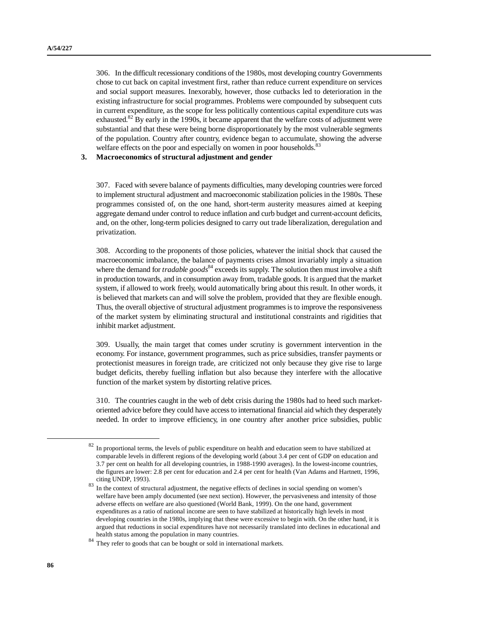306. In the difficult recessionary conditions of the 1980s, most developing country Governments chose to cut back on capital investment first, rather than reduce current expenditure on services and social support measures. Inexorably, however, those cutbacks led to deterioration in the existing infrastructure for social programmes. Problems were compounded by subsequent cuts in current expenditure, as the scope for less politically contentious capital expenditure cuts was exhausted. $82$  By early in the 1990s, it became apparent that the welfare costs of adjustment were substantial and that these were being borne disproportionately by the most vulnerable segments of the population. Country after country, evidence began to accumulate, showing the adverse welfare effects on the poor and especially on women in poor households.<sup>83</sup>

**3. Macroeconomics of structural adjustment and gender**

307. Faced with severe balance of payments difficulties, many developing countries were forced to implement structural adjustment and macroeconomic stabilization policies in the 1980s. These programmes consisted of, on the one hand, short-term austerity measures aimed at keeping aggregate demand under control to reduce inflation and curb budget and current-account deficits, and, on the other, long-term policies designed to carry out trade liberalization, deregulation and privatization.

308. According to the proponents of those policies, whatever the initial shock that caused the macroeconomic imbalance, the balance of payments crises almost invariably imply a situation where the demand for *tradable goods*<sup>84</sup> exceeds its supply. The solution then must involve a shift in production towards, and in consumption away from, tradable goods. It is argued that the market system, if allowed to work freely, would automatically bring about this result. In other words, it is believed that markets can and will solve the problem, provided that they are flexible enough. Thus, the overall objective of structural adjustment programmes is to improve the responsiveness of the market system by eliminating structural and institutional constraints and rigidities that inhibit market adjustment.

309. Usually, the main target that comes under scrutiny is government intervention in the economy. For instance, government programmes, such as price subsidies, transfer payments or protectionist measures in foreign trade, are criticized not only because they give rise to large budget deficits, thereby fuelling inflation but also because they interfere with the allocative function of the market system by distorting relative prices.

310. The countries caught in the web of debt crisis during the 1980s had to heed such marketoriented advice before they could have access to international financial aid which they desperately needed. In order to improve efficiency, in one country after another price subsidies, public

<sup>&</sup>lt;sup>82</sup> In proportional terms, the levels of public expenditure on health and education seem to have stabilized at comparable levels in different regions of the developing world (about 3.4 per cent of GDP on education and 3.7 per cent on health for all developing countries, in 1988-1990 averages). In the lowest-income countries, the figures are lower: 2.8 per cent for education and 2.4 per cent for health (Van Adams and Hartnett, 1996, citing UNDP, 1993).

<sup>&</sup>lt;sup>83</sup> In the context of structural adjustment, the negative effects of declines in social spending on women's welfare have been amply documented (see next section). However, the pervasiveness and intensity of those adverse effects on welfare are also questioned (World Bank, 1999). On the one hand, government expenditures as a ratio of national income are seen to have stabilized at historically high levels in most developing countries in the 1980s, implying that these were excessive to begin with. On the other hand, it is argued that reductions in social expenditures have not necessarily translated into declines in educational and health status among the population in many countries.

 $84$  They refer to goods that can be bought or sold in international markets.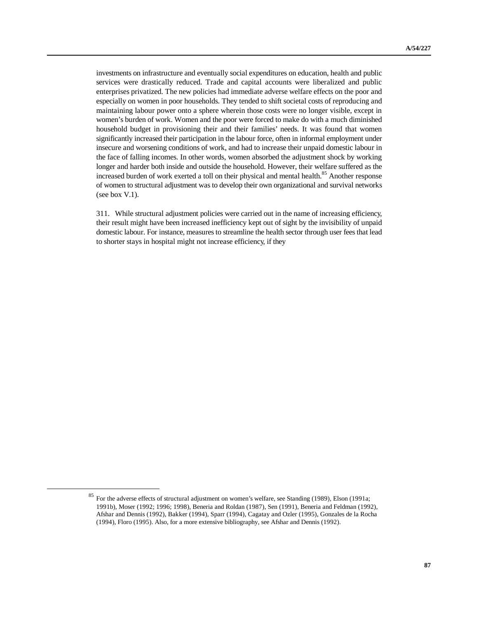investments on infrastructure and eventually social expenditures on education, health and public services were drastically reduced. Trade and capital accounts were liberalized and public enterprises privatized. The new policies had immediate adverse welfare effects on the poor and especially on women in poor households. They tended to shift societal costs of reproducing and maintaining labour power onto a sphere wherein those costs were no longer visible, except in women's burden of work. Women and the poor were forced to make do with a much diminished household budget in provisioning their and their families' needs. It was found that women significantly increased their participation in the labour force, often in informal employment under insecure and worsening conditions of work, and had to increase their unpaid domestic labour in the face of falling incomes. In other words, women absorbed the adjustment shock by working longer and harder both inside and outside the household. However, their welfare suffered as the increased burden of work exerted a toll on their physical and mental health.<sup>85</sup> Another response of women to structural adjustment was to develop their own organizational and survival networks (see box V.1).

311. While structural adjustment policies were carried out in the name of increasing efficiency, their result might have been increased inefficiency kept out of sight by the invisibility of unpaid domestic labour. For instance, measures to streamline the health sector through user fees that lead to shorter stays in hospital might not increase efficiency, if they

<sup>&</sup>lt;sup>85</sup> For the adverse effects of structural adjustment on women's welfare, see Standing (1989), Elson (1991a; 1991b), Moser (1992; 1996; 1998), Beneria and Roldan (1987), Sen (1991), Beneria and Feldman (1992), Afshar and Dennis (1992), Bakker (1994), Sparr (1994), Cagatay and Ozler (1995), Gonzales de la Rocha (1994), Floro (1995). Also, for a more extensive bibliography, see Afshar and Dennis (1992).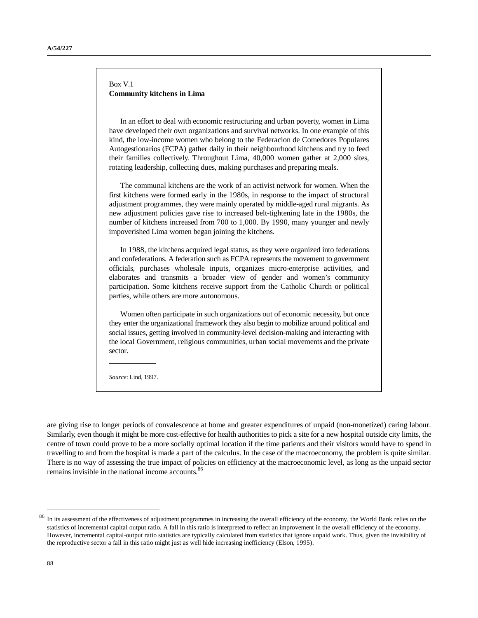## Box V.1 **Community kitchens in Lima**

In an effort to deal with economic restructuring and urban poverty, women in Lima have developed their own organizations and survival networks. In one example of this kind, the low-income women who belong to the Federacion de Comedores Populares Autogestionarios (FCPA) gather daily in their neighbourhood kitchens and try to feed their families collectively. Throughout Lima, 40,000 women gather at 2,000 sites, rotating leadership, collecting dues, making purchases and preparing meals.

The communal kitchens are the work of an activist network for women. When the first kitchens were formed early in the 1980s, in response to the impact of structural adjustment programmes, they were mainly operated by middle-aged rural migrants. As new adjustment policies gave rise to increased belt-tightening late in the 1980s, the number of kitchens increased from 700 to 1,000. By 1990, many younger and newly impoverished Lima women began joining the kitchens.

In 1988, the kitchens acquired legal status, as they were organized into federations and confederations. A federation such as FCPA represents the movement to government officials, purchases wholesale inputs, organizes micro-enterprise activities, and elaborates and transmits a broader view of gender and women's community participation. Some kitchens receive support from the Catholic Church or political parties, while others are more autonomous.

Women often participate in such organizations out of economic necessity, but once they enter the organizational framework they also begin to mobilize around political and social issues, getting involved in community-level decision-making and interacting with the local Government, religious communities, urban social movements and the private sector.

*Source*: Lind, 1997.

l

are giving rise to longer periods of convalescence at home and greater expenditures of unpaid (non-monetized) caring labour. Similarly, even though it might be more cost-effective for health authorities to pick a site for a new hospital outside city limits, the centre of town could prove to be a more socially optimal location if the time patients and their visitors would have to spend in travelling to and from the hospital is made a part of the calculus. In the case of the macroeconomy, the problem is quite similar. There is no way of assessing the true impact of policies on efficiency at the macroeconomic level, as long as the unpaid sector remains invisible in the national income accounts.<sup>86</sup>

<u>.</u>

<sup>&</sup>lt;sup>86</sup> In its assessment of the effectiveness of adjustment programmes in increasing the overall efficiency of the economy, the World Bank relies on the statistics of incremental capital output ratio. A fall in this ratio is interpreted to reflect an improvement in the overall efficiency of the economy. However, incremental capital-output ratio statistics are typically calculated from statistics that ignore unpaid work. Thus, given the invisibility of the reproductive sector a fall in this ratio might just as well hide increasing inefficiency (Elson, 1995).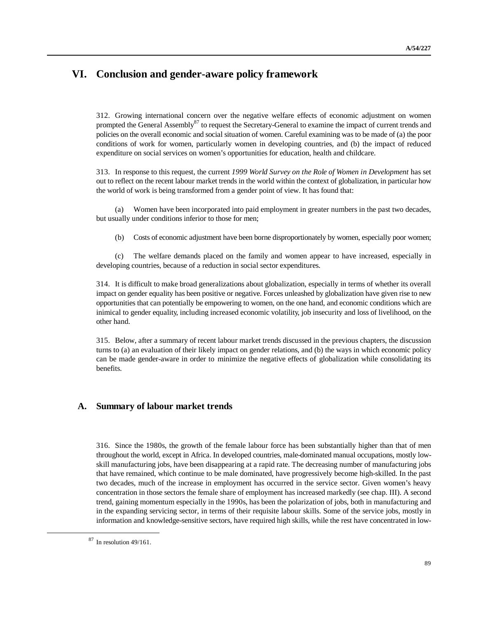# **VI. Conclusion and gender-aware policy framework**

312. Growing international concern over the negative welfare effects of economic adjustment on women prompted the General Assembly<sup>87</sup> to request the Secretary-General to examine the impact of current trends and policies on the overall economic and social situation of women. Careful examining was to be made of (a) the poor conditions of work for women, particularly women in developing countries, and (b) the impact of reduced expenditure on social services on women's opportunities for education, health and childcare.

313. In response to this request, the current *1999 World Survey on the Role of Women in Development* has set out to reflect on the recent labour market trends in the world within the context of globalization, in particular how the world of work is being transformed from a gender point of view. It has found that:

(a) Women have been incorporated into paid employment in greater numbers in the past two decades, but usually under conditions inferior to those for men;

(b) Costs of economic adjustment have been borne disproportionately by women, especially poor women;

(c) The welfare demands placed on the family and women appear to have increased, especially in developing countries, because of a reduction in social sector expenditures.

314. It is difficult to make broad generalizations about globalization, especially in terms of whether its overall impact on gender equality has been positive or negative. Forces unleashed by globalization have given rise to new opportunities that can potentially be empowering to women, on the one hand, and economic conditions which are inimical to gender equality, including increased economic volatility, job insecurity and loss of livelihood, on the other hand.

315. Below, after a summary of recent labour market trends discussed in the previous chapters, the discussion turns to (a) an evaluation of their likely impact on gender relations, and (b) the ways in which economic policy can be made gender-aware in order to minimize the negative effects of globalization while consolidating its benefits.

# **A. Summary of labour market trends**

316. Since the 1980s, the growth of the female labour force has been substantially higher than that of men throughout the world, except in Africa. In developed countries, male-dominated manual occupations, mostly lowskill manufacturing jobs, have been disappearing at a rapid rate. The decreasing number of manufacturing jobs that have remained, which continue to be male dominated, have progressively become high-skilled. In the past two decades, much of the increase in employment has occurred in the service sector. Given women's heavy concentration in those sectors the female share of employment has increased markedly (see chap. III). A second trend, gaining momentum especially in the 1990s, has been the polarization of jobs, both in manufacturing and in the expanding servicing sector, in terms of their requisite labour skills. Some of the service jobs, mostly in information and knowledge-sensitive sectors, have required high skills, while the rest have concentrated in low-

<sup>87</sup> In resolution 49/161.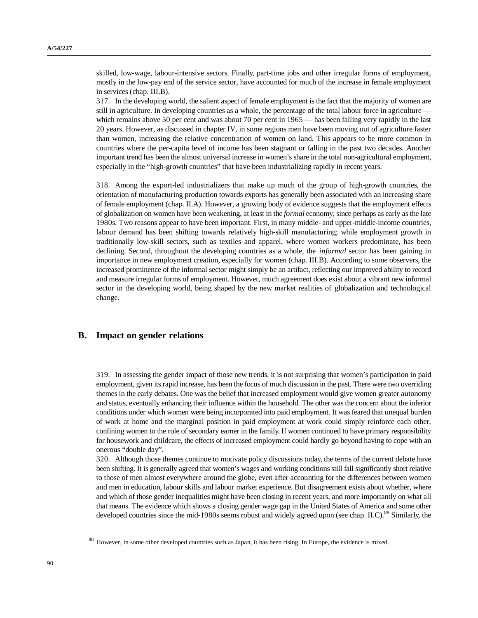skilled, low-wage, labour-intensive sectors. Finally, part-time jobs and other irregular forms of employment, mostly in the low-pay end of the service sector, have accounted for much of the increase in female employment in services (chap. III.B).

317. In the developing world, the salient aspect of female employment is the fact that the majority of women are still in agriculture. In developing countries as a whole, the percentage of the total labour force in agriculture which remains above 50 per cent and was about 70 per cent in 1965 — has been falling very rapidly in the last 20 years. However, as discussed in chapter IV, in some regions men have been moving out of agriculture faster than women, increasing the relative concentration of women on land. This appears to be more common in countries where the per-capita level of income has been stagnant or falling in the past two decades. Another important trend has been the almost universal increase in women's share in the total non-agricultural employment, especially in the "high-growth countries" that have been industrializing rapidly in recent years.

318. Among the export-led industrializers that make up much of the group of high-growth countries, the orientation of manufacturing production towards exports has generally been associated with an increasing share of female employment (chap. II.A). However, a growing body of evidence suggests that the employment effects of globalization on women have been weakening, at least in the *formal* economy, since perhaps as early as the late 1980s. Two reasons appear to have been important. First, in many middle- and upper-middle-income countries, labour demand has been shifting towards relatively high-skill manufacturing; while employment growth in traditionally low-skill sectors, such as textiles and apparel, where women workers predominate, has been declining. Second, throughout the developing countries as a whole, the *informal* sector has been gaining in importance in new employment creation, especially for women (chap. III.B). According to some observers, the increased prominence of the informal sector might simply be an artifact, reflecting our improved ability to record and measure irregular forms of employment. However, much agreement does exist about a vibrant new informal sector in the developing world, being shaped by the new market realities of globalization and technological change.

# **B. Impact on gender relations**

319. In assessing the gender impact of those new trends, it is not surprising that women's participation in paid employment, given its rapid increase, has been the focus of much discussion in the past. There were two overriding themes in the early debates. One was the belief that increased employment would give women greater autonomy and status, eventually enhancing their influence within the household. The other was the concern about the inferior conditions under which women were being incorporated into paid employment. It was feared that unequal burden of work at home and the marginal position in paid employment at work could simply reinforce each other, confining women to the role of secondary earner in the family. If women continued to have primary responsibility for housework and childcare, the effects of increased employment could hardly go beyond having to cope with an onerous "double day".

320. Although those themes continue to motivate policy discussions today, the terms of the current debate have been shifting. It is generally agreed that women's wages and working conditions still fall significantly short relative to those of men almost everywhere around the globe, even after accounting for the differences between women and men in education, labour skills and labour market experience. But disagreement exists about whether, where and which of those gender inequalities might have been closing in recent years, and more importantly on what all that means. The evidence which shows a closing gender wage gap in the United States of America and some other developed countries since the mid-1980s seems robust and widely agreed upon (see chap. II.C).<sup>88</sup> Similarly, the

<sup>88</sup> However, in some other developed countries such as Japan, it has been rising. In Europe, the evidence is mixed.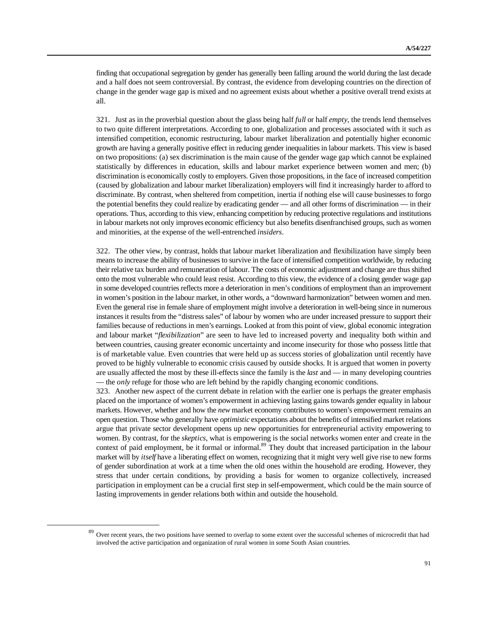finding that occupational segregation by gender has generally been falling around the world during the last decade and a half does not seem controversial. By contrast, the evidence from developing countries on the direction of change in the gender wage gap is mixed and no agreement exists about whether a positive overall trend exists at all.

321. Just as in the proverbial question about the glass being half *full* or half *empty*, the trends lend themselves to two quite different interpretations. According to one, globalization and processes associated with it such as intensified competition, economic restructuring, labour market liberalization and potentially higher economic growth are having a generally positive effect in reducing gender inequalities in labour markets. This view is based on two propositions: (a) sex discrimination is the main cause of the gender wage gap which cannot be explained statistically by differences in education, skills and labour market experience between women and men; (b) discrimination is economically costly to employers. Given those propositions, in the face of increased competition (caused by globalization and labour market liberalization) employers will find it increasingly harder to afford to discriminate. By contrast, when sheltered from competition, inertia if nothing else will cause businesses to forgo the potential benefits they could realize by eradicating gender — and all other forms of discrimination — in their operations. Thus, according to this view, enhancing competition by reducing protective regulations and institutions in labour markets not only improves economic efficiency but also benefits disenfranchised groups, such as women and minorities, at the expense of the well-entrenched *insiders*.

322. The other view, by contrast, holds that labour market liberalization and flexibilization have simply been means to increase the ability of businesses to survive in the face of intensified competition worldwide, by reducing their relative tax burden and remuneration of labour. The costs of economic adjustment and change are thus shifted onto the most vulnerable who could least resist. According to this view, the evidence of a closing gender wage gap in some developed countries reflects more a deterioration in men's conditions of employment than an improvement in women's position in the labour market, in other words, a "downward harmonization" between women and men. Even the general rise in female share of employment might involve a deterioration in well-being since in numerous instances it results from the "distress sales" of labour by women who are under increased pressure to support their families because of reductions in men's earnings. Looked at from this point of view, global economic integration and labour market "*flexibilization*" are seen to have led to increased poverty and inequality both within and between countries, causing greater economic uncertainty and income insecurity for those who possess little that is of marketable value. Even countries that were held up as success stories of globalization until recently have proved to be highly vulnerable to economic crisis caused by outside shocks. It is argued that women in poverty are usually affected the most by these ill-effects since the family is the *last* and — in many developing countries — the *only* refuge for those who are left behind by the rapidly changing economic conditions.

323. Another new aspect of the current debate in relation with the earlier one is perhaps the greater emphasis placed on the importance of women's empowerment in achieving lasting gains towards gender equality in labour markets. However, whether and how the *new* market economy contributes to women's empowerment remains an open question. Those who generally have *optimistic* expectations about the benefits of intensified market relations argue that private sector development opens up new opportunities for entrepreneurial activity empowering to women. By contrast, for the *skeptics*, what is empowering is the social networks women enter and create in the context of paid employment, be it formal or informal.<sup>89</sup> They doubt that increased participation in the labour market will by *itself* have a liberating effect on women, recognizing that it might very well give rise to new forms of gender subordination at work at a time when the old ones within the household are eroding. However, they stress that under certain conditions, by providing a basis for women to organize collectively, increased participation in employment can be a crucial first step in self-empowerment, which could be the main source of lasting improvements in gender relations both within and outside the household.

<sup>&</sup>lt;sup>89</sup> Over recent years, the two positions have seemed to overlap to some extent over the successful schemes of microcredit that had involved the active participation and organization of rural women in some South Asian countries.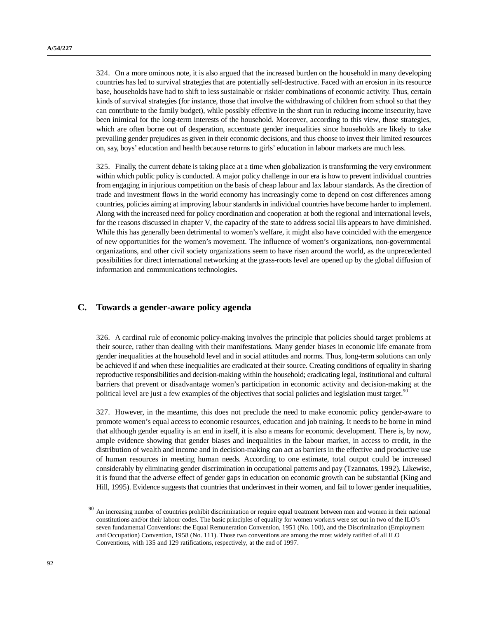324. On a more ominous note, it is also argued that the increased burden on the household in many developing countries has led to survival strategies that are potentially self-destructive. Faced with an erosion in its resource base, households have had to shift to less sustainable or riskier combinations of economic activity. Thus, certain kinds of survival strategies (for instance, those that involve the withdrawing of children from school so that they can contribute to the family budget), while possibly effective in the short run in reducing income insecurity, have been inimical for the long-term interests of the household. Moreover, according to this view, those strategies, which are often borne out of desperation, accentuate gender inequalities since households are likely to take prevailing gender prejudices as given in their economic decisions, and thus choose to invest their limited resources on, say, boys' education and health because returns to girls' education in labour markets are much less.

325. Finally, the current debate is taking place at a time when globalization is transforming the very environment within which public policy is conducted. A major policy challenge in our era is how to prevent individual countries from engaging in injurious competition on the basis of cheap labour and lax labour standards. As the direction of trade and investment flows in the world economy has increasingly come to depend on cost differences among countries, policies aiming at improving labour standards in individual countries have become harder to implement. Along with the increased need for policy coordination and cooperation at both the regional and international levels, for the reasons discussed in chapter V, the capacity of the state to address social ills appears to have diminished. While this has generally been detrimental to women's welfare, it might also have coincided with the emergence of new opportunities for the women's movement. The influence of women's organizations, non-governmental organizations, and other civil society organizations seem to have risen around the world, as the unprecedented possibilities for direct international networking at the grass-roots level are opened up by the global diffusion of information and communications technologies.

# **C. Towards a gender-aware policy agenda**

326. A cardinal rule of economic policy-making involves the principle that policies should target problems at their source, rather than dealing with their manifestations. Many gender biases in economic life emanate from gender inequalities at the household level and in social attitudes and norms. Thus, long-term solutions can only be achieved if and when these inequalities are eradicated at their source. Creating conditions of equality in sharing reproductive responsibilities and decision-making within the household; eradicating legal, institutional and cultural barriers that prevent or disadvantage women's participation in economic activity and decision-making at the political level are just a few examples of the objectives that social policies and legislation must target.<sup>90</sup>

327. However, in the meantime, this does not preclude the need to make economic policy gender-aware to promote women's equal access to economic resources, education and job training. It needs to be borne in mind that although gender equality is an end in itself, it is also a means for economic development. There is, by now, ample evidence showing that gender biases and inequalities in the labour market, in access to credit, in the distribution of wealth and income and in decision-making can act as barriers in the effective and productive use of human resources in meeting human needs. According to one estimate, total output could be increased considerably by eliminating gender discrimination in occupational patterns and pay (Tzannatos, 1992). Likewise, it is found that the adverse effect of gender gaps in education on economic growth can be substantial (King and Hill, 1995). Evidence suggests that countries that underinvest in their women, and fail to lower gender inequalities,

<sup>&</sup>lt;sup>90</sup> An increasing number of countries prohibit discrimination or require equal treatment between men and women in their national constitutions and/or their labour codes. The basic principles of equality for women workers were set out in two of the ILO's seven fundamental Conventions: the Equal Remuneration Convention, 1951 (No. 100), and the Discrimination (Employment and Occupation) Convention, 1958 (No. 111). Those two conventions are among the most widely ratified of all ILO Conventions, with 135 and 129 ratifications, respectively, at the end of 1997.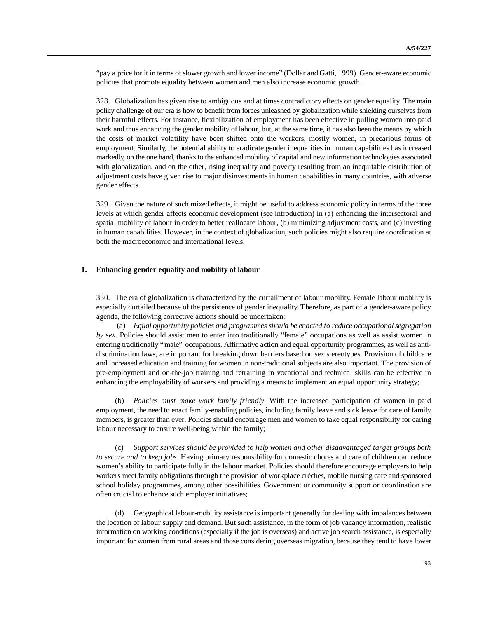"pay a price for it in terms of slower growth and lower income" (Dollar and Gatti, 1999). Gender-aware economic policies that promote equality between women and men also increase economic growth.

328. Globalization has given rise to ambiguous and at times contradictory effects on gender equality. The main policy challenge of our era is how to benefit from forces unleashed by globalization while shielding ourselves from their harmful effects. For instance, flexibilization of employment has been effective in pulling women into paid work and thus enhancing the gender mobility of labour, but, at the same time, it has also been the means by which the costs of market volatility have been shifted onto the workers, mostly women, in precarious forms of employment. Similarly, the potential ability to eradicate gender inequalities in human capabilities has increased markedly, on the one hand, thanks to the enhanced mobility of capital and new information technologies associated with globalization, and on the other, rising inequality and poverty resulting from an inequitable distribution of adjustment costs have given rise to major disinvestments in human capabilities in many countries, with adverse gender effects.

329. Given the nature of such mixed effects, it might be useful to address economic policy in terms of the three levels at which gender affects economic development (see introduction) in (a) enhancing the intersectoral and spatial mobility of labour in order to better reallocate labour, (b) minimizing adjustment costs, and (c) investing in human capabilities. However, in the context of globalization, such policies might also require coordination at both the macroeconomic and international levels.

## **1. Enhancing gender equality and mobility of labour**

330. The era of globalization is characterized by the curtailment of labour mobility. Female labour mobility is especially curtailed because of the persistence of gender inequality. Therefore, as part of a gender-aware policy agenda, the following corrective actions should be undertaken:

 (a) *Equal opportunity policies and programmes should be enacted to reduce occupational segregation by sex*. Policies should assist men to enter into traditionally "female" occupations as well as assist women in entering traditionally "male" occupations. Affirmative action and equal opportunity programmes, as well as antidiscrimination laws, are important for breaking down barriers based on sex stereotypes. Provision of childcare and increased education and training for women in non-traditional subjects are also important. The provision of pre-employment and on-the-job training and retraining in vocational and technical skills can be effective in enhancing the employability of workers and providing a means to implement an equal opportunity strategy;

(b) *Policies must make work family friendly*. With the increased participation of women in paid employment, the need to enact family-enabling policies, including family leave and sick leave for care of family members, is greater than ever. Policies should encourage men and women to take equal responsibility for caring labour necessary to ensure well-being within the family;

(c) *Support services should be provided to help women and other disadvantaged target groups both to secure and to keep jobs*. Having primary responsibility for domestic chores and care of children can reduce women's ability to participate fully in the labour market. Policies should therefore encourage employers to help workers meet family obligations through the provision of workplace crèches, mobile nursing care and sponsored school holiday programmes, among other possibilities. Government or community support or coordination are often crucial to enhance such employer initiatives;

(d) Geographical labour-mobility assistance is important generally for dealing with imbalances between the location of labour supply and demand. But such assistance, in the form of job vacancy information, realistic information on working conditions (especially if the job is overseas) and active job search assistance, is especially important for women from rural areas and those considering overseas migration, because they tend to have lower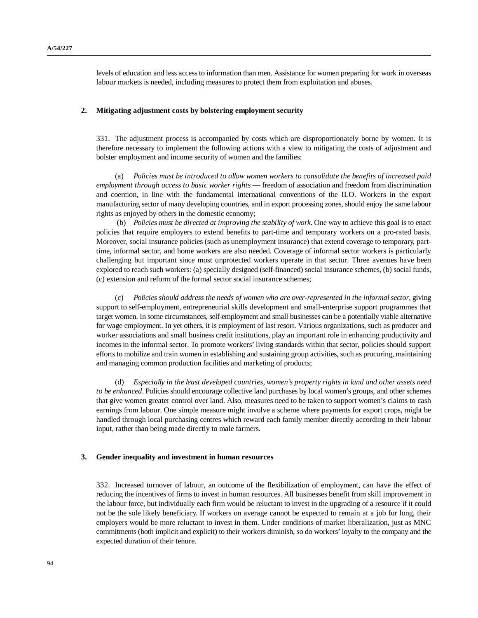levels of education and less access to information than men. Assistance for women preparing for work in overseas labour markets is needed, including measures to protect them from exploitation and abuses.

## **2. Mitigating adjustment costs by bolstering employment security**

331. The adjustment process is accompanied by costs which are disproportionately borne by women. It is therefore necessary to implement the following actions with a view to mitigating the costs of adjustment and bolster employment and income security of women and the families:

(a) *Policies must be introduced to allow women workers to consolidate the benefits of increased paid employment through access to basic worker rights* — freedom of association and freedom from discrimination and coercion, in line with the fundamental international conventions of the ILO. Workers in the export manufacturing sector of many developing countries, and in export processing zones, should enjoy the same labour rights as enjoyed by others in the domestic economy;

 (b) *Policies must be directed at improving the stability of work*. One way to achieve this goal is to enact policies that require employers to extend benefits to part-time and temporary workers on a pro-rated basis. Moreover, social insurance policies (such as unemployment insurance) that extend coverage to temporary, parttime, informal sector, and home workers are also needed. Coverage of informal sector workers is particularly challenging but important since most unprotected workers operate in that sector. Three avenues have been explored to reach such workers: (a) specially designed (self-financed) social insurance schemes, (b) social funds, (c) extension and reform of the formal sector social insurance schemes;

(c) *Policies should address the needs of women who are over-represented in the informal sector*, giving support to self-employment, entrepreneurial skills development and small-enterprise support programmes that target women. In some circumstances, self-employment and small businesses can be a potentially viable alternative for wage employment. In yet others, it is employment of last resort. Various organizations, such as producer and worker associations and small business credit institutions, play an important role in enhancing productivity and incomes in the informal sector. To promote workers' living standards within that sector, policies should support efforts to mobilize and train women in establishing and sustaining group activities, such as procuring, maintaining and managing common production facilities and marketing of products;

(d) *Especially in the least developed countries, women's property rights in land and other assets need to be enhanced*. Policies should encourage collective land purchases by local women's groups, and other schemes that give women greater control over land. Also, measures need to be taken to support women's claims to cash earnings from labour. One simple measure might involve a scheme where payments for export crops, might be handled through local purchasing centres which reward each family member directly according to their labour input, rather than being made directly to male farmers.

#### **3. Gender inequality and investment in human resources**

332. Increased turnover of labour, an outcome of the flexibilization of employment, can have the effect of reducing the incentives of firms to invest in human resources. All businesses benefit from skill improvement in the labour force, but individually each firm would be reluctant to invest in the upgrading of a resource if it could not be the sole likely beneficiary. If workers on average cannot be expected to remain at a job for long, their employers would be more reluctant to invest in them. Under conditions of market liberalization, just as MNC commitments (both implicit and explicit) to their workers diminish, so do workers' loyalty to the company and the expected duration of their tenure.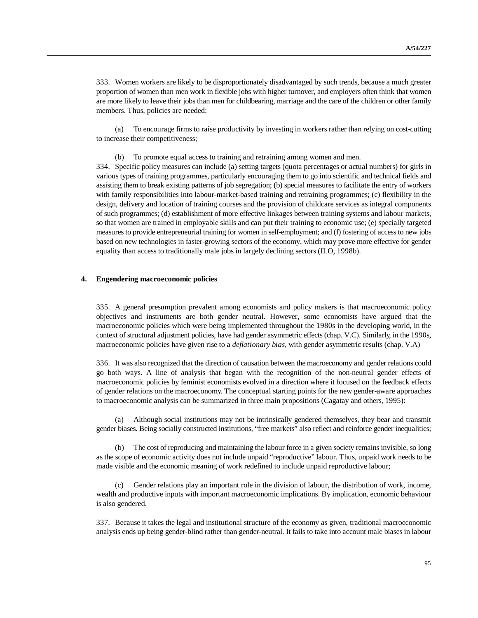333. Women workers are likely to be disproportionately disadvantaged by such trends, because a much greater proportion of women than men work in flexible jobs with higher turnover, and employers often think that women are more likely to leave their jobs than men for childbearing, marriage and the care of the children or other family members. Thus, policies are needed:

(a) To encourage firms to raise productivity by investing in workers rather than relying on cost-cutting to increase their competitiveness;

(b) To promote equal access to training and retraining among women and men.

334. Specific policy measures can include (a) setting targets (quota percentages or actual numbers) for girls in various types of training programmes, particularly encouraging them to go into scientific and technical fields and assisting them to break existing patterns of job segregation; (b) special measures to facilitate the entry of workers with family responsibilities into labour-market-based training and retraining programmes; (c) flexibility in the design, delivery and location of training courses and the provision of childcare services as integral components of such programmes; (d) establishment of more effective linkages between training systems and labour markets, so that women are trained in employable skills and can put their training to economic use; (e) specially targeted measures to provide entrepreneurial training for women in self-employment; and (f) fostering of access to new jobs based on new technologies in faster-growing sectors of the economy, which may prove more effective for gender equality than access to traditionally male jobs in largely declining sectors (ILO, 1998b).

#### **4. Engendering macroeconomic policies**

335. A general presumption prevalent among economists and policy makers is that macroeconomic policy objectives and instruments are both gender neutral. However, some economists have argued that the macroeconomic policies which were being implemented throughout the 1980s in the developing world, in the context of structural adjustment policies, have had gender asymmetric effects (chap. V.C). Similarly, in the 1990s, macroeconomic policies have given rise to a *deflationary bias*, with gender asymmetric results (chap. V.A)

336. It was also recognized that the direction of causation between the macroeconomy and gender relations could go both ways. A line of analysis that began with the recognition of the non-neutral gender effects of macroeconomic policies by feminist economists evolved in a direction where it focused on the feedback effects of gender relations on the macroeconomy. The conceptual starting points for the new gender-aware approaches to macroeconomic analysis can be summarized in three main propositions (Cagatay and others, 1995):

(a) Although social institutions may not be intrinsically gendered themselves, they bear and transmit gender biases. Being socially constructed institutions, "free markets" also reflect and reinforce gender inequalities;

(b) The cost of reproducing and maintaining the labour force in a given society remains invisible, so long as the scope of economic activity does not include unpaid "reproductive" labour. Thus, unpaid work needs to be made visible and the economic meaning of work redefined to include unpaid reproductive labour;

(c) Gender relations play an important role in the division of labour, the distribution of work, income, wealth and productive inputs with important macroeconomic implications. By implication, economic behaviour is also gendered.

337. Because it takes the legal and institutional structure of the economy as given, traditional macroeconomic analysis ends up being gender-blind rather than gender-neutral. It fails to take into account male biases in labour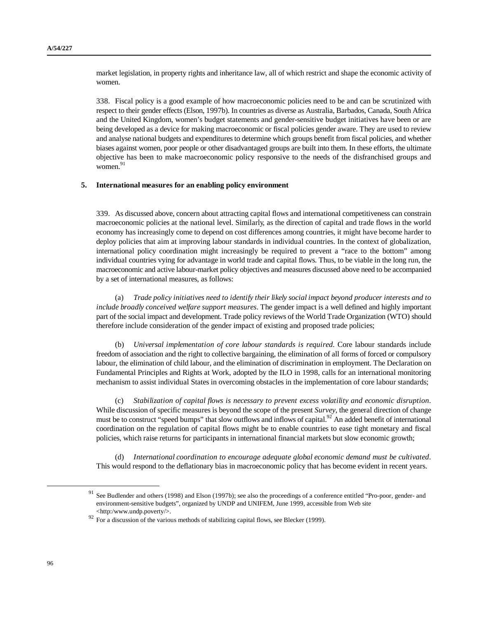market legislation, in property rights and inheritance law, all of which restrict and shape the economic activity of women.

338. Fiscal policy is a good example of how macroeconomic policies need to be and can be scrutinized with respect to their gender effects (Elson, 1997b). In countries as diverse as Australia, Barbados, Canada, South Africa and the United Kingdom, women's budget statements and gender-sensitive budget initiatives have been or are being developed as a device for making macroeconomic or fiscal policies gender aware. They are used to review and analyse national budgets and expenditures to determine which groups benefit from fiscal policies, and whether biases against women, poor people or other disadvantaged groups are built into them. In these efforts, the ultimate objective has been to make macroeconomic policy responsive to the needs of the disfranchised groups and women. 91

## **5. International measures for an enabling policy environment**

339. As discussed above, concern about attracting capital flows and international competitiveness can constrain macroeconomic policies at the national level. Similarly, as the direction of capital and trade flows in the world economy has increasingly come to depend on cost differences among countries, it might have become harder to deploy policies that aim at improving labour standards in individual countries. In the context of globalization, international policy coordination might increasingly be required to prevent a "race to the bottom" among individual countries vying for advantage in world trade and capital flows. Thus, to be viable in the long run, the macroeconomic and active labour-market policy objectives and measures discussed above need to be accompanied by a set of international measures, as follows:

(a) *Trade policy initiatives need to identify their likely social impact beyond producer interests and to include broadly conceived welfare support measures*. The gender impact is a well defined and highly important part of the social impact and development. Trade policy reviews of the World Trade Organization (WTO) should therefore include consideration of the gender impact of existing and proposed trade policies;

(b) *Universal implementation of core labour standards is required*. Core labour standards include freedom of association and the right to collective bargaining, the elimination of all forms of forced or compulsory labour, the elimination of child labour, and the elimination of discrimination in employment. The Declaration on Fundamental Principles and Rights at Work, adopted by the ILO in 1998, calls for an international monitoring mechanism to assist individual States in overcoming obstacles in the implementation of core labour standards;

(c) *Stabilization of capital flows is necessary to prevent excess volatility and economic disruption*. While discussion of specific measures is beyond the scope of the present *Survey*, the general direction of change must be to construct "speed bumps" that slow outflows and inflows of capital.<sup>92</sup> An added benefit of international coordination on the regulation of capital flows might be to enable countries to ease tight monetary and fiscal policies, which raise returns for participants in international financial markets but slow economic growth;

(d) *International coordination to encourage adequate global economic demand must be cultivated*. This would respond to the deflationary bias in macroeconomic policy that has become evident in recent years.

See Budlender and others (1998) and Elson (1997b); see also the proceedings of a conference entitled "Pro-poor, gender- and environment-sensitive budgets", organized by UNDP and UNIFEM, June 1999, accessible from Web site <http:/www.undp.poverty/>.

 $92$  For a discussion of the various methods of stabilizing capital flows, see Blecker (1999).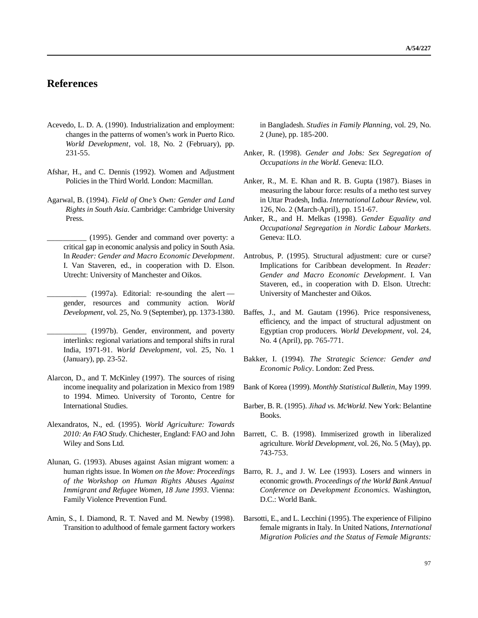# **References**

- Acevedo, L. D. A. (1990). Industrialization and employment: changes in the patterns of women's work in Puerto Rico. *World Development*, vol. 18, No. 2 (February), pp. 231-55.
- Afshar, H., and C. Dennis (1992). Women and Adjustment Policies in the Third World. London: Macmillan.
- Agarwal, B. (1994). *Field of One's Own: Gender and Land Rights in South Asia*. Cambridge: Cambridge University Press.
	- \_\_\_\_\_\_\_\_\_\_ (1995). Gender and command over poverty: a critical gap in economic analysis and policy in South Asia. In *Reader: Gender and Macro Economic Development*. I. Van Staveren, ed., in cooperation with D. Elson. Utrecht: University of Manchester and Oikos.
	- $\sim$  (1997a). Editorial: re-sounding the alert gender, resources and community action. *World Development*, vol. 25, No. 9 (September), pp. 1373-1380.
	- \_\_\_\_\_\_\_\_\_\_ (1997b). Gender, environment, and poverty interlinks: regional variations and temporal shifts in rural India, 1971-91. *World Development*, vol. 25, No. 1 (January), pp. 23-52.
- Alarcon, D., and T. McKinley (1997). The sources of rising income inequality and polarization in Mexico from 1989 to 1994. Mimeo. University of Toronto, Centre for International Studies.
- Alexandratos, N., ed. (1995). *World Agriculture: Towards 2010: An FAO Study*. Chichester, England: FAO and John Wiley and Sons Ltd.
- Alunan, G. (1993). Abuses against Asian migrant women: a human rights issue. In *Women on the Move: Proceedings of the Workshop on Human Rights Abuses Against Immigrant and Refugee Women, 18 June 1993*. Vienna: Family Violence Prevention Fund.
- Amin, S., I. Diamond, R. T. Naved and M. Newby (1998). Transition to adulthood of female garment factory workers

in Bangladesh. *Studies in Family Planning*, vol. 29, No. 2 (June), pp. 185-200.

- Anker, R. (1998). *Gender and Jobs: Sex Segregation of Occupations in the World*. Geneva: ILO.
- Anker, R., M. E. Khan and R. B. Gupta (1987). Biases in measuring the labour force: results of a metho test survey in Uttar Pradesh, India. *International Labour Review*, vol. 126, No. 2 (March-April), pp. 151-67.
- Anker, R., and H. Melkas (1998). *Gender Equality and Occupational Segregation in Nordic Labour Markets*. Geneva: ILO.
- Antrobus, P. (1995). Structural adjustment: cure or curse? Implications for Caribbean development. In *Reader: Gender and Macro Economic Development*. I. Van Staveren, ed., in cooperation with D. Elson. Utrecht: University of Manchester and Oikos.
- Baffes, J., and M. Gautam (1996). Price responsiveness, efficiency, and the impact of structural adjustment on Egyptian crop producers. *World Development*, vol. 24, No. 4 (April), pp. 765-771.
- Bakker, I. (1994). *The Strategic Science: Gender and Economic Policy*. London: Zed Press.
- Bank of Korea (1999). *Monthly Statistical Bulletin*, May 1999.
- Barber, B. R. (1995). *Jihad vs. McWorld*. New York: Belantine Books.
- Barrett, C. B. (1998). Immiserized growth in liberalized agriculture. *World Development*, vol. 26, No. 5 (May), pp. 743-753.
- Barro, R. J., and J. W. Lee (1993). Losers and winners in economic growth. *Proceedings of the World Bank Annual Conference on Development Economics*. Washington, D.C.: World Bank.
- Barsotti, E., and L. Lecchini (1995). The experience of Filipino female migrants in Italy. In United Nations, *International Migration Policies and the Status of Female Migrants:*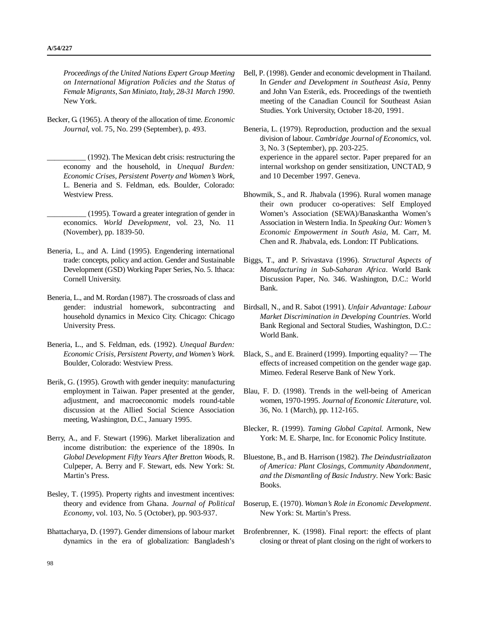*Proceedings of the United Nations Expert Group Meeting on International Migration Policies and the Status of Female Migrants, San Miniato, Italy, 28-31 March 1990*. New York.

- Becker, G. (1965). A theory of the allocation of time. *Economic Journal*, vol. 75, No. 299 (September), p. 493.
	- \_\_\_\_\_\_\_\_\_\_ (1992). The Mexican debt crisis: restructuring the economy and the household, in *Unequal Burden: Economic Crises, Persistent Poverty and Women's Work*, L. Beneria and S. Feldman, eds. Boulder, Colorado: Westview Press.
	- \_\_\_\_\_\_\_\_\_\_ (1995). Toward a greater integration of gender in economics. *World Development*, vol. 23, No. 11 (November), pp. 1839-50.
- Beneria, L., and A. Lind (1995). Engendering international trade: concepts, policy and action. Gender and Sustainable Development (GSD) Working Paper Series, No. 5. Ithaca: Cornell University.
- Beneria, L., and M. Rordan (1987). The crossroads of class and gender: industrial homework, subcontracting and household dynamics in Mexico City. Chicago: Chicago University Press.
- Beneria, L., and S. Feldman, eds. (1992). *Unequal Burden: Economic Crisis, Persistent Poverty, and Women's Work*. Boulder, Colorado: Westview Press.
- Berik, G. (1995). Growth with gender inequity: manufacturing employment in Taiwan. Paper presented at the gender, adjustment, and macroeconomic models round-table discussion at the Allied Social Science Association meeting, Washington, D.C., January 1995.
- Berry, A., and F. Stewart (1996). Market liberalization and income distribution: the experience of the 1890s. In *Global Development Fifty Years After Bretton Woods*, R. Culpeper, A. Berry and F. Stewart, eds. New York: St. Martin's Press.
- Besley, T. (1995). Property rights and investment incentives: theory and evidence from Ghana. *Journal of Political Economy*, vol. 103, No. 5 (October), pp. 903-937.
- Bhattacharya, D. (1997). Gender dimensions of labour market dynamics in the era of globalization: Bangladesh's
- Bell, P. (1998). Gender and economic development in Thailand. In *Gender and Development in Southeast Asia*, Penny and John Van Esterik, eds. Proceedings of the twentieth meeting of the Canadian Council for Southeast Asian Studies. York University, October 18-20, 1991.
- Beneria, L. (1979). Reproduction, production and the sexual division of labour. *Cambridge Journal of Economics*, vol. 3, No. 3 (September), pp. 203-225. experience in the apparel sector. Paper prepared for an internal workshop on gender sensitization, UNCTAD, 9 and 10 December 1997. Geneva.
- Bhowmik, S., and R. Jhabvala (1996). Rural women manage their own producer co-operatives: Self Employed Women's Association (SEWA)/Banaskantha Women's Association in Western India. In *Speaking Out: Women's Economic Empowerment in South Asia*, M. Carr, M. Chen and R. Jhabvala, eds. London: IT Publications.
- Biggs, T., and P. Srivastava (1996). *Structural Aspects of Manufacturing in Sub-Saharan Africa*. World Bank Discussion Paper, No. 346. Washington, D.C.: World Bank.
- Birdsall, N., and R. Sabot (1991). *Unfair Advantage: Labour Market Discrimination in Developing Countries*. World Bank Regional and Sectoral Studies, Washington, D.C.: World Bank.
- Black, S., and E. Brainerd (1999). Importing equality? The effects of increased competition on the gender wage gap. Mimeo. Federal Reserve Bank of New York.
- Blau, F. D. (1998). Trends in the well-being of American women, 1970-1995. *Journal of Economic Literature*, vol. 36, No. 1 (March), pp. 112-165.
- Blecker, R. (1999). *Taming Global Capital*. Armonk, New York: M. E. Sharpe, Inc. for Economic Policy Institute.
- Bluestone, B., and B. Harrison (1982). *The Deindustrializaton of America: Plant Closings, Community Abandonment, and the Dismantling of Basic Industry*. New York: Basic Books.
- Boserup, E. (1970). *Woman's Role in Economic Development*. New York: St. Martin's Press.
- Brofenbrenner, K. (1998). Final report: the effects of plant closing or threat of plant closing on the right of workers to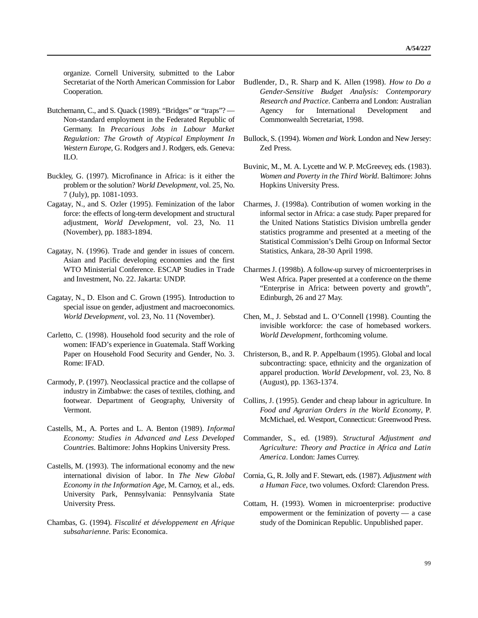organize. Cornell University, submitted to the Labor Secretariat of the North American Commission for Labor Cooperation.

- Butchemann, C., and S. Quack (1989). "Bridges" or "traps"? Non-standard employment in the Federated Republic of Germany. In *Precarious Jobs in Labour Market Regulation: The Growth of Atypical Employment In Western Europe*, G. Rodgers and J. Rodgers, eds. Geneva: ILO.
- Buckley, G. (1997). Microfinance in Africa: is it either the problem or the solution? *World Development*, vol. 25, No. 7 (July), pp. 1081-1093.
- Cagatay, N., and S. Ozler (1995). Feminization of the labor force: the effects of long-term development and structural adjustment, *World Development*, vol. 23, No. 11 (November), pp. 1883-1894.
- Cagatay, N. (1996). Trade and gender in issues of concern. Asian and Pacific developing economies and the first WTO Ministerial Conference. ESCAP Studies in Trade and Investment, No. 22. Jakarta: UNDP.
- Cagatay, N., D. Elson and C. Grown (1995). Introduction to special issue on gender, adjustment and macroeconomics. *World Development*, vol. 23, No. 11 (November).
- Carletto, C. (1998). Household food security and the role of women: IFAD's experience in Guatemala. Staff Working Paper on Household Food Security and Gender, No. 3. Rome: IFAD.
- Carmody, P. (1997). Neoclassical practice and the collapse of industry in Zimbabwe: the cases of textiles, clothing, and footwear. Department of Geography, University of Vermont.
- Castells, M., A. Portes and L. A. Benton (1989). *Informal Economy: Studies in Advanced and Less Developed Countries*. Baltimore: Johns Hopkins University Press.
- Castells, M. (1993). The informational economy and the new international division of labor. In *The New Global Economy in the Information Age*, M. Carnoy, et al., eds. University Park, Pennsylvania: Pennsylvania State University Press.
- Chambas, G. (1994). *Fiscalité et développement en Afrique subsaharienne*. Paris: Economica.
- Budlender, D., R. Sharp and K. Allen (1998). *How to Do a Gender-Sensitive Budget Analysis: Contemporary Research and Practice*. Canberra and London: Australian Agency for International Development and Commonwealth Secretariat, 1998.
- Bullock, S. (1994). *Women and Work*. London and New Jersey: Zed Press.
- Buvinic, M., M. A. Lycette and W. P. McGreevey, eds. (1983). *Women and Poverty in the Third World*. Baltimore: Johns Hopkins University Press.
- Charmes, J. (1998a). Contribution of women working in the informal sector in Africa: a case study. Paper prepared for the United Nations Statistics Division umbrella gender statistics programme and presented at a meeting of the Statistical Commission's Delhi Group on Informal Sector Statistics, Ankara, 28-30 April 1998.
- Charmes J. (1998b). A follow-up survey of microenterprises in West Africa. Paper presented at a conference on the theme "Enterprise in Africa: between poverty and growth", Edinburgh, 26 and 27 May.
- Chen, M., J. Sebstad and L. O'Connell (1998). Counting the invisible workforce: the case of homebased workers. *World Development*, forthcoming volume.
- Christerson, B., and R. P. Appelbaum (1995). Global and local subcontracting: space, ethnicity and the organization of apparel production. *World Development*, vol. 23, No. 8 (August), pp. 1363-1374.
- Collins, J. (1995). Gender and cheap labour in agriculture. In *Food and Agrarian Orders in the World Economy*, P. McMichael, ed. Westport, Connecticut: Greenwood Press.
- Commander, S., ed. (1989). *Structural Adjustment and Agriculture: Theory and Practice in Africa and Latin America*. London: James Currey.
- Cornia, G., R. Jolly and F. Stewart, eds. (1987). *Adjustment with a Human Face*, two volumes. Oxford: Clarendon Press.
- Cottam, H. (1993). Women in microenterprise: productive empowerment or the feminization of poverty — a case study of the Dominican Republic. Unpublished paper.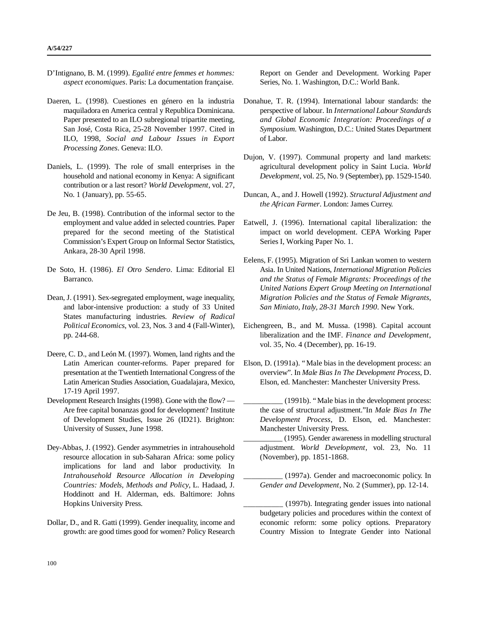- D'Intignano, B. M. (1999). *Egalité entre femmes et hommes: aspect economiques*. Paris: La documentation française.
- Daeren, L. (1998). Cuestiones en género en la industria maquiladora en America central y Republica Dominicana. Paper presented to an ILO subregional tripartite meeting, San José, Costa Rica, 25-28 November 1997. Cited in ILO, 1998, *Social and Labour Issues in Export Processing Zones*. Geneva: ILO.
- Daniels, L. (1999). The role of small enterprises in the household and national economy in Kenya: A significant contribution or a last resort? *World Development*, vol. 27, No. 1 (January), pp. 55-65.
- De Jeu, B. (1998). Contribution of the informal sector to the employment and value added in selected countries. Paper prepared for the second meeting of the Statistical Commission's Expert Group on Informal Sector Statistics, Ankara, 28-30 April 1998.
- De Soto, H. (1986). *El Otro Sendero*. Lima: Editorial El Barranco.
- Dean, J. (1991). Sex-segregated employment, wage inequality, and labor-intensive production: a study of 33 United States manufacturing industries. *Review of Radical Political Economics*, vol. 23, Nos. 3 and 4 (Fall-Winter), pp. 244-68.
- Deere, C. D., and León M. (1997). Women, land rights and the Latin American counter-reforms. Paper prepared for presentation at the Twentieth International Congress of the Latin American Studies Association, Guadalajara, Mexico, 17-19 April 1997.
- Development Research Insights (1998). Gone with the flow? Are free capital bonanzas good for development? Institute of Development Studies, Issue 26 (ID21). Brighton: University of Sussex, June 1998.
- Dey-Abbas, J. (1992). Gender asymmetries in intrahousehold resource allocation in sub-Saharan Africa: some policy implications for land and labor productivity. In *Intrahousehold Resource Allocation in Developing Countries: Models, Methods and Policy*, L. Hadaad, J. Hoddinott and H. Alderman, eds. Baltimore: Johns Hopkins University Press.
- Dollar, D., and R. Gatti (1999). Gender inequality, income and growth: are good times good for women? Policy Research

Report on Gender and Development. Working Paper Series, No. 1. Washington, D.C.: World Bank.

- Donahue, T. R. (1994). International labour standards: the perspective of labour. In *International Labour Standards and Global Economic Integration: Proceedings of a Symposium*. Washington, D.C.: United States Department of Labor.
- Dujon, V. (1997). Communal property and land markets: agricultural development policy in Saint Lucia. *World Development*, vol. 25, No. 9 (September), pp. 1529-1540.
- Duncan, A., and J. Howell (1992). *Structural Adjustment and the African Farmer*. London: James Currey.
- Eatwell, J. (1996). International capital liberalization: the impact on world development. CEPA Working Paper Series I, Working Paper No. 1.
- Eelens, F. (1995). Migration of Sri Lankan women to western Asia. In United Nations, *International Migration Policies and the Status of Female Migrants: Proceedings of the United Nations Expert Group Meeting on International Migration Policies and the Status of Female Migrants, San Miniato, Italy, 28-31 March 1990*. New York.
- Eichengreen, B., and M. Mussa. (1998). Capital account liberalization and the IMF. *Finance and Development*, vol. 35, No. 4 (December), pp. 16-19.
- Elson, D. (1991a). "Male bias in the development process: an overview". In *Male Bias In The Development Process*, D. Elson, ed. Manchester: Manchester University Press.
	- \_\_\_\_\_\_\_\_\_\_ (1991b). "Male bias in the development process: the case of structural adjustment."In *Male Bias In The Development Process*, D. Elson, ed. Manchester: Manchester University Press.
	- \_\_\_\_\_\_\_\_\_\_ (1995). Gender awareness in modelling structural adjustment. *World Development*, vol. 23, No. 11 (November), pp. 1851-1868.
	- \_\_\_\_\_\_\_\_\_\_ (1997a). Gender and macroeconomic policy. In *Gender and Development*, No. 2 (Summer), pp. 12-14.
	- \_\_\_\_\_\_\_\_\_\_ (1997b). Integrating gender issues into national budgetary policies and procedures within the context of economic reform: some policy options. Preparatory Country Mission to Integrate Gender into National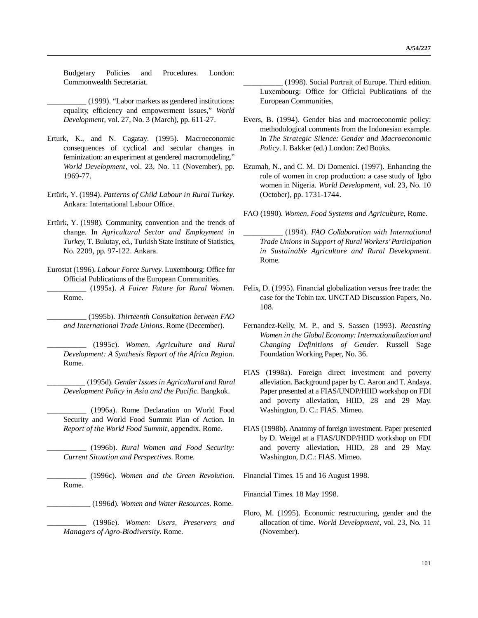Budgetary Policies and Procedures. London: Commonwealth Secretariat.

- \_\_\_\_\_\_\_\_\_\_ (1999). "Labor markets as gendered institutions: equality, efficiency and empowerment issues," *World Development*, vol. 27, No. 3 (March), pp. 611-27.
- Erturk, K., and N. Cagatay. (1995). Macroeconomic consequences of cyclical and secular changes in feminization: an experiment at gendered macromodeling." *World Development*, vol. 23, No. 11 (November), pp. 1969-77.
- Ertürk, Y. (1994). *Patterns of Child Labour in Rural Turkey*. Ankara: International Labour Office.
- Ertürk, Y. (1998). Community, convention and the trends of change. In *Agricultural Sector and Employment in Turkey*, T. Bulutay, ed., Turkish State Institute of Statistics, No. 2209, pp. 97-122. Ankara.
- Eurostat (1996). *Labour Force Survey*. Luxembourg: Office for Official Publications of the European Communities.
- \_\_\_\_\_\_\_\_\_\_ (1995a). *A Fairer Future for Rural Women*. Rome.
	- \_\_\_\_\_\_\_\_\_\_ (1995b). *Thirteenth Consultation between FAO and International Trade Unions*. Rome (December).
	- \_\_\_\_\_\_\_\_\_\_ (1995c). *Women, Agriculture and Rural Development: A Synthesis Report of the Africa Region*. Rome.
	- \_\_\_\_\_\_\_\_\_\_ (1995d). *Gender Issues in Agricultural and Rural Development Policy in Asia and the Pacific*. Bangkok.
	- \_\_\_\_\_\_\_\_\_\_ (1996a). Rome Declaration on World Food Security and World Food Summit Plan of Action. In *Report of the World Food Summit*, appendix. Rome.
	- \_\_\_\_\_\_\_\_\_\_ (1996b). *Rural Women and Food Security: Current Situation and Perspectives*. Rome.
	- \_\_\_\_\_\_\_\_\_\_ (1996c). *Women and the Green Revolution*. Rome.
		- \_\_\_\_\_\_\_\_\_\_\_ (1996d). *Women and Water Resources*. Rome.
	- \_\_\_\_\_\_\_\_\_\_ (1996e). *Women: Users, Preservers and Managers of Agro-Biodiversity*. Rome.
- \_\_\_\_\_\_\_\_\_\_ (1998). Social Portrait of Europe. Third edition. Luxembourg: Office for Official Publications of the European Communities.
- Evers, B. (1994). Gender bias and macroeconomic policy: methodological comments from the Indonesian example. In *The Strategic Silence: Gender and Macroeconomic Policy*. I. Bakker (ed.) London: Zed Books.
- Ezumah, N., and C. M. Di Domenici. (1997). Enhancing the role of women in crop production: a case study of Igbo women in Nigeria. *World Development*, vol. 23, No. 10 (October), pp. 1731-1744.
- FAO (1990). *Women, Food Systems and Agriculture*, Rome.
	- \_\_\_\_\_\_\_\_\_\_ (1994). *FAO Collaboration with International Trade Unions in Support of Rural Workers' Participation in Sustainable Agriculture and Rural Development*. Rome.
- Felix, D. (1995). Financial globalization versus free trade: the case for the Tobin tax. UNCTAD Discussion Papers, No. 108.
- Fernandez-Kelly, M. P., and S. Sassen (1993). *Recasting Women in the Global Economy: Internationalization and Changing Definitions of Gender*. Russell Sage Foundation Working Paper, No. 36.
- FIAS (1998a). Foreign direct investment and poverty alleviation. Background paper by C. Aaron and T. Andaya. Paper presented at a FIAS/UNDP/HIID workshop on FDI and poverty alleviation, HIID, 28 and 29 May. Washington, D. C.: FIAS. Mimeo.
- FIAS (1998b). Anatomy of foreign investment. Paper presented by D. Weigel at a FIAS/UNDP/HIID workshop on FDI and poverty alleviation, HIID, 28 and 29 May. Washington, D.C.: FIAS. Mimeo.
- Financial Times. 15 and 16 August 1998.
- Financial Times. 18 May 1998.
- Floro, M. (1995). Economic restructuring, gender and the allocation of time. *World Development*, vol. 23, No. 11 (November).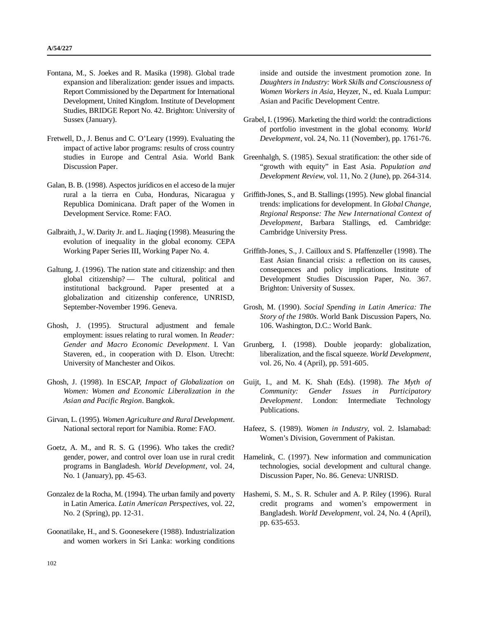- Fontana, M., S. Joekes and R. Masika (1998). Global trade expansion and liberalization: gender issues and impacts. Report Commissioned by the Department for International Development, United Kingdom. Institute of Development Studies, BRIDGE Report No. 42. Brighton: University of Sussex (January).
- Fretwell, D., J. Benus and C. O'Leary (1999). Evaluating the impact of active labor programs: results of cross country studies in Europe and Central Asia. World Bank Discussion Paper.
- Galan, B. B. (1998). Aspectos jurídicos en el acceso de la mujer rural a la tierra en Cuba, Honduras, Nicaragua y Republica Dominicana. Draft paper of the Women in Development Service. Rome: FAO.
- Galbraith, J., W. Darity Jr. and L. Jiaqing (1998). Measuring the evolution of inequality in the global economy. CEPA Working Paper Series III, Working Paper No. 4.
- Galtung, J. (1996). The nation state and citizenship: and then global citizenship? — The cultural, political and institutional background. Paper presented at a globalization and citizenship conference, UNRISD, September-November 1996. Geneva.
- Ghosh, J. (1995). Structural adjustment and female employment: issues relating to rural women. In *Reader: Gender and Macro Economic Development*. I. Van Staveren, ed., in cooperation with D. Elson. Utrecht: University of Manchester and Oikos.
- Ghosh, J. (1998). In ESCAP, *Impact of Globalization on Women: Women and Economic Liberalization in the Asian and Pacific Region*. Bangkok.
- Girvan, L. (1995). *Women Agriculture and Rural Development*. National sectoral report for Namibia. Rome: FAO.
- Goetz, A. M., and R. S. G. (1996). Who takes the credit? gender, power, and control over loan use in rural credit programs in Bangladesh. *World Development*, vol. 24, No. 1 (January), pp. 45-63.
- Gonzalez de la Rocha, M. (1994). The urban family and poverty in Latin America. *Latin American Perspectives*, vol. 22, No. 2 (Spring), pp. 12-31.
- Goonatilake, H., and S. Goonesekere (1988). Industrialization and women workers in Sri Lanka: working conditions

inside and outside the investment promotion zone. In *Daughters in Industry: Work Skills and Consciousness of Women Workers in Asia*, Heyzer, N., ed. Kuala Lumpur: Asian and Pacific Development Centre.

- Grabel, I. (1996). Marketing the third world: the contradictions of portfolio investment in the global economy. *World Development*, vol. 24, No. 11 (November), pp. 1761-76.
- Greenhalgh, S. (1985). Sexual stratification: the other side of "growth with equity" in East Asia. *Population and Development Review*, vol. 11, No. 2 (June), pp. 264-314.
- Griffith-Jones, S., and B. Stallings (1995). New global financial trends: implications for development. In *Global Change, Regional Response: The New International Context of Development*, Barbara Stallings, ed. Cambridge: Cambridge University Press.
- Griffith-Jones, S., J. Cailloux and S. Pfaffenzeller (1998). The East Asian financial crisis: a reflection on its causes, consequences and policy implications. Institute of Development Studies Discussion Paper, No. 367. Brighton: University of Sussex.
- Grosh, M. (1990). *Social Spending in Latin America: The Story of the 1980s*. World Bank Discussion Papers, No. 106. Washington, D.C.: World Bank.
- Grunberg, I. (1998). Double jeopardy: globalization, liberalization, and the fiscal squeeze. *World Development*, vol. 26, No. 4 (April), pp. 591-605.
- Guijt, I., and M. K. Shah (Eds). (1998). *The Myth of Community: Gender Issues in Participatory Development*. London: Intermediate Technology Publications.
- Hafeez, S. (1989). *Women in Industry*, vol. 2. Islamabad: Women's Division, Government of Pakistan.
- Hamelink, C. (1997). New information and communication technologies, social development and cultural change. Discussion Paper, No. 86. Geneva: UNRISD.
- Hashemi, S. M., S. R. Schuler and A. P. Riley (1996). Rural credit programs and women's empowerment in Bangladesh. *World Development*, vol. 24, No. 4 (April), pp. 635-653.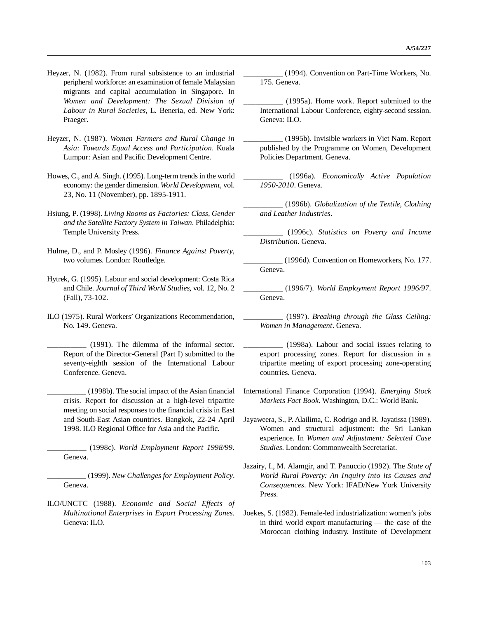- Heyzer, N. (1982). From rural subsistence to an industrial peripheral workforce: an examination of female Malaysian migrants and capital accumulation in Singapore. In *Women and Development: The Sexual Division of Labour in Rural Societies*, L. Beneria, ed. New York: Praeger.
- Heyzer, N. (1987). *Women Farmers and Rural Change in Asia: Towards Equal Access and Participation*. Kuala Lumpur: Asian and Pacific Development Centre.
- Howes, C., and A. Singh. (1995). Long-term trends in the world economy: the gender dimension. *World Development*, vol. 23, No. 11 (November), pp. 1895-1911.
- Hsiung, P. (1998). *Living Rooms as Factories: Class, Gender and the Satellite Factory System in Taiwan*. Philadelphia: Temple University Press.
- Hulme, D., and P. Mosley (1996). *Finance Against Poverty*, two volumes. London: Routledge.
- Hytrek, G. (1995). Labour and social development: Costa Rica and Chile. *Journal of Third World Studies*, vol. 12, No. 2 (Fall), 73-102.
- ILO (1975). Rural Workers' Organizations Recommendation, No. 149. Geneva.

\_\_\_\_\_\_\_\_\_\_ (1991). The dilemma of the informal sector. Report of the Director-General (Part I) submitted to the seventy-eighth session of the International Labour Conference. Geneva.

\_\_\_\_\_\_\_\_\_\_ (1998b). The social impact of the Asian financial crisis. Report for discussion at a high-level tripartite meeting on social responses to the financial crisis in East and South-East Asian countries. Bangkok, 22-24 April 1998. ILO Regional Office for Asia and the Pacific.

\_\_\_\_\_\_\_\_\_\_ (1998c). *World Employment Report 1998/99*. Geneva.

\_\_\_\_\_\_\_\_\_\_ (1999). *New Challenges for Employment Policy*. Geneva.

ILO/UNCTC (1988). *Economic and Social Effects of Multinational Enterprises in Export Processing Zones*. Geneva: ILO.

- \_\_\_\_\_\_\_\_\_\_ (1994). Convention on Part-Time Workers, No. 175. Geneva.
- \_\_\_\_\_\_\_\_\_\_ (1995a). Home work. Report submitted to the International Labour Conference, eighty-second session. Geneva: ILO.
- \_\_\_\_\_\_\_\_\_\_ (1995b). Invisible workers in Viet Nam. Report published by the Programme on Women, Development Policies Department. Geneva.
- \_\_\_\_\_\_\_\_\_\_ (1996a). *Economically Active Population 1950-2010*. Geneva.
- \_\_\_\_\_\_\_\_\_\_ (1996b). *Globalization of the Textile, Clothing and Leather Industries*.
- \_\_\_\_\_\_\_\_\_\_ (1996c). *Statistics on Poverty and Income Distribution*. Geneva.
- \_\_\_\_\_\_\_\_\_\_ (1996d). Convention on Homeworkers, No. 177. Geneva.
- \_\_\_\_\_\_\_\_\_\_ (1996/7). *World Employment Report 1996/97*. Geneva.
- \_\_\_\_\_\_\_\_\_\_ (1997). *Breaking through the Glass Ceiling: Women in Management*. Geneva.
- \_\_\_\_\_\_\_\_\_\_ (1998a). Labour and social issues relating to export processing zones. Report for discussion in a tripartite meeting of export processing zone-operating countries. Geneva.
- International Finance Corporation (1994). *Emerging Stock Markets Fact Book*. Washington, D.C.: World Bank.
- Jayaweera, S., P. Alailima, C. Rodrigo and R. Jayatissa (1989). Women and structural adjustment: the Sri Lankan experience. In *Women and Adjustment: Selected Case Studies*. London: Commonwealth Secretariat.
- Jazairy, I., M. Alamgir, and T. Panuccio (1992). The *State of World Rural Poverty: An Inquiry into its Causes and Consequences*. New York: IFAD/New York University Press.
- Joekes, S. (1982). Female-led industrialization: women's jobs in third world export manufacturing — the case of the Moroccan clothing industry. Institute of Development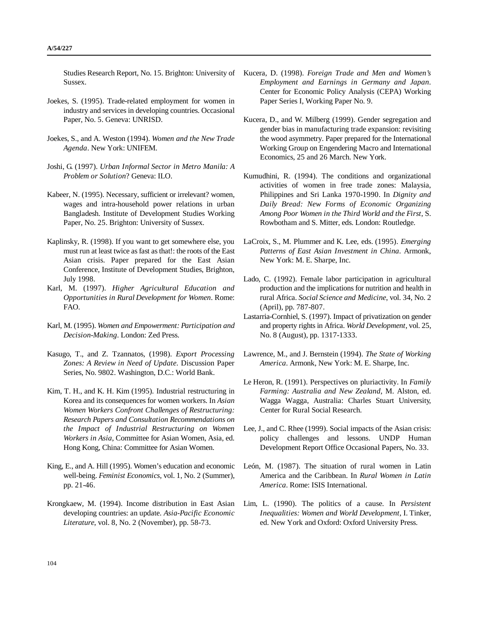Studies Research Report, No. 15. Brighton: University of Sussex.

- Joekes, S. (1995). Trade-related employment for women in industry and services in developing countries. Occasional Paper, No. 5. Geneva: UNRISD.
- Joekes, S., and A. Weston (1994). *Women and the New Trade Agenda*. New York: UNIFEM.
- Joshi, G. (1997). *Urban Informal Sector in Metro Manila: A Problem or Solution*? Geneva: ILO.
- Kabeer, N. (1995). Necessary, sufficient or irrelevant? women, wages and intra-household power relations in urban Bangladesh. Institute of Development Studies Working Paper, No. 25. Brighton: University of Sussex.
- Kaplinsky, R. (1998). If you want to get somewhere else, you must run at least twice as fast as that!: the roots of the East Asian crisis. Paper prepared for the East Asian Conference, Institute of Development Studies, Brighton, July 1998.
- Karl, M. (1997). *Higher Agricultural Education and Opportunities in Rural Development for Women*. Rome: FAO.
- Karl, M. (1995). *Women and Empowerment: Participation and Decision-Making*. London: Zed Press.
- Kasugo, T., and Z. Tzannatos, (1998). *Export Processing Zones: A Review in Need of Update*. Discussion Paper Series, No. 9802. Washington, D.C.: World Bank.
- Kim, T. H., and K. H. Kim (1995). Industrial restructuring in Korea and its consequences for women workers. In *Asian Women Workers Confront Challenges of Restructuring: Research Papers and Consultation Recommendations on the Impact of Industrial Restructuring on Women Workers in Asia*, Committee for Asian Women, Asia, ed. Hong Kong, China: Committee for Asian Women.
- King, E., and A. Hill (1995). Women's education and economic well-being. *Feminist Economics*, vol. 1, No. 2 (Summer), pp. 21-46.
- Krongkaew, M. (1994). Income distribution in East Asian developing countries: an update. *Asia-Pacific Economic Literature*, vol. 8, No. 2 (November), pp. 58-73.
- Kucera, D. (1998). *Foreign Trade and Men and Women's Employment and Earnings in Germany and Japan*. Center for Economic Policy Analysis (CEPA) Working Paper Series I, Working Paper No. 9.
- Kucera, D., and W. Milberg (1999). Gender segregation and gender bias in manufacturing trade expansion: revisiting the wood asymmetry. Paper prepared for the International Working Group on Engendering Macro and International Economics, 25 and 26 March. New York.
- Kumudhini, R. (1994). The conditions and organizational activities of women in free trade zones: Malaysia, Philippines and Sri Lanka 1970-1990. In *Dignity and Daily Bread: New Forms of Economic Organizing Among Poor Women in the Third World and the First*, S. Rowbotham and S. Mitter, eds. London: Routledge.
- LaCroix, S., M. Plummer and K. Lee, eds. (1995). *Emerging Patterns of East Asian Investment in China*. Armonk, New York: M. E. Sharpe, Inc.
- Lado, C. (1992). Female labor participation in agricultural production and the implications for nutrition and health in rural Africa. *Social Science and Medicine*, vol. 34, No. 2 (April), pp. 787-807.
- Lastarria-Cornhiel, S. (1997). Impact of privatization on gender and property rights in Africa. *World Development*, vol. 25, No. 8 (August), pp. 1317-1333.
- Lawrence, M., and J. Bernstein (1994). *The State of Working America*. Armonk, New York: M. E. Sharpe, Inc.
- Le Heron, R. (1991). Perspectives on pluriactivity. In *Family Farming: Australia and New Zealand*, M. Alston, ed. Wagga Wagga, Australia: Charles Stuart University, Center for Rural Social Research.
- Lee, J., and C. Rhee (1999). Social impacts of the Asian crisis: policy challenges and lessons. UNDP Human Development Report Office Occasional Papers, No. 33.
- León, M. (1987). The situation of rural women in Latin America and the Caribbean. In *Rural Women in Latin America*. Rome: ISIS International.
- Lim, L. (1990). The politics of a cause. In *Persistent Inequalities: Women and World Development*, I. Tinker, ed. New York and Oxford: Oxford University Press.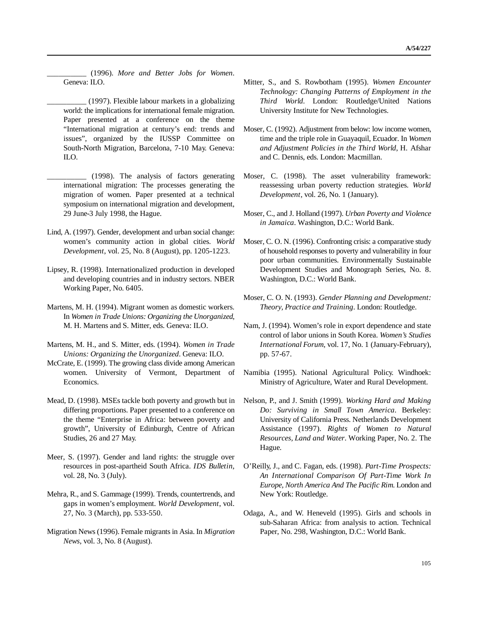\_\_\_\_\_\_\_\_\_\_ (1996). *More and Better Jobs for Women*. Geneva: ILO.

- \_\_\_\_\_\_\_\_\_\_ (1997). Flexible labour markets in a globalizing world: the implications for international female migration. Paper presented at a conference on the theme "International migration at century's end: trends and issues", organized by the IUSSP Committee on South-North Migration, Barcelona, 7-10 May. Geneva: ILO.
- \_\_\_\_\_\_\_\_\_\_ (1998). The analysis of factors generating international migration: The processes generating the migration of women. Paper presented at a technical symposium on international migration and development, 29 June-3 July 1998, the Hague.
- Lind, A. (1997). Gender, development and urban social change: women's community action in global cities. *World Development*, vol. 25, No. 8 (August), pp. 1205-1223.
- Lipsey, R. (1998). Internationalized production in developed and developing countries and in industry sectors. NBER Working Paper, No. 6405.
- Martens, M. H. (1994). Migrant women as domestic workers. In *Women in Trade Unions: Organizing the Unorganized*, M. H. Martens and S. Mitter, eds. Geneva: ILO.
- Martens, M. H., and S. Mitter, eds. (1994). *Women in Trade Unions: Organizing the Unorganized*. Geneva: ILO.
- McCrate, E. (1999). The growing class divide among American women. University of Vermont, Department of Economics.
- Mead, D. (1998). MSEs tackle both poverty and growth but in differing proportions. Paper presented to a conference on the theme "Enterprise in Africa: between poverty and growth", University of Edinburgh, Centre of African Studies, 26 and 27 May.
- Meer, S. (1997). Gender and land rights: the struggle over resources in post-apartheid South Africa. *IDS Bulletin*, vol. 28, No. 3 (July).
- Mehra, R., and S. Gammage (1999). Trends, countertrends, and gaps in women's employment. *World Development*, vol. 27, No. 3 (March), pp. 533-550.
- Migration News (1996). Female migrants in Asia. In *Migration News*, vol. 3, No. 8 (August).
- Mitter, S., and S. Rowbotham (1995). *Women Encounter Technology: Changing Patterns of Employment in the Third World*. London: Routledge/United Nations University Institute for New Technologies.
- Moser, C. (1992). Adjustment from below: low income women, time and the triple role in Guayaquil, Ecuador. In *Women and Adjustment Policies in the Third World*, H. Afshar and C. Dennis, eds. London: Macmillan.
- Moser, C. (1998). The asset vulnerability framework: reassessing urban poverty reduction strategies. *World Development*, vol. 26, No. 1 (January).
- Moser, C., and J. Holland (1997). *Urban Poverty and Violence in Jamaica*. Washington, D.C.: World Bank.
- Moser, C. O. N. (1996). Confronting crisis: a comparative study of household responses to poverty and vulnerability in four poor urban communities. Environmentally Sustainable Development Studies and Monograph Series, No. 8. Washington, D.C.: World Bank.
- Moser, C. O. N. (1993). *Gender Planning and Development: Theory, Practice and Training*. London: Routledge.
- Nam, J. (1994). Women's role in export dependence and state control of labor unions in South Korea. *Women's Studies International Forum*, vol. 17, No. 1 (January-February), pp. 57-67.
- Namibia (1995). National Agricultural Policy. Windhoek: Ministry of Agriculture, Water and Rural Development.
- Nelson, P., and J. Smith (1999). *Working Hard and Making Do: Surviving in Small Town America*. Berkeley: University of California Press. Netherlands Development Assistance (1997). *Rights of Women to Natural Resources, Land and Water*. Working Paper, No. 2. The Hague.
- O'Reilly, J., and C. Fagan, eds. (1998). *Part-Time Prospects: An International Comparison Of Part-Time Work In Europe, North America And The Pacific Rim*. London and New York: Routledge.
- Odaga, A., and W. Heneveld (1995). Girls and schools in sub-Saharan Africa: from analysis to action. Technical Paper, No. 298, Washington, D.C.: World Bank.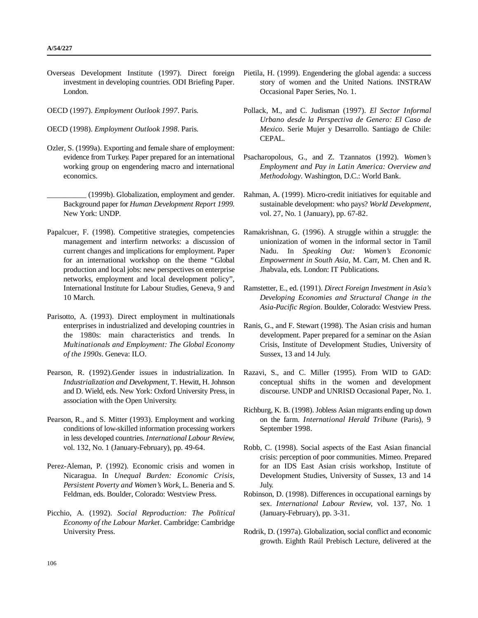- Overseas Development Institute (1997). Direct foreign investment in developing countries. ODI Briefing Paper. London.
- OECD (1997). *Employment Outlook 1997*. Paris.
- OECD (1998). *Employment Outlook 1998*. Paris.
- Ozler, S. (1999a). Exporting and female share of employment: evidence from Turkey. Paper prepared for an international working group on engendering macro and international economics.
- (1999b). Globalization, employment and gender. Background paper for *Human Development Report 1999*. New York: UNDP.
- Papalcuer, F. (1998). Competitive strategies, competencies management and interfirm networks: a discussion of current changes and implications for employment. Paper for an international workshop on the theme "Global production and local jobs: new perspectives on enterprise networks, employment and local development policy", International Institute for Labour Studies, Geneva, 9 and 10 March.
- Parisotto, A. (1993). Direct employment in multinationals enterprises in industrialized and developing countries in the 1980s: main characteristics and trends. In *Multinationals and Employment: The Global Economy of the 1990s*. Geneva: ILO.
- Pearson, R. (1992).Gender issues in industrialization. In *Industrialization and Development*, T. Hewitt, H. Johnson and D. Wield, eds. New York: Oxford University Press, in association with the Open University.
- Pearson, R., and S. Mitter (1993). Employment and working conditions of low-skilled information processing workers in less developed countries. *International Labour Review*, vol. 132, No. 1 (January-February), pp. 49-64.
- Perez-Aleman, P. (1992). Economic crisis and women in Nicaragua. In *Unequal Burden: Economic Crisis, Persistent Poverty and Women's Work*, L. Beneria and S. Feldman, eds. Boulder, Colorado: Westview Press.
- Picchio, A. (1992). *Social Reproduction: The Political Economy of the Labour Market*. Cambridge: Cambridge University Press.
- Pietila, H. (1999). Engendering the global agenda: a success story of women and the United Nations. INSTRAW Occasional Paper Series, No. 1.
- Pollack, M., and C. Judisman (1997). *El Sector Informal Urbano desde la Perspectiva de Genero: El Caso de Mexico*. Serie Mujer y Desarrollo. Santiago de Chile: CEPAL.
- Psacharopolous, G., and Z. Tzannatos (1992). *Women's Employment and Pay in Latin America: Overview and Methodology*. Washington, D.C.: World Bank.
- Rahman, A. (1999). Micro-credit initiatives for equitable and sustainable development: who pays? *World Development*, vol. 27, No. 1 (January), pp. 67-82.
- Ramakrishnan, G. (1996). A struggle within a struggle: the unionization of women in the informal sector in Tamil Nadu. In *Speaking Out: Women's Economic Empowerment in South Asia*, M. Carr, M. Chen and R. Jhabvala, eds. London: IT Publications.
- Ramstetter, E., ed. (1991). *Direct Foreign Investment in Asia's Developing Economies and Structural Change in the Asia-Pacific Region*. Boulder, Colorado: Westview Press.
- Ranis, G., and F. Stewart (1998). The Asian crisis and human development. Paper prepared for a seminar on the Asian Crisis, Institute of Development Studies, University of Sussex, 13 and 14 July.
- Razavi, S., and C. Miller (1995). From WID to GAD: conceptual shifts in the women and development discourse. UNDP and UNRISD Occasional Paper, No. 1.
- Richburg, K. B. (1998). Jobless Asian migrants ending up down on the farm. *International Herald Tribune* (Paris), 9 September 1998.
- Robb, C. (1998). Social aspects of the East Asian financial crisis: perception of poor communities. Mimeo. Prepared for an IDS East Asian crisis workshop, Institute of Development Studies, University of Sussex, 13 and 14 July.
- Robinson, D. (1998). Differences in occupational earnings by sex. *International Labour Review*, vol. 137, No. 1 (January-February), pp. 3-31.
- Rodrik, D. (1997a). Globalization, social conflict and economic growth. Eighth Raúl Prebisch Lecture, delivered at the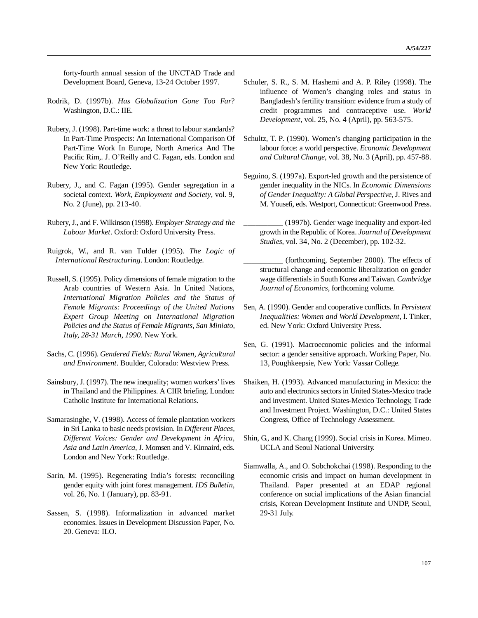forty-fourth annual session of the UNCTAD Trade and Development Board, Geneva, 13-24 October 1997.

- Rodrik, D. (1997b). *Has Globalization Gone Too Far*? Washington, D.C.: IIE.
- Rubery, J. (1998). Part-time work: a threat to labour standards? In Part-Time Prospects: An International Comparison Of Part-Time Work In Europe, North America And The Pacific Rim,. J. O'Reilly and C. Fagan, eds. London and New York: Routledge.
- Rubery, J., and C. Fagan (1995). Gender segregation in a societal context. *Work, Employment and Society*, vol. 9, No. 2 (June), pp. 213-40.
- Rubery, J., and F. Wilkinson (1998). *Employer Strategy and the Labour Market*. Oxford: Oxford University Press.
- Ruigrok, W., and R. van Tulder (1995). *The Logic of International Restructuring*. London: Routledge.
- Russell, S. (1995). Policy dimensions of female migration to the Arab countries of Western Asia. In United Nations, *International Migration Policies and the Status of Female Migrants: Proceedings of the United Nations Expert Group Meeting on International Migration Policies and the Status of Female Migrants, San Miniato, Italy, 28-31 March, 1990*. New York.
- Sachs, C. (1996). *Gendered Fields: Rural Women, Agricultural and Environment*. Boulder, Colorado: Westview Press.
- Sainsbury, J. (1997). The new inequality; women workers' lives in Thailand and the Philippines. A CIIR briefing. London: Catholic Institute for International Relations.
- Samarasinghe, V. (1998). Access of female plantation workers in Sri Lanka to basic needs provision. In *Different Places, Different Voices: Gender and Development in Africa, Asia and Latin America*, J. Momsen and V. Kinnaird, eds. London and New York: Routledge.
- Sarin, M. (1995). Regenerating India's forests: reconciling gender equity with joint forest management. *IDS Bulletin*, vol. 26, No. 1 (January), pp. 83-91.
- Sassen, S. (1998). Informalization in advanced market economies. Issues in Development Discussion Paper, No. 20. Geneva: ILO.
- Schuler, S. R., S. M. Hashemi and A. P. Riley (1998). The influence of Women's changing roles and status in Bangladesh's fertility transition: evidence from a study of credit programmes and contraceptive use. *World Development*, vol. 25, No. 4 (April), pp. 563-575.
- Schultz, T. P. (1990). Women's changing participation in the labour force: a world perspective. *Economic Development and Cultural Change*, vol. 38, No. 3 (April), pp. 457-88.
- Seguino, S. (1997a). Export-led growth and the persistence of gender inequality in the NICs. In *Economic Dimensions of Gender Inequality: A Global Perspective*, J. Rives and M. Yousefi, eds. Westport, Connecticut: Greenwood Press.
- \_\_\_\_\_\_\_\_\_\_ (1997b). Gender wage inequality and export-led growth in the Republic of Korea. *Journal of Development Studies*, vol. 34, No. 2 (December), pp. 102-32.
- \_\_\_\_\_\_\_\_\_\_ (forthcoming, September 2000). The effects of structural change and economic liberalization on gender wage differentials in South Korea and Taiwan. *Cambridge Journal of Economics*, forthcoming volume.
- Sen, A. (1990). Gender and cooperative conflicts. In *Persistent Inequalities: Women and World Development*, I. Tinker, ed. New York: Oxford University Press.
- Sen, G. (1991). Macroeconomic policies and the informal sector: a gender sensitive approach. Working Paper, No. 13, Poughkeepsie, New York: Vassar College.
- Shaiken, H. (1993). Advanced manufacturing in Mexico: the auto and electronics sectors in United States-Mexico trade and investment. United States-Mexico Technology, Trade and Investment Project. Washington, D.C.: United States Congress, Office of Technology Assessment.
- Shin, G., and K. Chang (1999). Social crisis in Korea. Mimeo. UCLA and Seoul National University.
- Siamwalla, A., and O. Sobchokchai (1998). Responding to the economic crisis and impact on human development in Thailand. Paper presented at an EDAP regional conference on social implications of the Asian financial crisis, Korean Development Institute and UNDP, Seoul, 29-31 July.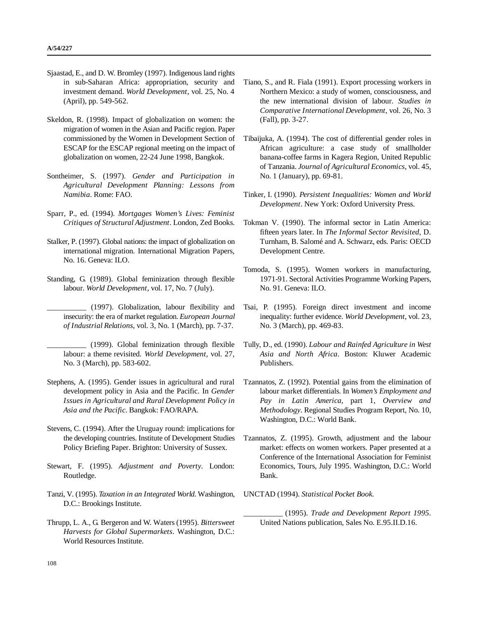- Sjaastad, E., and D. W. Bromley (1997). Indigenous land rights in sub-Saharan Africa: appropriation, security and investment demand. *World Development*, vol. 25, No. 4 (April), pp. 549-562.
- Skeldon, R. (1998). Impact of globalization on women: the migration of women in the Asian and Pacific region. Paper commissioned by the Women in Development Section of ESCAP for the ESCAP regional meeting on the impact of globalization on women, 22-24 June 1998, Bangkok.
- Sontheimer, S. (1997). *Gender and Participation in Agricultural Development Planning: Lessons from Namibia*. Rome: FAO.
- Sparr, P., ed. (1994). *Mortgages Women's Lives: Feminist Critiques of Structural Adjustment*. London, Zed Books.
- Stalker, P. (1997). Global nations: the impact of globalization on international migration. International Migration Papers, No. 16. Geneva: ILO.
- Standing, G. (1989). Global feminization through flexible labour. *World Development*, vol. 17, No. 7 (July).
	- \_\_\_\_\_\_\_\_\_\_ (1997). Globalization, labour flexibility and insecurity: the era of market regulation. *European Journal of Industrial Relations*, vol. 3, No. 1 (March), pp. 7-37.
		- \_\_\_\_\_\_\_\_\_\_ (1999). Global feminization through flexible labour: a theme revisited. *World Development*, vol. 27, No. 3 (March), pp. 583-602.
- Stephens, A. (1995). Gender issues in agricultural and rural development policy in Asia and the Pacific. In *Gender Issues in Agricultural and Rural Development Policy in Asia and the Pacific*. Bangkok: FAO/RAPA.
- Stevens, C. (1994). After the Uruguay round: implications for the developing countries. Institute of Development Studies Policy Briefing Paper. Brighton: University of Sussex.
- Stewart, F. (1995). *Adjustment and Poverty*. London: Routledge.
- Tanzi, V. (1995). *Taxation in an Integrated World*. Washington, D.C.: Brookings Institute.
- Thrupp, L. A., G. Bergeron and W. Waters (1995). *Bittersweet Harvests for Global Supermarkets*. Washington, D.C.: World Resources Institute.
- Tiano, S., and R. Fiala (1991). Export processing workers in Northern Mexico: a study of women, consciousness, and the new international division of labour. *Studies in Comparative International Development*, vol. 26, No. 3 (Fall), pp. 3-27.
- Tibaijuka, A. (1994). The cost of differential gender roles in African agriculture: a case study of smallholder banana-coffee farms in Kagera Region, United Republic of Tanzania. *Journal of Agricultural Economics*, vol. 45, No. 1 (January), pp. 69-81.
- Tinker, I. (1990). *Persistent Inequalities: Women and World Development*. New York: Oxford University Press.
- Tokman V. (1990). The informal sector in Latin America: fifteen years later. In *The Informal Sector Revisited*, D. Turnham, B. Salomé and A. Schwarz, eds. Paris: OECD Development Centre.
- Tomoda, S. (1995). Women workers in manufacturing, 1971-91. Sectoral Activities Programme Working Papers, No. 91. Geneva: ILO.
- Tsai, P. (1995). Foreign direct investment and income inequality: further evidence. *World Development*, vol. 23, No. 3 (March), pp. 469-83.
- Tully, D., ed. (1990). *Labour and Rainfed Agriculture in West Asia and North Africa*. Boston: Kluwer Academic Publishers.
- Tzannatos, Z. (1992). Potential gains from the elimination of labour market differentials. In *Women's Employment and Pay in Latin America*, part 1, *Overview and Methodology*. Regional Studies Program Report, No. 10, Washington, D.C.: World Bank.
- Tzannatos, Z. (1995). Growth, adjustment and the labour market: effects on women workers. Paper presented at a Conference of the International Association for Feminist Economics, Tours, July 1995. Washington, D.C.: World Bank.
- UNCTAD (1994). *Statistical Pocket Book*.
	- \_\_\_\_\_\_\_\_\_\_ (1995). *Trade and Development Report 1995*. United Nations publication, Sales No. E.95.II.D.16.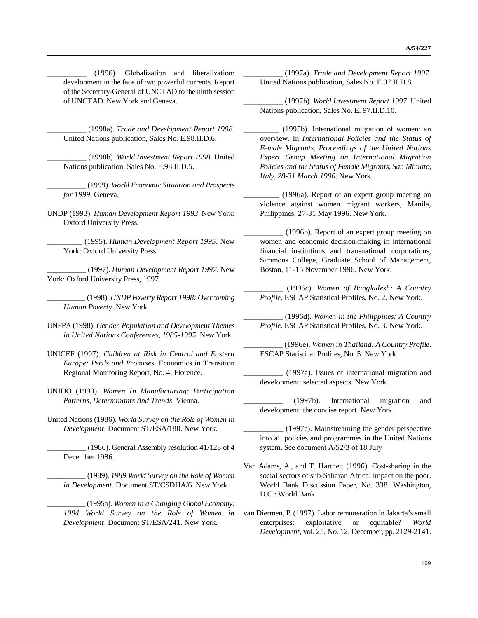(1996). Globalization and liberalization: development in the face of two powerful currents. Report of the Secretary-General of UNCTAD to the ninth session of UNCTAD. New York and Geneva.

\_\_\_\_\_\_\_\_\_\_ (1998a). *Trade and Development Report 1998*. United Nations publication, Sales No. E.98.II.D.6.

\_\_\_\_\_\_\_\_\_\_ (1998b). *World Investment Report 1998*. United Nations publication, Sales No. E.98.II.D.5.

\_\_\_\_\_\_\_\_\_\_ (1999). *World Economic Situation and Prospects for 1999*. Geneva.

UNDP (1993). *Human Development Report 1993*. New York: Oxford University Press.

\_\_\_\_\_\_\_\_\_ (1995). *Human Development Report 1995*. New York: Oxford University Press.

\_\_\_\_\_\_\_\_\_\_ (1997). *Human Development Report 1997*. New York: Oxford University Press, 1997.

\_\_\_\_\_\_\_\_\_\_ (1998). *UNDP Poverty Report 1998: Overcoming Human Poverty*. New York.

- UNFPA (1998). *Gender, Population and Development Themes in United Nations Conferences, 1985-1995*. New York.
- UNICEF (1997). *Children at Risk in Central and Eastern Europe: Perils and Promises*. Economics in Transition Regional Monitoring Report, No. 4. Florence.
- UNIDO (1993). *Women In Manufacturing: Participation Patterns, Determinants And Trends*. Vienna.
- United Nations (1986). *World Survey on the Role of Women in Development*. Document ST/ESA/180. New York.

(1986). General Assembly resolution  $41/128$  of  $4$ December 1986.

\_\_\_\_\_\_\_\_\_\_ (1989). *1989 World Survey on the Role of Women in Development*. Document ST/CSDHA/6. New York.

\_\_\_\_\_\_\_\_\_\_ (1995a). *Women in a Changing Global Economy: 1994 World Survey on the Role of Women in Development*. Document ST/ESA/241. New York.

\_\_\_\_\_\_\_\_\_\_ (1997a). *Trade and Development Report 1997*. United Nations publication, Sales No. E.97.II.D.8.

- \_\_\_\_\_\_\_\_\_\_ (1997b). *World Investment Report 1997*. United Nations publication, Sales No. E. 97.II.D.10.
- \_\_\_\_\_\_\_\_\_ (1995b). International migration of women: an overview. In *International Policies and the Status of Female Migrants, Proceedings of the United Nations Expert Group Meeting on International Migration Policies and the Status of Female Migrants, San Miniato, Italy, 28-31 March 1990*. New York.
- \_\_\_\_\_\_\_\_\_ (1996a). Report of an expert group meeting on violence against women migrant workers, Manila, Philippines, 27-31 May 1996. New York.
- \_\_\_\_\_\_\_\_\_\_ (1996b). Report of an expert group meeting on women and economic decision-making in international financial institutions and transnational corporations, Simmons College, Graduate School of Management, Boston, 11-15 November 1996. New York.
- \_\_\_\_\_\_\_\_\_\_ (1996c). *Women of Bangladesh: A Country Profile*. ESCAP Statistical Profiles, No. 2. New York.
- \_\_\_\_\_\_\_\_\_\_ (1996d). *Women in the Philippines: A Country Profile*. ESCAP Statistical Profiles, No. 3. New York.
- \_\_\_\_\_\_\_\_\_\_ (1996e). *Women in Thailand: A Country Profile*. ESCAP Statistical Profiles, No. 5. New York.
- \_\_\_\_\_\_\_\_\_\_ (1997a). Issues of international migration and development: selected aspects. New York.
- \_\_\_\_\_\_\_\_\_\_ (1997b). International migration and development: the concise report. New York.
- \_\_\_\_\_\_\_\_\_\_ (1997c). Mainstreaming the gender perspective into all policies and programmes in the United Nations system. See document A/52/3 of 18 July.
- Van Adams, A., and T. Hartnett (1996). Cost-sharing in the social sectors of sub-Saharan Africa: impact on the poor. World Bank Discussion Paper, No. 338. Washington, D.C.: World Bank.
- van Diermen, P. (1997). Labor remuneration in Jakarta's small enterprises: exploitative or equitable? *World Development*, vol. 25, No. 12, December, pp. 2129-2141.